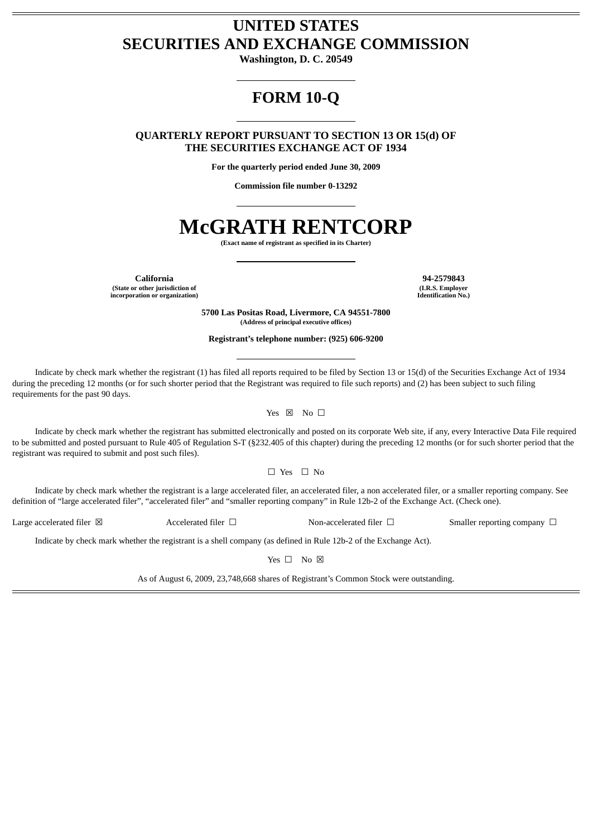# **UNITED STATES SECURITIES AND EXCHANGE COMMISSION**

**Washington, D. C. 20549**

# **FORM 10-Q**

**QUARTERLY REPORT PURSUANT TO SECTION 13 OR 15(d) OF THE SECURITIES EXCHANGE ACT OF 1934**

**For the quarterly period ended June 30, 2009**

**Commission file number 0-13292**

# **McGRATH RENTCORP**

**(Exact name of registrant as specified in its Charter)**

**California 94-2579843 (State or other jurisdiction of incorporation or organization)**

**(I.R.S. Employer Identification No.)**

**5700 Las Positas Road, Livermore, CA 94551-7800 (Address of principal executive offices)**

**Registrant's telephone number: (925) 606-9200**

Indicate by check mark whether the registrant (1) has filed all reports required to be filed by Section 13 or 15(d) of the Securities Exchange Act of 1934 during the preceding 12 months (or for such shorter period that the Registrant was required to file such reports) and (2) has been subject to such filing requirements for the past 90 days.

Yes  $\boxtimes$  No  $\Box$ 

Indicate by check mark whether the registrant has submitted electronically and posted on its corporate Web site, if any, every Interactive Data File required to be submitted and posted pursuant to Rule 405 of Regulation S-T (§232.405 of this chapter) during the preceding 12 months (or for such shorter period that the registrant was required to submit and post such files).

☐ Yes ☐ No

Indicate by check mark whether the registrant is a large accelerated filer, an accelerated filer, a non accelerated filer, or a smaller reporting company. See definition of "large accelerated filer", "accelerated filer" and "smaller reporting company" in Rule 12b-2 of the Exchange Act. (Check one).

Large accelerated filer ⊠ Accelerated filer □ Non-accelerated filer □ Smaller reporting company □

Indicate by check mark whether the registrant is a shell company (as defined in Rule 12b-2 of the Exchange Act).

 $Y_{PS}$   $\Box$  No  $\boxtimes$ 

As of August 6, 2009, 23,748,668 shares of Registrant's Common Stock were outstanding.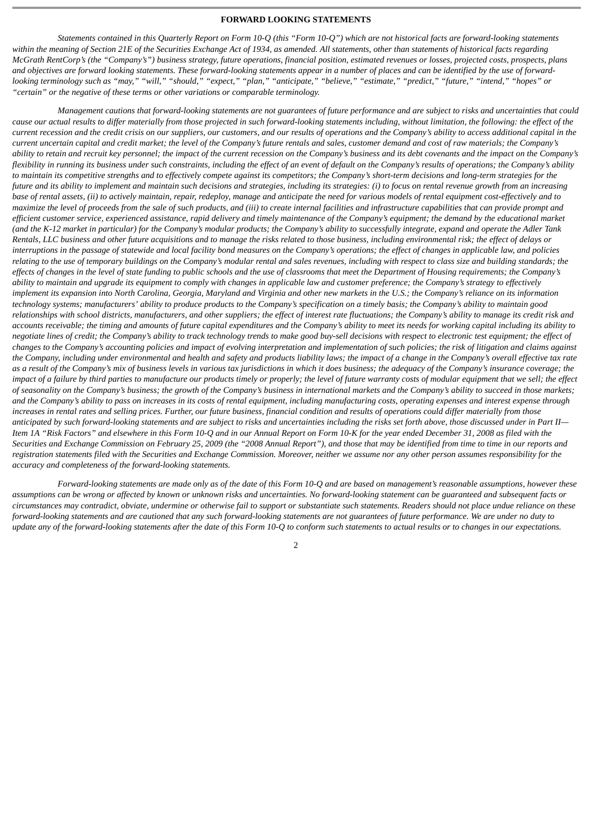# **FORWARD LOOKING STATEMENTS**

*Statements contained in this Quarterly Report on Form 10-Q (this "Form 10-Q") which are not historical facts are forward-looking statements within the meaning of Section 21E of the Securities Exchange Act of 1934, as amended. All statements, other than statements of historical facts regarding McGrath RentCorp's (the "Company's") business strategy, future operations, financial position, estimated revenues or losses, projected costs, prospects, plans and objectives are forward looking statements. These forward-looking statements appear in a number of places and can be identified by the use of forwardlooking terminology such as "may," "will," "should," "expect," "plan," "anticipate," "believe," "estimate," "predict," "future," "intend," "hopes" or "certain" or the negative of these terms or other variations or comparable terminology.*

*Management cautions that forward-looking statements are not guarantees of future performance and are subject to risks and uncertainties that could cause our actual results to differ materially from those projected in such forward-looking statements including, without limitation, the following: the effect of the current recession and the credit crisis on our suppliers, our customers, and our results of operations and the Company's ability to access additional capital in the current uncertain capital and credit market; the level of the Company's future rentals and sales, customer demand and cost of raw materials; the Company's ability to retain and recruit key personnel; the impact of the current recession on the Company's business and its debt covenants and the impact on the Company's flexibility in running its business under such constraints, including the effect of an event of default on the Company's results of operations; the Company's ability to maintain its competitive strengths and to effectively compete against its competitors; the Company's short-term decisions and long-term strategies for the future and its ability to implement and maintain such decisions and strategies, including its strategies: (i) to focus on rental revenue growth from an increasing base of rental assets, (ii) to actively maintain, repair, redeploy, manage and anticipate the need for various models of rental equipment cost-effectively and to maximize the level of proceeds from the sale of such products, and (iii) to create internal facilities and infrastructure capabilities that can provide prompt and efficient customer service, experienced assistance, rapid delivery and timely maintenance of the Company's equipment; the demand by the educational market (and the K-12 market in particular) for the Company's modular products; the Company's ability to successfully integrate, expand and operate the Adler Tank Rentals, LLC business and other future acquisitions and to manage the risks related to those business, including environmental risk; the effect of delays or interruptions in the passage of statewide and local facility bond measures on the Company's operations; the effect of changes in applicable law, and policies relating to the use of temporary buildings on the Company's modular rental and sales revenues, including with respect to class size and building standards; the effects of changes in the level of state funding to public schools and the use of classrooms that meet the Department of Housing requirements; the Company's ability to maintain and upgrade its equipment to comply with changes in applicable law and customer preference; the Company's strategy to effectively implement its expansion into North Carolina, Georgia, Maryland and Virginia and other new markets in the U.S.; the Company's reliance on its information technology systems; manufacturers' ability to produce products to the Company's specification on a timely basis; the Company's ability to maintain good relationships with school districts, manufacturers, and other suppliers; the effect of interest rate fluctuations; the Company's ability to manage its credit risk and accounts receivable; the timing and amounts of future capital expenditures and the Company's ability to meet its needs for working capital including its ability to negotiate lines of credit; the Company's ability to track technology trends to make good buy-sell decisions with respect to electronic test equipment; the effect of changes to the Company's accounting policies and impact of evolving interpretation and implementation of such policies; the risk of litigation and claims against the Company, including under environmental and health and safety and products liability laws; the impact of a change in the Company's overall effective tax rate as a result of the Company's mix of business levels in various tax jurisdictions in which it does business; the adequacy of the Company's insurance coverage; the impact of a failure by third parties to manufacture our products timely or properly; the level of future warranty costs of modular equipment that we sell; the effect of seasonality on the Company's business; the growth of the Company's business in international markets and the Company's ability to succeed in those markets; and the Company's ability to pass on increases in its costs of rental equipment, including manufacturing costs, operating expenses and interest expense through increases in rental rates and selling prices. Further, our future business, financial condition and results of operations could differ materially from those anticipated by such forward-looking statements and are subject to risks and uncertainties including the risks set forth above, those discussed under in Part II— Item 1A "Risk Factors" and elsewhere in this Form 10-Q and in our Annual Report on Form 10-K for the year ended December 31, 2008 as filed with the Securities and Exchange Commission on February 25, 2009 (the "2008 Annual Report"), and those that may be identified from time to time in our reports and registration statements filed with the Securities and Exchange Commission. Moreover, neither we assume nor any other person assumes responsibility for the accuracy and completeness of the forward-looking statements.*

*Forward-looking statements are made only as of the date of this Form 10-Q and are based on management's reasonable assumptions, however these assumptions can be wrong or affected by known or unknown risks and uncertainties. No forward-looking statement can be guaranteed and subsequent facts or circumstances may contradict, obviate, undermine or otherwise fail to support or substantiate such statements. Readers should not place undue reliance on these forward-looking statements and are cautioned that any such forward-looking statements are not guarantees of future performance. We are under no duty to update any of the forward-looking statements after the date of this Form 10-Q to conform such statements to actual results or to changes in our expectations.*

 $\overline{2}$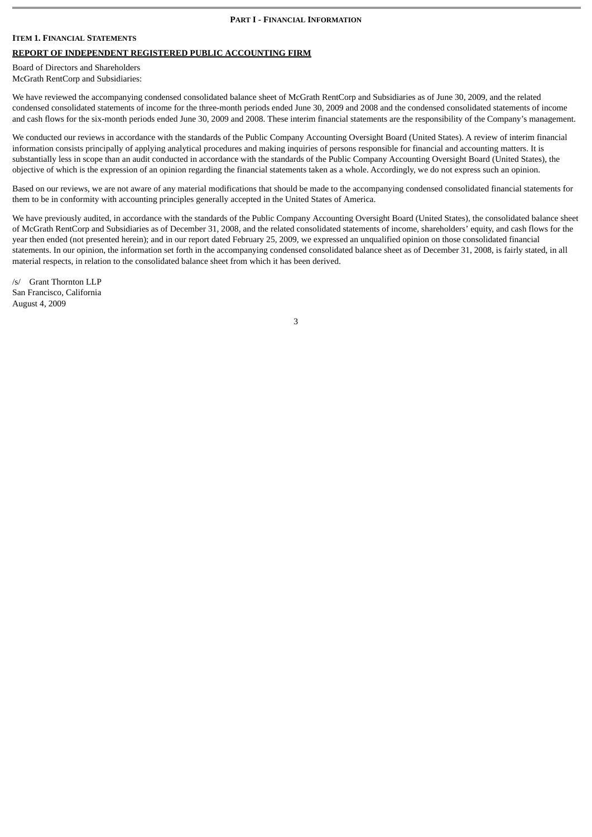#### **ITEM 1. FINANCIAL STATEMENTS**

# **REPORT OF INDEPENDENT REGISTERED PUBLIC ACCOUNTING FIRM**

Board of Directors and Shareholders McGrath RentCorp and Subsidiaries:

We have reviewed the accompanying condensed consolidated balance sheet of McGrath RentCorp and Subsidiaries as of June 30, 2009, and the related condensed consolidated statements of income for the three-month periods ended June 30, 2009 and 2008 and the condensed consolidated statements of income and cash flows for the six-month periods ended June 30, 2009 and 2008. These interim financial statements are the responsibility of the Company's management.

We conducted our reviews in accordance with the standards of the Public Company Accounting Oversight Board (United States). A review of interim financial information consists principally of applying analytical procedures and making inquiries of persons responsible for financial and accounting matters. It is substantially less in scope than an audit conducted in accordance with the standards of the Public Company Accounting Oversight Board (United States), the objective of which is the expression of an opinion regarding the financial statements taken as a whole. Accordingly, we do not express such an opinion.

Based on our reviews, we are not aware of any material modifications that should be made to the accompanying condensed consolidated financial statements for them to be in conformity with accounting principles generally accepted in the United States of America.

We have previously audited, in accordance with the standards of the Public Company Accounting Oversight Board (United States), the consolidated balance sheet of McGrath RentCorp and Subsidiaries as of December 31, 2008, and the related consolidated statements of income, shareholders' equity, and cash flows for the year then ended (not presented herein); and in our report dated February 25, 2009, we expressed an unqualified opinion on those consolidated financial statements. In our opinion, the information set forth in the accompanying condensed consolidated balance sheet as of December 31, 2008, is fairly stated, in all material respects, in relation to the consolidated balance sheet from which it has been derived.

/s/ Grant Thornton LLP San Francisco, California August 4, 2009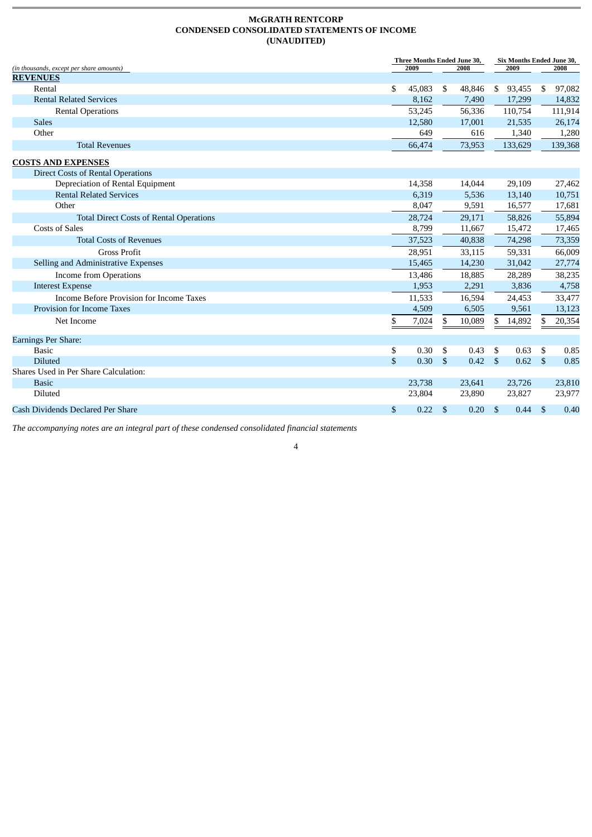# **McGRATH RENTCORP CONDENSED CONSOLIDATED STATEMENTS OF INCOME (UNAUDITED)**

|                                                |              | Three Months Ended June 30, |                | <b>Six Months Ended June 30,</b> |               |         |               |         |
|------------------------------------------------|--------------|-----------------------------|----------------|----------------------------------|---------------|---------|---------------|---------|
| (in thousands, except per share amounts)       |              | 2009                        |                | 2008                             |               | 2009    |               | 2008    |
| <b>REVENUES</b>                                |              |                             |                |                                  |               |         |               |         |
| Rental                                         | \$.          | 45,083                      | \$             | 48,846                           | \$            | 93,455  | -S            | 97,082  |
| <b>Rental Related Services</b>                 |              | 8,162                       |                | 7,490                            |               | 17,299  |               | 14,832  |
| <b>Rental Operations</b>                       |              | 53,245                      |                | 56,336                           |               | 110,754 |               | 111,914 |
| <b>Sales</b>                                   |              | 12,580                      |                | 17,001                           |               | 21,535  |               | 26,174  |
| Other                                          |              | 649                         |                | 616                              |               | 1,340   |               | 1,280   |
| <b>Total Revenues</b>                          |              | 66,474                      |                | 73,953                           |               | 133,629 |               | 139,368 |
| <b>COSTS AND EXPENSES</b>                      |              |                             |                |                                  |               |         |               |         |
| <b>Direct Costs of Rental Operations</b>       |              |                             |                |                                  |               |         |               |         |
| Depreciation of Rental Equipment               |              | 14,358                      |                | 14,044                           |               | 29,109  |               | 27,462  |
| <b>Rental Related Services</b>                 |              | 6,319                       |                | 5,536                            |               | 13,140  |               | 10,751  |
| Other                                          |              | 8,047                       |                | 9,591                            |               | 16,577  |               | 17,681  |
| <b>Total Direct Costs of Rental Operations</b> |              | 28,724                      |                | 29,171                           |               | 58,826  |               | 55,894  |
| <b>Costs of Sales</b>                          |              | 8,799                       |                | 11,667                           |               | 15,472  |               | 17,465  |
| <b>Total Costs of Revenues</b>                 |              | 37,523                      |                | 40,838                           |               | 74,298  |               | 73,359  |
| <b>Gross Profit</b>                            |              | 28,951                      |                | 33,115                           |               | 59,331  |               | 66,009  |
| Selling and Administrative Expenses            |              | 15,465                      |                | 14,230                           |               | 31,042  |               | 27,774  |
| Income from Operations                         |              | 13,486                      |                | 18,885                           |               | 28,289  |               | 38,235  |
| <b>Interest Expense</b>                        |              | 1,953                       |                | 2,291                            |               | 3,836   |               | 4,758   |
| Income Before Provision for Income Taxes       |              | 11,533                      |                | 16,594                           |               | 24,453  |               | 33,477  |
| Provision for Income Taxes                     |              | 4,509                       |                | 6,505                            |               | 9,561   |               | 13,123  |
| Net Income                                     | \$           | 7,024                       | S.             | 10,089                           | \$.           | 14,892  |               | 20,354  |
| <b>Earnings Per Share:</b>                     |              |                             |                |                                  |               |         |               |         |
| <b>Basic</b>                                   | \$           | 0.30                        | \$             | 0.43                             | -\$           | 0.63    | -\$           | 0.85    |
| <b>Diluted</b>                                 | $\mathbb{S}$ | 0.30                        | $\mathfrak{s}$ | 0.42                             | $\mathcal{S}$ | 0.62    | $\mathbf{s}$  | 0.85    |
| Shares Used in Per Share Calculation:          |              |                             |                |                                  |               |         |               |         |
| <b>Basic</b>                                   |              | 23,738                      |                | 23,641                           |               | 23,726  |               | 23,810  |
| Diluted                                        |              | 23,804                      |                | 23,890                           |               | 23,827  |               | 23,977  |
|                                                |              |                             |                |                                  |               |         |               |         |
| Cash Dividends Declared Per Share              | \$           | 0.22                        | -\$            | 0.20                             | \$            | 0.44    | $\mathcal{S}$ | 0.40    |

*The accompanying notes are an integral part of these condensed consolidated financial statements*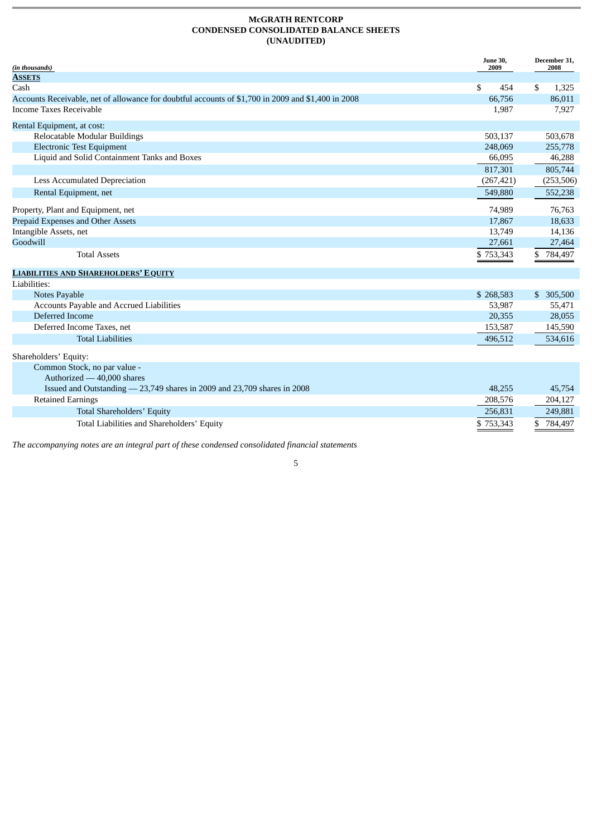# **McGRATH RENTCORP CONDENSED CONSOLIDATED BALANCE SHEETS (UNAUDITED)**

| (in thousands)                                                                                     | <b>June 30,</b><br>2009 | December 31,<br>2008 |
|----------------------------------------------------------------------------------------------------|-------------------------|----------------------|
| <b>ASSETS</b>                                                                                      |                         |                      |
| Cash                                                                                               | \$<br>454               | \$<br>1,325          |
| Accounts Receivable, net of allowance for doubtful accounts of \$1,700 in 2009 and \$1,400 in 2008 | 66,756                  | 86,011               |
| Income Taxes Receivable                                                                            | 1,987                   | 7,927                |
| Rental Equipment, at cost:                                                                         |                         |                      |
| Relocatable Modular Buildings                                                                      | 503,137                 | 503,678              |
| <b>Electronic Test Equipment</b>                                                                   | 248,069                 | 255,778              |
| Liquid and Solid Containment Tanks and Boxes                                                       | 66,095                  | 46,288               |
|                                                                                                    | 817,301                 | 805,744              |
| <b>Less Accumulated Depreciation</b>                                                               | (267, 421)              | (253, 506)           |
| Rental Equipment, net                                                                              | 549,880                 | 552,238              |
| Property, Plant and Equipment, net                                                                 | 74,989                  | 76,763               |
| Prepaid Expenses and Other Assets                                                                  | 17,867                  | 18,633               |
| Intangible Assets, net                                                                             | 13,749                  | 14,136               |
| Goodwill                                                                                           | 27,661                  | 27,464               |
| <b>Total Assets</b>                                                                                | \$753,343               | \$784,497            |
| <b>LIABILITIES AND SHAREHOLDERS' EQUITY</b>                                                        |                         |                      |
| Liabilities:                                                                                       |                         |                      |
| Notes Payable                                                                                      | \$268,583               | \$ 305,500           |
| Accounts Payable and Accrued Liabilities                                                           | 53,987                  | 55,471               |
| Deferred Income                                                                                    | 20,355                  | 28,055               |
| Deferred Income Taxes, net                                                                         | 153,587                 | 145,590              |
| <b>Total Liabilities</b>                                                                           | 496,512                 | 534,616              |
| Shareholders' Equity:                                                                              |                         |                      |
| Common Stock, no par value -                                                                       |                         |                      |
| Authorized - 40,000 shares                                                                         |                         |                      |
| Issued and Outstanding - 23,749 shares in 2009 and 23,709 shares in 2008                           | 48,255                  | 45,754               |
| <b>Retained Earnings</b>                                                                           | 208,576                 | 204,127              |

| Retained Earnings                          | 200.J/D              | 204,127 |
|--------------------------------------------|----------------------|---------|
| Total Shareholders' Equity                 | 256.831              | 249,881 |
| Total Liabilities and Shareholders' Equity | \$753,343<br>_______ | 784.497 |

*The accompanying notes are an integral part of these condensed consolidated financial statements*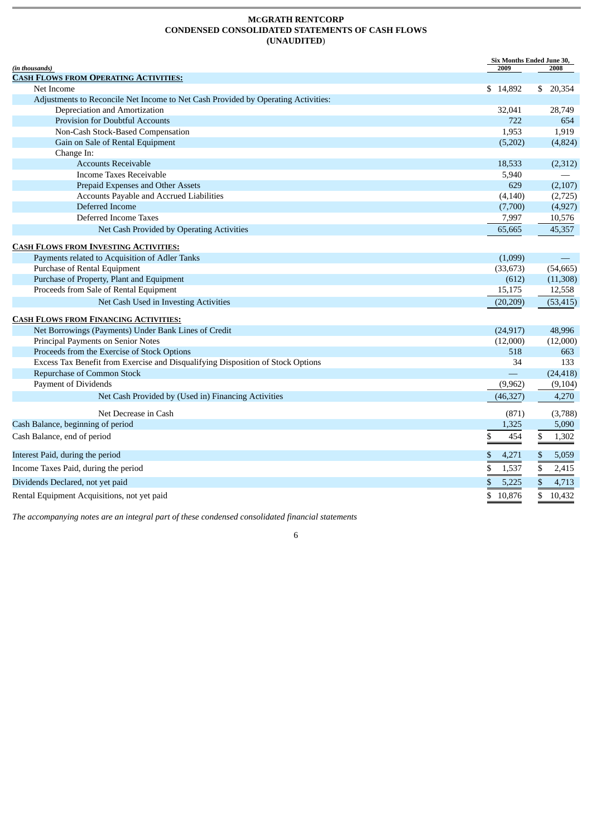# **MCGRATH RENTCORP CONDENSED CONSOLIDATED STATEMENTS OF CASH FLOWS (UNAUDITED**)

|                                                                                                                    | Six Months Ended June 30, |                        |
|--------------------------------------------------------------------------------------------------------------------|---------------------------|------------------------|
| (in thousands)                                                                                                     | 2009                      | 2008                   |
| <b>CASH FLOWS FROM OPERATING ACTIVITIES:</b>                                                                       |                           |                        |
| Net Income                                                                                                         | \$14,892                  | 20,354<br>\$.          |
| Adjustments to Reconcile Net Income to Net Cash Provided by Operating Activities:<br>Depreciation and Amortization | 32,041                    | 28,749                 |
| Provision for Doubtful Accounts                                                                                    | 722                       | 654                    |
| Non-Cash Stock-Based Compensation                                                                                  | 1,953                     | 1,919                  |
|                                                                                                                    |                           |                        |
| Gain on Sale of Rental Equipment                                                                                   | (5,202)                   | (4,824)                |
| Change In:<br><b>Accounts Receivable</b>                                                                           | 18,533                    |                        |
| Income Taxes Receivable                                                                                            | 5,940                     | (2, 312)               |
|                                                                                                                    | 629                       |                        |
| Prepaid Expenses and Other Assets                                                                                  |                           | (2,107)                |
| Accounts Payable and Accrued Liabilities                                                                           | (4, 140)                  | (2,725)                |
| Deferred Income<br>Deferred Income Taxes                                                                           | (7,700)                   | (4,927)                |
|                                                                                                                    | 7,997                     | 10,576                 |
| Net Cash Provided by Operating Activities                                                                          | 65,665                    | 45,357                 |
| <b>CASH FLOWS FROM INVESTING ACTIVITIES:</b>                                                                       |                           |                        |
| Payments related to Acquisition of Adler Tanks                                                                     | (1,099)                   |                        |
| Purchase of Rental Equipment                                                                                       | (33, 673)                 | (54, 665)              |
| Purchase of Property, Plant and Equipment                                                                          | (612)                     | (11, 308)              |
| Proceeds from Sale of Rental Equipment                                                                             | 15,175                    | 12,558                 |
| Net Cash Used in Investing Activities                                                                              | (20, 209)                 | (53, 415)              |
| <b>CASH FLOWS FROM FINANCING ACTIVITIES:</b>                                                                       |                           |                        |
| Net Borrowings (Payments) Under Bank Lines of Credit                                                               | (24, 917)                 | 48,996                 |
| Principal Payments on Senior Notes                                                                                 | (12,000)                  | (12,000)               |
| Proceeds from the Exercise of Stock Options                                                                        | 518                       | 663                    |
| Excess Tax Benefit from Exercise and Disqualifying Disposition of Stock Options                                    | 34                        | 133                    |
| Repurchase of Common Stock                                                                                         | $\qquad \qquad =$         | (24, 418)              |
| Payment of Dividends                                                                                               | (9,962)                   | (9, 104)               |
| Net Cash Provided by (Used in) Financing Activities                                                                | (46, 327)                 | 4,270                  |
|                                                                                                                    |                           |                        |
| Net Decrease in Cash                                                                                               | (871)                     | (3,788)                |
| Cash Balance, beginning of period                                                                                  | 1,325                     | 5,090                  |
| Cash Balance, end of period                                                                                        | \$<br>454                 | \$<br>1,302            |
| Interest Paid, during the period                                                                                   | \$<br>4,271               | 5,059<br>\$            |
| Income Taxes Paid, during the period                                                                               | \$<br>1,537               | 2,415                  |
| Dividends Declared, not yet paid                                                                                   | \$<br>5,225               | ${\mathbb S}$<br>4,713 |
| Rental Equipment Acquisitions, not yet paid                                                                        | \$<br>10,876              | \$<br>10,432           |
|                                                                                                                    |                           |                        |

*The accompanying notes are an integral part of these condensed consolidated financial statements*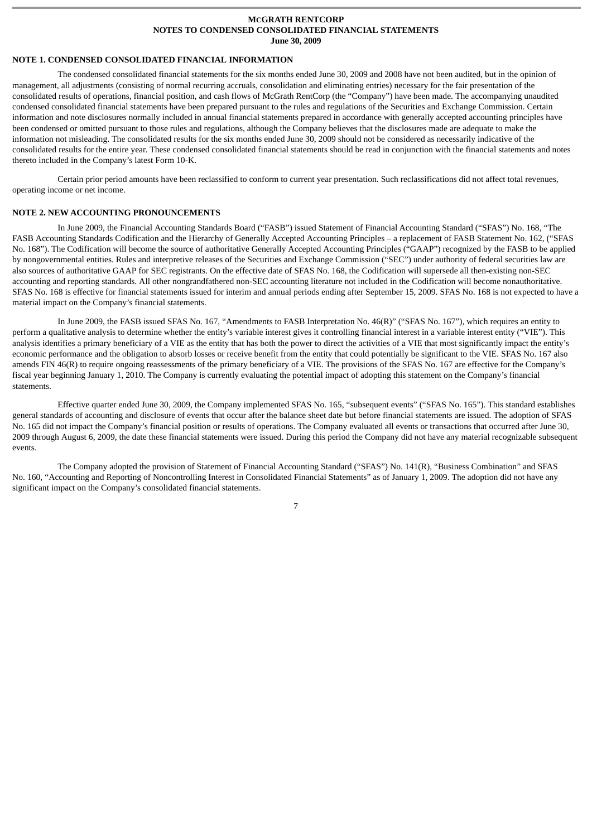### **MCGRATH RENTCORP NOTES TO CONDENSED CONSOLIDATED FINANCIAL STATEMENTS June 30, 2009**

# **NOTE 1. CONDENSED CONSOLIDATED FINANCIAL INFORMATION**

The condensed consolidated financial statements for the six months ended June 30, 2009 and 2008 have not been audited, but in the opinion of management, all adjustments (consisting of normal recurring accruals, consolidation and eliminating entries) necessary for the fair presentation of the consolidated results of operations, financial position, and cash flows of McGrath RentCorp (the "Company") have been made. The accompanying unaudited condensed consolidated financial statements have been prepared pursuant to the rules and regulations of the Securities and Exchange Commission. Certain information and note disclosures normally included in annual financial statements prepared in accordance with generally accepted accounting principles have been condensed or omitted pursuant to those rules and regulations, although the Company believes that the disclosures made are adequate to make the information not misleading. The consolidated results for the six months ended June 30, 2009 should not be considered as necessarily indicative of the consolidated results for the entire year. These condensed consolidated financial statements should be read in conjunction with the financial statements and notes thereto included in the Company's latest Form 10-K.

Certain prior period amounts have been reclassified to conform to current year presentation. Such reclassifications did not affect total revenues, operating income or net income.

# **NOTE 2. NEW ACCOUNTING PRONOUNCEMENTS**

In June 2009, the Financial Accounting Standards Board ("FASB") issued Statement of Financial Accounting Standard ("SFAS") No. 168, "The FASB Accounting Standards Codification and the Hierarchy of Generally Accepted Accounting Principles – a replacement of FASB Statement No. 162, ("SFAS No. 168"). The Codification will become the source of authoritative Generally Accepted Accounting Principles ("GAAP") recognized by the FASB to be applied by nongovernmental entities. Rules and interpretive releases of the Securities and Exchange Commission ("SEC") under authority of federal securities law are also sources of authoritative GAAP for SEC registrants. On the effective date of SFAS No. 168, the Codification will supersede all then-existing non-SEC accounting and reporting standards. All other nongrandfathered non-SEC accounting literature not included in the Codification will become nonauthoritative. SFAS No. 168 is effective for financial statements issued for interim and annual periods ending after September 15, 2009. SFAS No. 168 is not expected to have a material impact on the Company's financial statements.

In June 2009, the FASB issued SFAS No. 167, "Amendments to FASB Interpretation No. 46(R)" ("SFAS No. 167"), which requires an entity to perform a qualitative analysis to determine whether the entity's variable interest gives it controlling financial interest in a variable interest entity ("VIE"). This analysis identifies a primary beneficiary of a VIE as the entity that has both the power to direct the activities of a VIE that most significantly impact the entity's economic performance and the obligation to absorb losses or receive benefit from the entity that could potentially be significant to the VIE. SFAS No. 167 also amends FIN 46(R) to require ongoing reassessments of the primary beneficiary of a VIE. The provisions of the SFAS No. 167 are effective for the Company's fiscal year beginning January 1, 2010. The Company is currently evaluating the potential impact of adopting this statement on the Company's financial statements.

Effective quarter ended June 30, 2009, the Company implemented SFAS No. 165, "subsequent events" ("SFAS No. 165"). This standard establishes general standards of accounting and disclosure of events that occur after the balance sheet date but before financial statements are issued. The adoption of SFAS No. 165 did not impact the Company's financial position or results of operations. The Company evaluated all events or transactions that occurred after June 30, 2009 through August 6, 2009, the date these financial statements were issued. During this period the Company did not have any material recognizable subsequent events.

The Company adopted the provision of Statement of Financial Accounting Standard ("SFAS") No. 141(R), "Business Combination" and SFAS No. 160, "Accounting and Reporting of Noncontrolling Interest in Consolidated Financial Statements" as of January 1, 2009. The adoption did not have any significant impact on the Company's consolidated financial statements.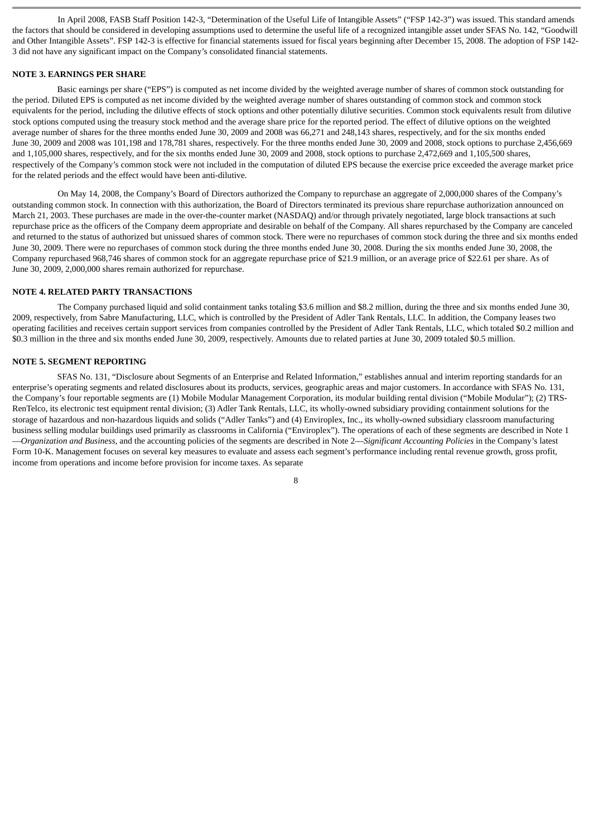In April 2008, FASB Staff Position 142-3, "Determination of the Useful Life of Intangible Assets" ("FSP 142-3") was issued. This standard amends the factors that should be considered in developing assumptions used to determine the useful life of a recognized intangible asset under SFAS No. 142, "Goodwill and Other Intangible Assets". FSP 142-3 is effective for financial statements issued for fiscal years beginning after December 15, 2008. The adoption of FSP 142- 3 did not have any significant impact on the Company's consolidated financial statements.

#### **NOTE 3. EARNINGS PER SHARE**

Basic earnings per share ("EPS") is computed as net income divided by the weighted average number of shares of common stock outstanding for the period. Diluted EPS is computed as net income divided by the weighted average number of shares outstanding of common stock and common stock equivalents for the period, including the dilutive effects of stock options and other potentially dilutive securities. Common stock equivalents result from dilutive stock options computed using the treasury stock method and the average share price for the reported period. The effect of dilutive options on the weighted average number of shares for the three months ended June 30, 2009 and 2008 was 66,271 and 248,143 shares, respectively, and for the six months ended June 30, 2009 and 2008 was 101,198 and 178,781 shares, respectively. For the three months ended June 30, 2009 and 2008, stock options to purchase 2,456,669 and 1,105,000 shares, respectively, and for the six months ended June 30, 2009 and 2008, stock options to purchase 2,472,669 and 1,105,500 shares, respectively of the Company's common stock were not included in the computation of diluted EPS because the exercise price exceeded the average market price for the related periods and the effect would have been anti-dilutive.

On May 14, 2008, the Company's Board of Directors authorized the Company to repurchase an aggregate of 2,000,000 shares of the Company's outstanding common stock. In connection with this authorization, the Board of Directors terminated its previous share repurchase authorization announced on March 21, 2003. These purchases are made in the over-the-counter market (NASDAQ) and/or through privately negotiated, large block transactions at such repurchase price as the officers of the Company deem appropriate and desirable on behalf of the Company. All shares repurchased by the Company are canceled and returned to the status of authorized but unissued shares of common stock. There were no repurchases of common stock during the three and six months ended June 30, 2009. There were no repurchases of common stock during the three months ended June 30, 2008. During the six months ended June 30, 2008, the Company repurchased 968,746 shares of common stock for an aggregate repurchase price of \$21.9 million, or an average price of \$22.61 per share. As of June 30, 2009, 2,000,000 shares remain authorized for repurchase.

#### **NOTE 4. RELATED PARTY TRANSACTIONS**

The Company purchased liquid and solid containment tanks totaling \$3.6 million and \$8.2 million, during the three and six months ended June 30, 2009, respectively, from Sabre Manufacturing, LLC, which is controlled by the President of Adler Tank Rentals, LLC. In addition, the Company leases two operating facilities and receives certain support services from companies controlled by the President of Adler Tank Rentals, LLC, which totaled \$0.2 million and \$0.3 million in the three and six months ended June 30, 2009, respectively. Amounts due to related parties at June 30, 2009 totaled \$0.5 million.

#### **NOTE 5. SEGMENT REPORTING**

SFAS No. 131, "Disclosure about Segments of an Enterprise and Related Information," establishes annual and interim reporting standards for an enterprise's operating segments and related disclosures about its products, services, geographic areas and major customers. In accordance with SFAS No. 131, the Company's four reportable segments are (1) Mobile Modular Management Corporation, its modular building rental division ("Mobile Modular"); (2) TRS-RenTelco, its electronic test equipment rental division; (3) Adler Tank Rentals, LLC, its wholly-owned subsidiary providing containment solutions for the storage of hazardous and non-hazardous liquids and solids ("Adler Tanks") and (4) Enviroplex, Inc., its wholly-owned subsidiary classroom manufacturing business selling modular buildings used primarily as classrooms in California ("Enviroplex"). The operations of each of these segments are described in Note 1 —*Organization and Business*, and the accounting policies of the segments are described in Note 2—*Significant Accounting Policies* in the Company's latest Form 10-K. Management focuses on several key measures to evaluate and assess each segment's performance including rental revenue growth, gross profit, income from operations and income before provision for income taxes. As separate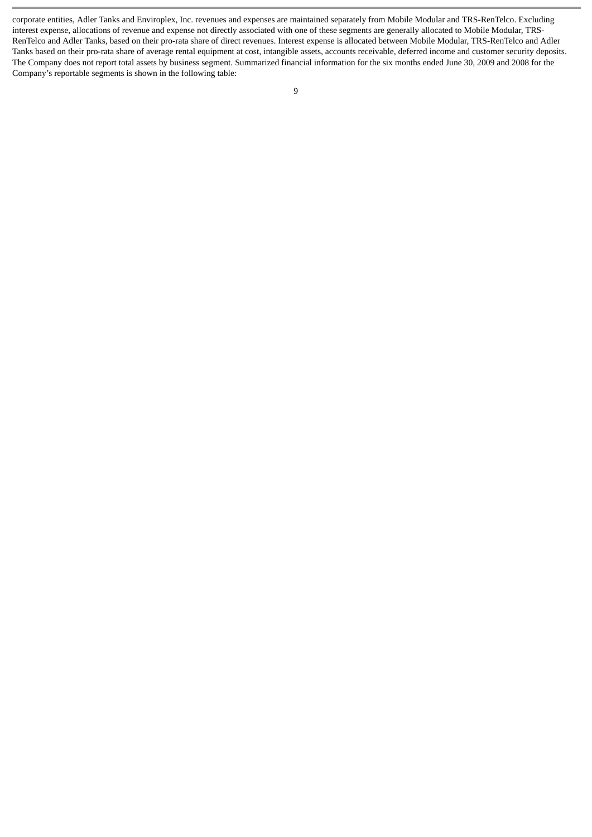corporate entities, Adler Tanks and Enviroplex, Inc. revenues and expenses are maintained separately from Mobile Modular and TRS-RenTelco. Excluding interest expense, allocations of revenue and expense not directly associated with one of these segments are generally allocated to Mobile Modular, TRS-RenTelco and Adler Tanks, based on their pro-rata share of direct revenues. Interest expense is allocated between Mobile Modular, TRS-RenTelco and Adler Tanks based on their pro-rata share of average rental equipment at cost, intangible assets, accounts receivable, deferred income and customer security deposits. The Company does not report total assets by business segment. Summarized financial information for the six months ended June 30, 2009 and 2008 for the Company's reportable segments is shown in the following table: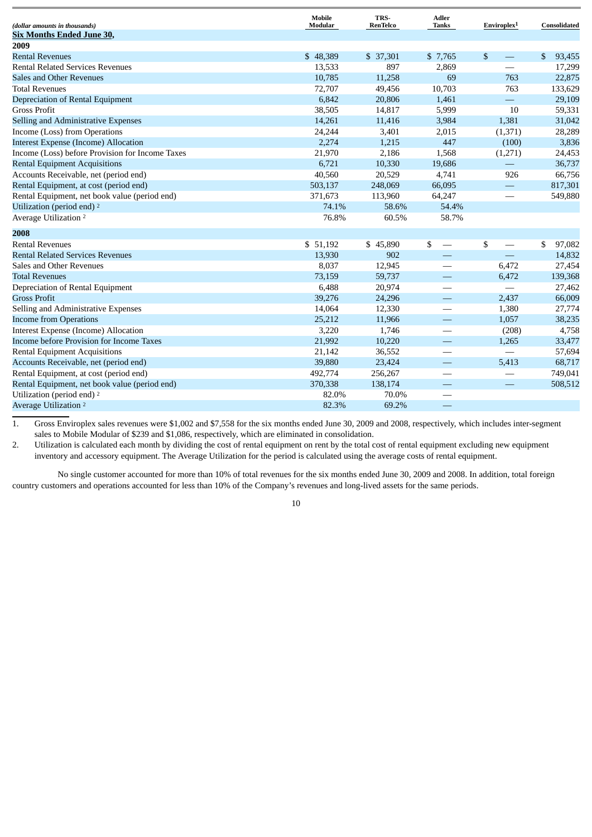| (dollar amounts in thousands)                   | Mobile<br>Modular | TRS-<br>RenTelco | <b>Adler</b><br>Tanks    | Enviroplex <sup>1</sup> | Consolidated           |
|-------------------------------------------------|-------------------|------------------|--------------------------|-------------------------|------------------------|
| <b>Six Months Ended June 30.</b>                |                   |                  |                          |                         |                        |
| 2009                                            |                   |                  |                          |                         |                        |
| <b>Rental Revenues</b>                          | \$48,389          | \$ 37,301        | \$7,765                  | \$                      | $\mathbb{S}$<br>93,455 |
| <b>Rental Related Services Revenues</b>         | 13,533            | 897              | 2,869                    |                         | 17,299                 |
| Sales and Other Revenues                        | 10,785            | 11,258           | 69                       | 763                     | 22,875                 |
| <b>Total Revenues</b>                           | 72,707            | 49,456           | 10,703                   | 763                     | 133,629                |
| Depreciation of Rental Equipment                | 6,842             | 20,806           | 1,461                    | $\qquad \qquad$         | 29,109                 |
| <b>Gross Profit</b>                             | 38,505            | 14,817           | 5,999                    | 10                      | 59,331                 |
| Selling and Administrative Expenses             | 14,261            | 11,416           | 3,984                    | 1,381                   | 31,042                 |
| Income (Loss) from Operations                   | 24,244            | 3,401            | 2,015                    | (1, 371)                | 28,289                 |
| <b>Interest Expense (Income) Allocation</b>     | 2,274             | 1,215            | 447                      | (100)                   | 3,836                  |
| Income (Loss) before Provision for Income Taxes | 21,970            | 2,186            | 1,568                    | (1,271)                 | 24,453                 |
| <b>Rental Equipment Acquisitions</b>            | 6,721             | 10,330           | 19,686                   | $\qquad \qquad =$       | 36,737                 |
| Accounts Receivable, net (period end)           | 40,560            | 20,529           | 4,741                    | 926                     | 66,756                 |
| Rental Equipment, at cost (period end)          | 503,137           | 248,069          | 66,095                   |                         | 817,301                |
| Rental Equipment, net book value (period end)   | 371,673           | 113,960          | 64,247                   | $\equiv$                | 549,880                |
| Utilization (period end) <sup>2</sup>           | 74.1%             | 58.6%            | 54.4%                    |                         |                        |
| Average Utilization <sup>2</sup>                | 76.8%             | 60.5%            | 58.7%                    |                         |                        |
| 2008                                            |                   |                  |                          |                         |                        |
| <b>Rental Revenues</b>                          | \$51,192          | \$45,890         | \$<br>$\qquad \qquad$    | \$<br>$\equiv$          | 97,082<br>\$           |
| <b>Rental Related Services Revenues</b>         | 13,930            | 902              | $\overline{\phantom{m}}$ |                         | 14,832                 |
| Sales and Other Revenues                        | 8,037             | 12,945           |                          | 6,472                   | 27,454                 |
| <b>Total Revenues</b>                           | 73,159            | 59,737           |                          | 6,472                   | 139,368                |
| Depreciation of Rental Equipment                | 6,488             | 20,974           |                          |                         | 27,462                 |
| <b>Gross Profit</b>                             | 39,276            | 24,296           |                          | 2,437                   | 66,009                 |
| Selling and Administrative Expenses             | 14,064            | 12,330           |                          | 1,380                   | 27,774                 |
| <b>Income from Operations</b>                   | 25,212            | 11,966           |                          | 1,057                   | 38,235                 |
| Interest Expense (Income) Allocation            | 3,220             | 1,746            |                          | (208)                   | 4,758                  |
| Income before Provision for Income Taxes        | 21,992            | 10,220           |                          | 1,265                   | 33,477                 |
| <b>Rental Equipment Acquisitions</b>            | 21,142            | 36,552           |                          |                         | 57,694                 |
| Accounts Receivable, net (period end)           | 39,880            | 23,424           |                          | 5,413                   | 68,717                 |
| Rental Equipment, at cost (period end)          | 492,774           | 256,267          |                          |                         | 749,041                |
| Rental Equipment, net book value (period end)   | 370,338           | 138,174          |                          |                         | 508,512                |
| Utilization (period end) <sup>2</sup>           | 82.0%             | 70.0%            |                          |                         |                        |
| <b>Average Utilization</b> <sup>2</sup>         | 82.3%             | 69.2%            |                          |                         |                        |

1. Gross Enviroplex sales revenues were \$1,002 and \$7,558 for the six months ended June 30, 2009 and 2008, respectively, which includes inter-segment sales to Mobile Modular of \$239 and \$1,086, respectively, which are eliminated in consolidation.

2. Utilization is calculated each month by dividing the cost of rental equipment on rent by the total cost of rental equipment excluding new equipment inventory and accessory equipment. The Average Utilization for the period is calculated using the average costs of rental equipment.

No single customer accounted for more than 10% of total revenues for the six months ended June 30, 2009 and 2008. In addition, total foreign country customers and operations accounted for less than 10% of the Company's revenues and long-lived assets for the same periods.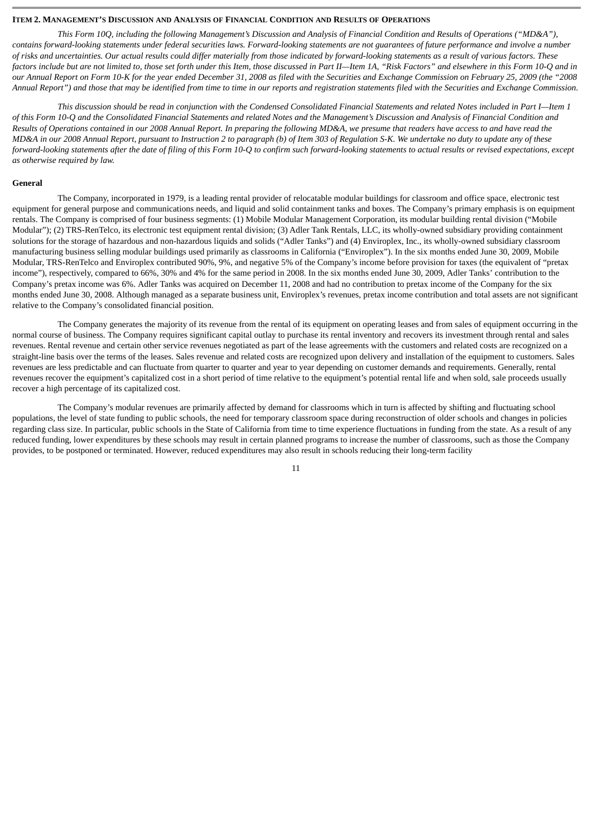#### ITEM 2. MANAGEMENT'S DISCUSSION AND ANALYSIS OF FINANCIAL CONDITION AND RESULTS OF OPERATIONS

*This Form 10Q, including the following Management's Discussion and Analysis of Financial Condition and Results of Operations ("MD&A"), contains forward-looking statements under federal securities laws. Forward-looking statements are not guarantees of future performance and involve a number of risks and uncertainties. Our actual results could differ materially from those indicated by forward-looking statements as a result of various factors. These factors include but are not limited to, those set forth under this Item, those discussed in Part II—Item 1A, "Risk Factors" and elsewhere in this Form 10-Q and in our Annual Report on Form 10-K for the year ended December 31, 2008 as filed with the Securities and Exchange Commission on February 25, 2009 (the "2008 Annual Report") and those that may be identified from time to time in our reports and registration statements filed with the Securities and Exchange Commission.*

*This discussion should be read in conjunction with the Condensed Consolidated Financial Statements and related Notes included in Part I—Item 1 of this Form 10-Q and the Consolidated Financial Statements and related Notes and the Management's Discussion and Analysis of Financial Condition and Results of Operations contained in our 2008 Annual Report. In preparing the following MD&A, we presume that readers have access to and have read the MD&A in our 2008 Annual Report, pursuant to Instruction 2 to paragraph (b) of Item 303 of Regulation S-K. We undertake no duty to update any of these forward-looking statements after the date of filing of this Form 10-Q to confirm such forward-looking statements to actual results or revised expectations, except as otherwise required by law.*

#### **General**

The Company, incorporated in 1979, is a leading rental provider of relocatable modular buildings for classroom and office space, electronic test equipment for general purpose and communications needs, and liquid and solid containment tanks and boxes. The Company's primary emphasis is on equipment rentals. The Company is comprised of four business segments: (1) Mobile Modular Management Corporation, its modular building rental division ("Mobile Modular"); (2) TRS-RenTelco, its electronic test equipment rental division; (3) Adler Tank Rentals, LLC, its wholly-owned subsidiary providing containment solutions for the storage of hazardous and non-hazardous liquids and solids ("Adler Tanks") and (4) Enviroplex, Inc., its wholly-owned subsidiary classroom manufacturing business selling modular buildings used primarily as classrooms in California ("Enviroplex"). In the six months ended June 30, 2009, Mobile Modular, TRS-RenTelco and Enviroplex contributed 90%, 9%, and negative 5% of the Company's income before provision for taxes (the equivalent of "pretax income"), respectively, compared to 66%, 30% and 4% for the same period in 2008. In the six months ended June 30, 2009, Adler Tanks' contribution to the Company's pretax income was 6%. Adler Tanks was acquired on December 11, 2008 and had no contribution to pretax income of the Company for the six months ended June 30, 2008. Although managed as a separate business unit, Enviroplex's revenues, pretax income contribution and total assets are not significant relative to the Company's consolidated financial position.

The Company generates the majority of its revenue from the rental of its equipment on operating leases and from sales of equipment occurring in the normal course of business. The Company requires significant capital outlay to purchase its rental inventory and recovers its investment through rental and sales revenues. Rental revenue and certain other service revenues negotiated as part of the lease agreements with the customers and related costs are recognized on a straight-line basis over the terms of the leases. Sales revenue and related costs are recognized upon delivery and installation of the equipment to customers. Sales revenues are less predictable and can fluctuate from quarter to quarter and year to year depending on customer demands and requirements. Generally, rental revenues recover the equipment's capitalized cost in a short period of time relative to the equipment's potential rental life and when sold, sale proceeds usually recover a high percentage of its capitalized cost.

The Company's modular revenues are primarily affected by demand for classrooms which in turn is affected by shifting and fluctuating school populations, the level of state funding to public schools, the need for temporary classroom space during reconstruction of older schools and changes in policies regarding class size. In particular, public schools in the State of California from time to time experience fluctuations in funding from the state. As a result of any reduced funding, lower expenditures by these schools may result in certain planned programs to increase the number of classrooms, such as those the Company provides, to be postponed or terminated. However, reduced expenditures may also result in schools reducing their long-term facility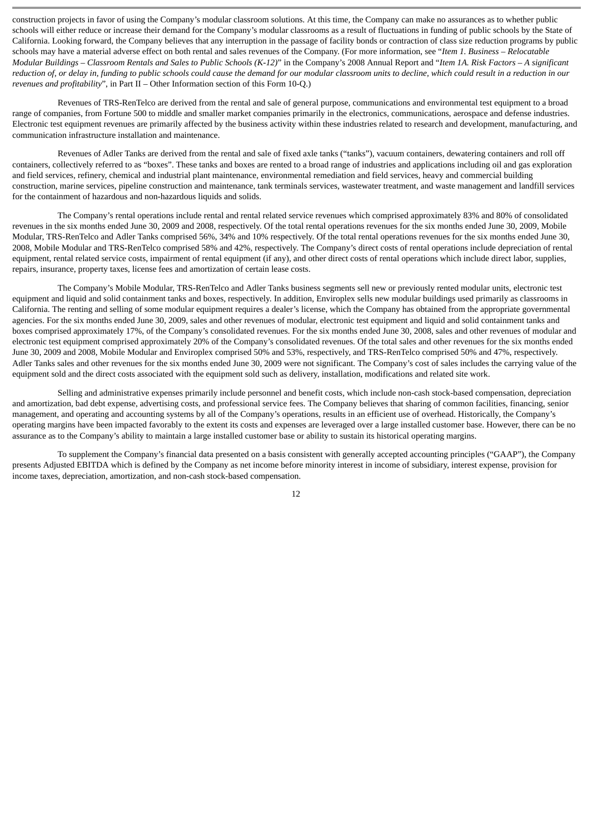construction projects in favor of using the Company's modular classroom solutions. At this time, the Company can make no assurances as to whether public schools will either reduce or increase their demand for the Company's modular classrooms as a result of fluctuations in funding of public schools by the State of California. Looking forward, the Company believes that any interruption in the passage of facility bonds or contraction of class size reduction programs by public schools may have a material adverse effect on both rental and sales revenues of the Company. (For more information, see "*Item 1. Business – Relocatable Modular Buildings – Classroom Rentals and Sales to Public Schools (K-12)*" in the Company's 2008 Annual Report and "*Item 1A. Risk Factors – A significant reduction of, or delay in, funding to public schools could cause the demand for our modular classroom units to decline, which could result in a reduction in our revenues and profitability*", in Part II *–* Other Information section of this Form 10-Q.)

Revenues of TRS-RenTelco are derived from the rental and sale of general purpose, communications and environmental test equipment to a broad range of companies, from Fortune 500 to middle and smaller market companies primarily in the electronics, communications, aerospace and defense industries. Electronic test equipment revenues are primarily affected by the business activity within these industries related to research and development, manufacturing, and communication infrastructure installation and maintenance.

Revenues of Adler Tanks are derived from the rental and sale of fixed axle tanks ("tanks"), vacuum containers, dewatering containers and roll off containers, collectively referred to as "boxes". These tanks and boxes are rented to a broad range of industries and applications including oil and gas exploration and field services, refinery, chemical and industrial plant maintenance, environmental remediation and field services, heavy and commercial building construction, marine services, pipeline construction and maintenance, tank terminals services, wastewater treatment, and waste management and landfill services for the containment of hazardous and non-hazardous liquids and solids.

The Company's rental operations include rental and rental related service revenues which comprised approximately 83% and 80% of consolidated revenues in the six months ended June 30, 2009 and 2008, respectively. Of the total rental operations revenues for the six months ended June 30, 2009, Mobile Modular, TRS-RenTelco and Adler Tanks comprised 56%, 34% and 10% respectively. Of the total rental operations revenues for the six months ended June 30, 2008, Mobile Modular and TRS-RenTelco comprised 58% and 42%, respectively. The Company's direct costs of rental operations include depreciation of rental equipment, rental related service costs, impairment of rental equipment (if any), and other direct costs of rental operations which include direct labor, supplies, repairs, insurance, property taxes, license fees and amortization of certain lease costs.

The Company's Mobile Modular, TRS-RenTelco and Adler Tanks business segments sell new or previously rented modular units, electronic test equipment and liquid and solid containment tanks and boxes, respectively. In addition, Enviroplex sells new modular buildings used primarily as classrooms in California. The renting and selling of some modular equipment requires a dealer's license, which the Company has obtained from the appropriate governmental agencies. For the six months ended June 30, 2009, sales and other revenues of modular, electronic test equipment and liquid and solid containment tanks and boxes comprised approximately 17%, of the Company's consolidated revenues. For the six months ended June 30, 2008, sales and other revenues of modular and electronic test equipment comprised approximately 20% of the Company's consolidated revenues. Of the total sales and other revenues for the six months ended June 30, 2009 and 2008, Mobile Modular and Enviroplex comprised 50% and 53%, respectively, and TRS-RenTelco comprised 50% and 47%, respectively. Adler Tanks sales and other revenues for the six months ended June 30, 2009 were not significant. The Company's cost of sales includes the carrying value of the equipment sold and the direct costs associated with the equipment sold such as delivery, installation, modifications and related site work.

Selling and administrative expenses primarily include personnel and benefit costs, which include non-cash stock-based compensation, depreciation and amortization, bad debt expense, advertising costs, and professional service fees. The Company believes that sharing of common facilities, financing, senior management, and operating and accounting systems by all of the Company's operations, results in an efficient use of overhead. Historically, the Company's operating margins have been impacted favorably to the extent its costs and expenses are leveraged over a large installed customer base. However, there can be no assurance as to the Company's ability to maintain a large installed customer base or ability to sustain its historical operating margins.

To supplement the Company's financial data presented on a basis consistent with generally accepted accounting principles ("GAAP"), the Company presents Adjusted EBITDA which is defined by the Company as net income before minority interest in income of subsidiary, interest expense, provision for income taxes, depreciation, amortization, and non-cash stock-based compensation.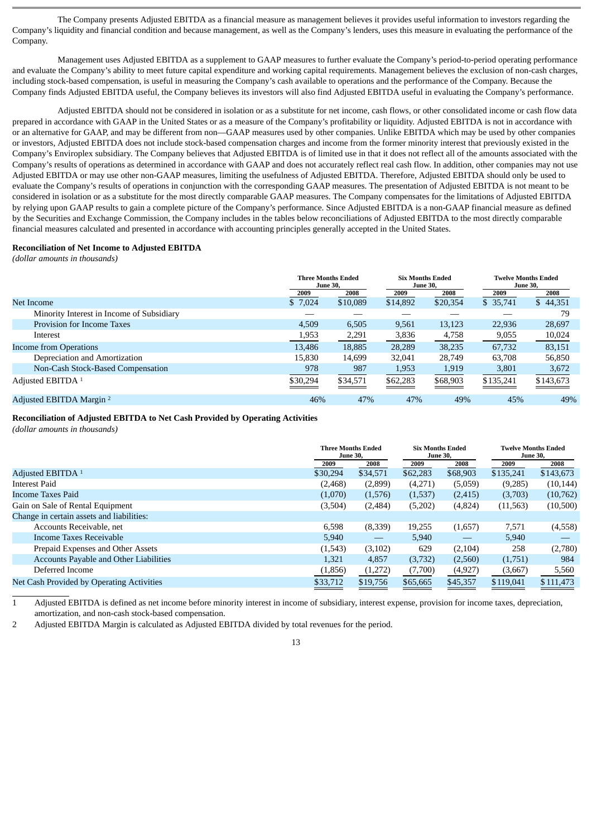The Company presents Adjusted EBITDA as a financial measure as management believes it provides useful information to investors regarding the Company's liquidity and financial condition and because management, as well as the Company's lenders, uses this measure in evaluating the performance of the Company.

Management uses Adjusted EBITDA as a supplement to GAAP measures to further evaluate the Company's period-to-period operating performance and evaluate the Company's ability to meet future capital expenditure and working capital requirements. Management believes the exclusion of non-cash charges, including stock-based compensation, is useful in measuring the Company's cash available to operations and the performance of the Company. Because the Company finds Adjusted EBITDA useful, the Company believes its investors will also find Adjusted EBITDA useful in evaluating the Company's performance.

Adjusted EBITDA should not be considered in isolation or as a substitute for net income, cash flows, or other consolidated income or cash flow data prepared in accordance with GAAP in the United States or as a measure of the Company's profitability or liquidity. Adjusted EBITDA is not in accordance with or an alternative for GAAP, and may be different from non—GAAP measures used by other companies. Unlike EBITDA which may be used by other companies or investors, Adjusted EBITDA does not include stock-based compensation charges and income from the former minority interest that previously existed in the Company's Enviroplex subsidiary. The Company believes that Adjusted EBITDA is of limited use in that it does not reflect all of the amounts associated with the Company's results of operations as determined in accordance with GAAP and does not accurately reflect real cash flow. In addition, other companies may not use Adjusted EBITDA or may use other non-GAAP measures, limiting the usefulness of Adjusted EBITDA. Therefore, Adjusted EBITDA should only be used to evaluate the Company's results of operations in conjunction with the corresponding GAAP measures. The presentation of Adjusted EBITDA is not meant to be considered in isolation or as a substitute for the most directly comparable GAAP measures. The Company compensates for the limitations of Adjusted EBITDA by relying upon GAAP results to gain a complete picture of the Company's performance. Since Adjusted EBITDA is a non-GAAP financial measure as defined by the Securities and Exchange Commission, the Company includes in the tables below reconciliations of Adjusted EBITDA to the most directly comparable financial measures calculated and presented in accordance with accounting principles generally accepted in the United States.

#### **Reconciliation of Net Income to Adjusted EBITDA**

*(dollar amounts in thousands)*

|                                           | <b>Three Months Ended</b><br><b>June 30,</b> |          | <b>Six Months Ended</b><br><b>June 30,</b> |          |           |              | <b>Twelve Months Ended</b><br><b>June 30,</b> |  |
|-------------------------------------------|----------------------------------------------|----------|--------------------------------------------|----------|-----------|--------------|-----------------------------------------------|--|
|                                           | 2009                                         | 2008     | 2009                                       | 2008     | 2009      | 2008         |                                               |  |
| Net Income                                | \$7,024                                      | \$10,089 | \$14,892                                   | \$20,354 | \$35,741  | 44,351<br>\$ |                                               |  |
| Minority Interest in Income of Subsidiary |                                              |          |                                            |          |           | 79           |                                               |  |
| Provision for Income Taxes                | 4,509                                        | 6,505    | 9,561                                      | 13,123   | 22,936    | 28,697       |                                               |  |
| Interest                                  | 1,953                                        | 2,291    | 3,836                                      | 4,758    | 9,055     | 10,024       |                                               |  |
| Income from Operations                    | 13,486                                       | 18,885   | 28,289                                     | 38,235   | 67,732    | 83,151       |                                               |  |
| Depreciation and Amortization             | 15,830                                       | 14,699   | 32.041                                     | 28,749   | 63,708    | 56,850       |                                               |  |
| Non-Cash Stock-Based Compensation         | 978                                          | 987      | 1,953                                      | 1,919    | 3,801     | 3,672        |                                               |  |
| Adjusted EBITDA <sup>1</sup>              | \$30,294                                     | \$34,571 | \$62,283                                   | \$68,903 | \$135,241 | \$143,673    |                                               |  |
| Adjusted EBITDA Margin <sup>2</sup>       | 46%                                          | 47%      | 47%                                        | 49%      | 45%       | 49%          |                                               |  |

# **Reconciliation of Adjusted EBITDA to Net Cash Provided by Operating Activities**

*(dollar amounts in thousands)*

|                                           | <b>Three Months Ended</b><br><b>June 30,</b> |                                | <b>Six Months Ended</b><br><b>June 30,</b> |          | <b>Twelve Months Ended</b><br><b>June 30,</b> |           |
|-------------------------------------------|----------------------------------------------|--------------------------------|--------------------------------------------|----------|-----------------------------------------------|-----------|
|                                           | 2009                                         | 2008                           | 2009                                       | 2008     | 2009                                          | 2008      |
| Adjusted EBITDA <sup>1</sup>              | \$30,294                                     | \$34,571                       | \$62,283                                   | \$68,903 | \$135,241                                     | \$143,673 |
| Interest Paid                             | (2,468)                                      | (2,899)                        | (4,271)                                    | (5,059)  | (9,285)                                       | (10, 144) |
| Income Taxes Paid                         | (1,070)                                      | (1,576)                        | (1,537)                                    | (2, 415) | (3,703)                                       | (10,762)  |
| Gain on Sale of Rental Equipment          | (3,504)                                      | (2,484)                        | (5,202)                                    | (4,824)  | (11, 563)                                     | (10,500)  |
| Change in certain assets and liabilities: |                                              |                                |                                            |          |                                               |           |
| Accounts Receivable, net                  | 6,598                                        | (8,339)                        | 19,255                                     | (1,657)  | 7,571                                         | (4,558)   |
| Income Taxes Receivable                   | 5,940                                        | $\qquad \qquad \longleftarrow$ | 5,940                                      |          | 5,940                                         |           |
| Prepaid Expenses and Other Assets         | (1,543)                                      | (3, 102)                       | 629                                        | (2,104)  | 258                                           | (2,780)   |
| Accounts Payable and Other Liabilities    | 1,321                                        | 4,857                          | (3,732)                                    | (2,560)  | (1,751)                                       | 984       |
| Deferred Income                           | (1,856)                                      | (1,272)                        | (7,700)                                    | (4,927)  | (3,667)                                       | 5,560     |
| Net Cash Provided by Operating Activities | \$33,712                                     | \$19,756                       | \$65,665                                   | \$45,357 | \$119,041                                     | \$111,473 |

1 Adjusted EBITDA is defined as net income before minority interest in income of subsidiary, interest expense, provision for income taxes, depreciation, amortization, and non-cash stock-based compensation.

2 Adjusted EBITDA Margin is calculated as Adjusted EBITDA divided by total revenues for the period.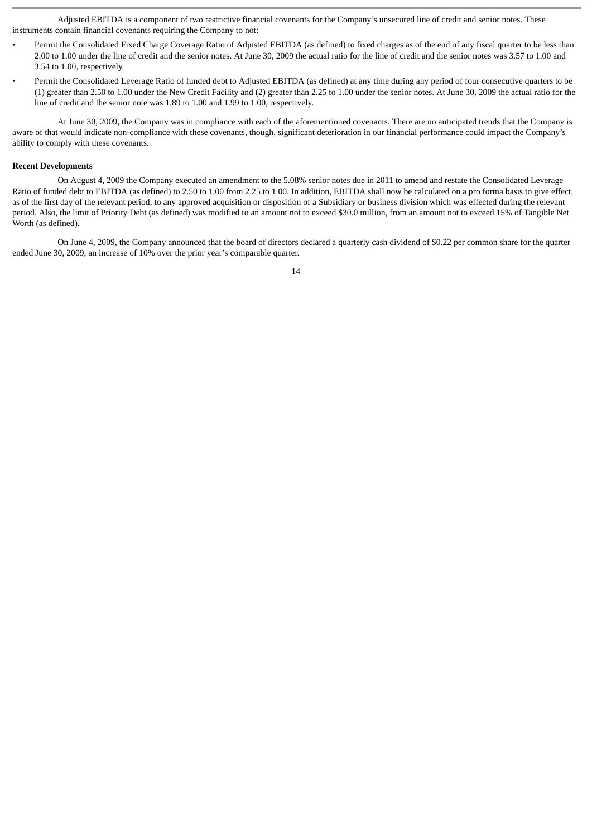Adjusted EBITDA is a component of two restrictive financial covenants for the Company's unsecured line of credit and senior notes. These instruments contain financial covenants requiring the Company to not:

- Permit the Consolidated Fixed Charge Coverage Ratio of Adjusted EBITDA (as defined) to fixed charges as of the end of any fiscal quarter to be less than 2.00 to 1.00 under the line of credit and the senior notes. At June 30, 2009 the actual ratio for the line of credit and the senior notes was 3.57 to 1.00 and 3.54 to 1.00, respectively.
- Permit the Consolidated Leverage Ratio of funded debt to Adjusted EBITDA (as defined) at any time during any period of four consecutive quarters to be (1) greater than 2.50 to 1.00 under the New Credit Facility and (2) greater than 2.25 to 1.00 under the senior notes. At June 30, 2009 the actual ratio for the line of credit and the senior note was 1.89 to 1.00 and 1.99 to 1.00, respectively.

At June 30, 2009, the Company was in compliance with each of the aforementioned covenants. There are no anticipated trends that the Company is aware of that would indicate non-compliance with these covenants, though, significant deterioration in our financial performance could impact the Company's ability to comply with these covenants.

# **Recent Developments**

On August 4, 2009 the Company executed an amendment to the 5.08% senior notes due in 2011 to amend and restate the Consolidated Leverage Ratio of funded debt to EBITDA (as defined) to 2.50 to 1.00 from 2.25 to 1.00. In addition, EBITDA shall now be calculated on a pro forma basis to give effect, as of the first day of the relevant period, to any approved acquisition or disposition of a Subsidiary or business division which was effected during the relevant period. Also, the limit of Priority Debt (as defined) was modified to an amount not to exceed \$30.0 million, from an amount not to exceed 15% of Tangible Net Worth (as defined).

On June 4, 2009, the Company announced that the board of directors declared a quarterly cash dividend of \$0.22 per common share for the quarter ended June 30, 2009, an increase of 10% over the prior year's comparable quarter.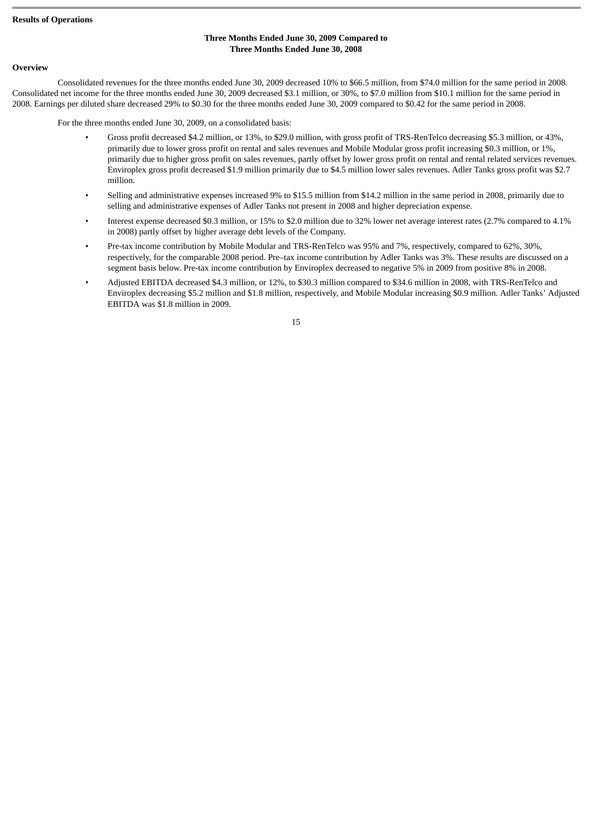# **Results of Operations**

# **Three Months Ended June 30, 2009 Compared to Three Months Ended June 30, 2008**

#### **Overview**

Consolidated revenues for the three months ended June 30, 2009 decreased 10% to \$66.5 million, from \$74.0 million for the same period in 2008. Consolidated net income for the three months ended June 30, 2009 decreased \$3.1 million, or 30%, to \$7.0 million from \$10.1 million for the same period in 2008. Earnings per diluted share decreased 29% to \$0.30 for the three months ended June 30, 2009 compared to \$0.42 for the same period in 2008.

For the three months ended June 30, 2009, on a consolidated basis:

- Gross profit decreased \$4.2 million, or 13%, to \$29.0 million, with gross profit of TRS-RenTelco decreasing \$5.3 million, or 43%, primarily due to lower gross profit on rental and sales revenues and Mobile Modular gross profit increasing \$0.3 million, or 1%, primarily due to higher gross profit on sales revenues, partly offset by lower gross profit on rental and rental related services revenues. Enviroplex gross profit decreased \$1.9 million primarily due to \$4.5 million lower sales revenues. Adler Tanks gross profit was \$2.7 million.
- Selling and administrative expenses increased 9% to \$15.5 million from \$14.2 million in the same period in 2008, primarily due to selling and administrative expenses of Adler Tanks not present in 2008 and higher depreciation expense.
- Interest expense decreased \$0.3 million, or 15% to \$2.0 million due to 32% lower net average interest rates (2.7% compared to 4.1% in 2008) partly offset by higher average debt levels of the Company.
- Pre-tax income contribution by Mobile Modular and TRS-RenTelco was 95% and 7%, respectively, compared to 62%, 30%, respectively, for the comparable 2008 period. Pre–tax income contribution by Adler Tanks was 3%. These results are discussed on a segment basis below. Pre-tax income contribution by Enviroplex decreased to negative 5% in 2009 from positive 8% in 2008.
- Adjusted EBITDA decreased \$4.3 million, or 12%, to \$30.3 million compared to \$34.6 million in 2008, with TRS-RenTelco and Enviroplex decreasing \$5.2 million and \$1.8 million, respectively, and Mobile Modular increasing \$0.9 million. Adler Tanks' Adjusted EBITDA was \$1.8 million in 2009.

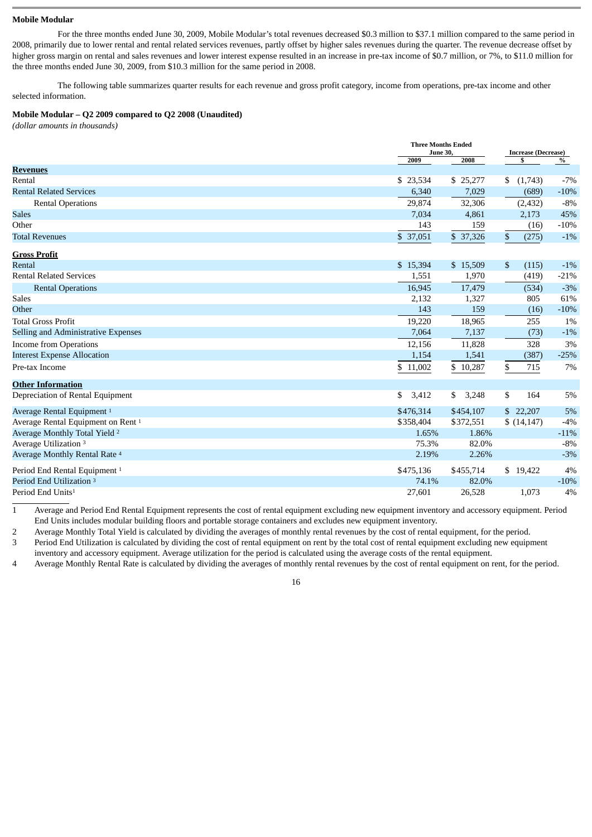# **Mobile Modular**

For the three months ended June 30, 2009, Mobile Modular's total revenues decreased \$0.3 million to \$37.1 million compared to the same period in 2008, primarily due to lower rental and rental related services revenues, partly offset by higher sales revenues during the quarter. The revenue decrease offset by higher gross margin on rental and sales revenues and lower interest expense resulted in an increase in pre-tax income of \$0.7 million, or 7%, to \$11.0 million for the three months ended June 30, 2009, from \$10.3 million for the same period in 2008.

The following table summarizes quarter results for each revenue and gross profit category, income from operations, pre-tax income and other selected information.

# **Mobile Modular – Q2 2009 compared to Q2 2008 (Unaudited)**

*(dollar amounts in thousands)*

|                                               | <b>Three Months Ended</b> |             | <b>Increase (Decrease)</b> |        |  |
|-----------------------------------------------|---------------------------|-------------|----------------------------|--------|--|
|                                               | June 30,<br>2009          | 2008        | \$                         | %      |  |
| <b>Revenues</b>                               |                           |             |                            |        |  |
| Rental                                        | \$23,534                  | \$25,277    | (1,743)<br>\$              | $-7%$  |  |
| <b>Rental Related Services</b>                | 6,340                     | 7,029       | (689)                      | $-10%$ |  |
| <b>Rental Operations</b>                      | 29,874                    | 32,306      | (2, 432)                   | $-8%$  |  |
| <b>Sales</b>                                  | 7,034                     | 4,861       | 2,173                      | 45%    |  |
| Other                                         | 143                       | 159         | (16)                       | $-10%$ |  |
| <b>Total Revenues</b>                         | \$ 37,051                 | \$ 37,326   | \$<br>(275)                | $-1%$  |  |
| <b>Gross Profit</b>                           |                           |             |                            |        |  |
| Rental                                        | \$15,394                  | \$15,509    | \$<br>(115)                | $-1%$  |  |
| <b>Rental Related Services</b>                | 1,551                     | 1,970       | (419)                      | $-21%$ |  |
| <b>Rental Operations</b>                      | 16,945                    | 17,479      | (534)                      | $-3%$  |  |
| <b>Sales</b>                                  | 2,132                     | 1,327       | 805                        | 61%    |  |
| Other                                         | 143                       | 159         | (16)                       | $-10%$ |  |
| <b>Total Gross Profit</b>                     | 19,220                    | 18,965      | 255                        | 1%     |  |
| Selling and Administrative Expenses           | 7,064                     | 7,137       | (73)                       | $-1%$  |  |
| <b>Income from Operations</b>                 | 12,156                    | 11,828      | 328                        | 3%     |  |
| <b>Interest Expense Allocation</b>            | 1,154                     | 1,541       | (387)                      | $-25%$ |  |
| Pre-tax Income                                | \$11,002                  | \$10,287    | \$<br>715                  | 7%     |  |
| <b>Other Information</b>                      |                           |             |                            |        |  |
| Depreciation of Rental Equipment              | 3,412<br>\$               | 3,248<br>\$ | \$<br>164                  | 5%     |  |
| Average Rental Equipment <sup>1</sup>         | \$476,314                 | \$454,107   | \$22,207                   | 5%     |  |
| Average Rental Equipment on Rent <sup>1</sup> | \$358,404                 | \$372,551   | \$(14, 147)                | $-4%$  |  |
| Average Monthly Total Yield <sup>2</sup>      | 1.65%                     | 1.86%       |                            | $-11%$ |  |
| Average Utilization <sup>3</sup>              | 75.3%                     | 82.0%       |                            | $-8%$  |  |
| Average Monthly Rental Rate 4                 | 2.19%                     | 2.26%       |                            | $-3%$  |  |
| Period End Rental Equipment <sup>1</sup>      | \$475,136                 | \$455,714   | \$19,422                   | 4%     |  |
| Period End Utilization <sup>3</sup>           | 74.1%                     | 82.0%       |                            | $-10%$ |  |
| Period End Units <sup>1</sup>                 | 27,601                    | 26,528      | 1,073                      | 4%     |  |

1 Average and Period End Rental Equipment represents the cost of rental equipment excluding new equipment inventory and accessory equipment. Period End Units includes modular building floors and portable storage containers and excludes new equipment inventory.

2 Average Monthly Total Yield is calculated by dividing the averages of monthly rental revenues by the cost of rental equipment, for the period.

3 Period End Utilization is calculated by dividing the cost of rental equipment on rent by the total cost of rental equipment excluding new equipment inventory and accessory equipment. Average utilization for the period is calculated using the average costs of the rental equipment.

4 Average Monthly Rental Rate is calculated by dividing the averages of monthly rental revenues by the cost of rental equipment on rent, for the period.

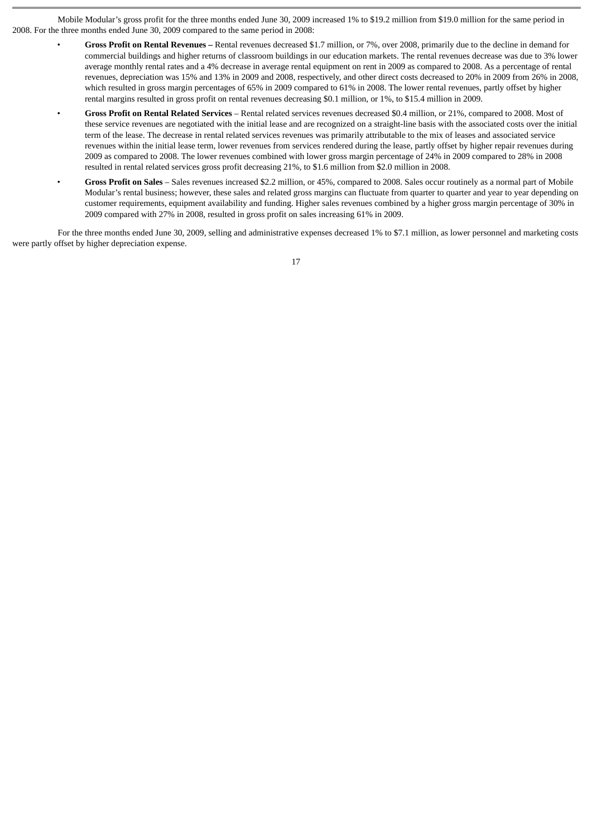Mobile Modular's gross profit for the three months ended June 30, 2009 increased 1% to \$19.2 million from \$19.0 million for the same period in 2008. For the three months ended June 30, 2009 compared to the same period in 2008:

- **Gross Profit on Rental Revenues** Rental revenues decreased \$1.7 million, or 7%, over 2008, primarily due to the decline in demand for commercial buildings and higher returns of classroom buildings in our education markets. The rental revenues decrease was due to 3% lower average monthly rental rates and a 4% decrease in average rental equipment on rent in 2009 as compared to 2008. As a percentage of rental revenues, depreciation was 15% and 13% in 2009 and 2008, respectively, and other direct costs decreased to 20% in 2009 from 26% in 2008, which resulted in gross margin percentages of 65% in 2009 compared to 61% in 2008. The lower rental revenues, partly offset by higher rental margins resulted in gross profit on rental revenues decreasing \$0.1 million, or 1%, to \$15.4 million in 2009.
- **Gross Profit on Rental Related Services**  Rental related services revenues decreased \$0.4 million, or 21%, compared to 2008. Most of these service revenues are negotiated with the initial lease and are recognized on a straight-line basis with the associated costs over the initial term of the lease. The decrease in rental related services revenues was primarily attributable to the mix of leases and associated service revenues within the initial lease term, lower revenues from services rendered during the lease, partly offset by higher repair revenues during 2009 as compared to 2008. The lower revenues combined with lower gross margin percentage of 24% in 2009 compared to 28% in 2008 resulted in rental related services gross profit decreasing 21%, to \$1.6 million from \$2.0 million in 2008.
- **Gross Profit on Sales**  Sales revenues increased \$2.2 million, or 45%, compared to 2008. Sales occur routinely as a normal part of Mobile Modular's rental business; however, these sales and related gross margins can fluctuate from quarter to quarter and year to year depending on customer requirements, equipment availability and funding. Higher sales revenues combined by a higher gross margin percentage of 30% in 2009 compared with 27% in 2008, resulted in gross profit on sales increasing 61% in 2009.

For the three months ended June 30, 2009, selling and administrative expenses decreased 1% to \$7.1 million, as lower personnel and marketing costs were partly offset by higher depreciation expense.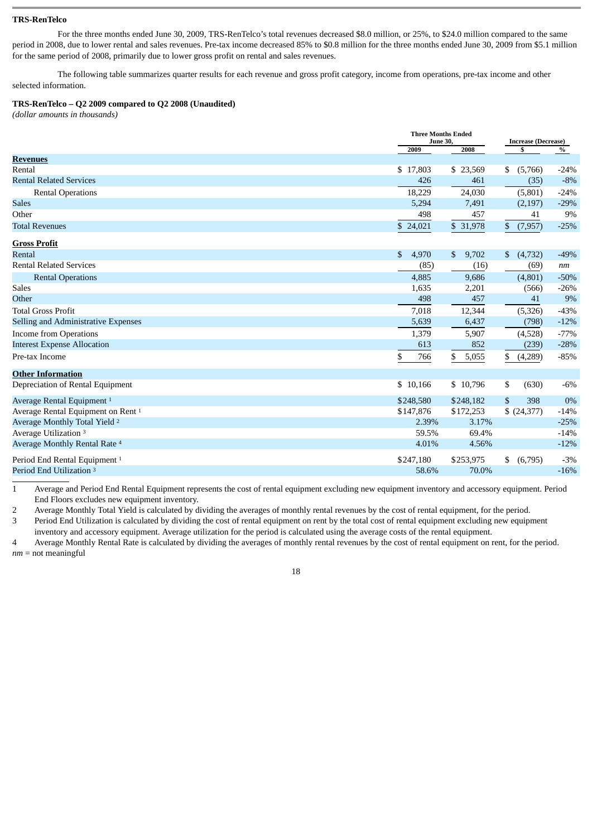# **TRS-RenTelco**

For the three months ended June 30, 2009, TRS-RenTelco's total revenues decreased \$8.0 million, or 25%, to \$24.0 million compared to the same period in 2008, due to lower rental and sales revenues. Pre-tax income decreased 85% to \$0.8 million for the three months ended June 30, 2009 from \$5.1 million for the same period of 2008, primarily due to lower gross profit on rental and sales revenues.

The following table summarizes quarter results for each revenue and gross profit category, income from operations, pre-tax income and other selected information.

# **TRS-RenTelco – Q2 2009 compared to Q2 2008 (Unaudited)**

*(dollar amounts in thousands)*

|                                               |             | <b>Three Months Ended</b> |                            |        |
|-----------------------------------------------|-------------|---------------------------|----------------------------|--------|
|                                               |             | <b>June 30,</b>           | <b>Increase (Decrease)</b> |        |
| <b>Revenues</b>                               | 2009        | 2008                      | S                          | %      |
| Rental                                        | \$17,803    | \$23,569                  | (5,766)<br>\$              | $-24%$ |
| <b>Rental Related Services</b>                | 426         | 461                       |                            | $-8%$  |
|                                               |             |                           | (35)                       |        |
| <b>Rental Operations</b>                      | 18,229      | 24,030                    | (5,801)                    | $-24%$ |
| <b>Sales</b>                                  | 5,294       | 7,491                     | (2, 197)                   | $-29%$ |
| Other                                         | 498         | 457                       | 41                         | 9%     |
| <b>Total Revenues</b>                         | \$24,021    | \$ 31,978                 | \$<br>(7, 957)             | $-25%$ |
| <b>Gross Profit</b>                           |             |                           |                            |        |
| Rental                                        | \$<br>4,970 | \$<br>9,702               | \$<br>(4,732)              | $-49%$ |
| <b>Rental Related Services</b>                | (85)        | (16)                      | (69)                       | nm     |
| <b>Rental Operations</b>                      | 4,885       | 9,686                     | (4,801)                    | $-50%$ |
| <b>Sales</b>                                  | 1,635       | 2,201                     | (566)                      | $-26%$ |
| Other                                         | 498         | 457                       | 41                         | 9%     |
| <b>Total Gross Profit</b>                     | 7,018       | 12,344                    | (5, 326)                   | $-43%$ |
| Selling and Administrative Expenses           | 5,639       | 6,437                     | (798)                      | $-12%$ |
| <b>Income from Operations</b>                 | 1,379       | 5,907                     | (4,528)                    | $-77%$ |
| <b>Interest Expense Allocation</b>            | 613         | 852                       | (239)                      | $-28%$ |
| Pre-tax Income                                | \$<br>766   | \$<br>5,055               | \$<br>(4,289)              | $-85%$ |
| <b>Other Information</b>                      |             |                           |                            |        |
| Depreciation of Rental Equipment              | \$10,166    | \$10,796                  | \$<br>(630)                | $-6%$  |
| Average Rental Equipment <sup>1</sup>         | \$248,580   | \$248,182                 | \$<br>398                  | 0%     |
| Average Rental Equipment on Rent <sup>1</sup> | \$147,876   | \$172,253                 | \$(24,377)                 | $-14%$ |
| Average Monthly Total Yield <sup>2</sup>      | 2.39%       | 3.17%                     |                            | $-25%$ |
| Average Utilization <sup>3</sup>              | 59.5%       | 69.4%                     |                            | $-14%$ |
| Average Monthly Rental Rate <sup>4</sup>      | 4.01%       | 4.56%                     |                            | $-12%$ |
| Period End Rental Equipment <sup>1</sup>      | \$247,180   | \$253,975                 | (6,795)<br>\$              | $-3%$  |
| Period End Utilization <sup>3</sup>           | 58.6%       | 70.0%                     |                            | $-16%$ |

1 Average and Period End Rental Equipment represents the cost of rental equipment excluding new equipment inventory and accessory equipment. Period End Floors excludes new equipment inventory.

2 Average Monthly Total Yield is calculated by dividing the averages of monthly rental revenues by the cost of rental equipment, for the period.

3 Period End Utilization is calculated by dividing the cost of rental equipment on rent by the total cost of rental equipment excluding new equipment inventory and accessory equipment. Average utilization for the period is calculated using the average costs of the rental equipment.

4 Average Monthly Rental Rate is calculated by dividing the averages of monthly rental revenues by the cost of rental equipment on rent, for the period. *nm* = not meaningful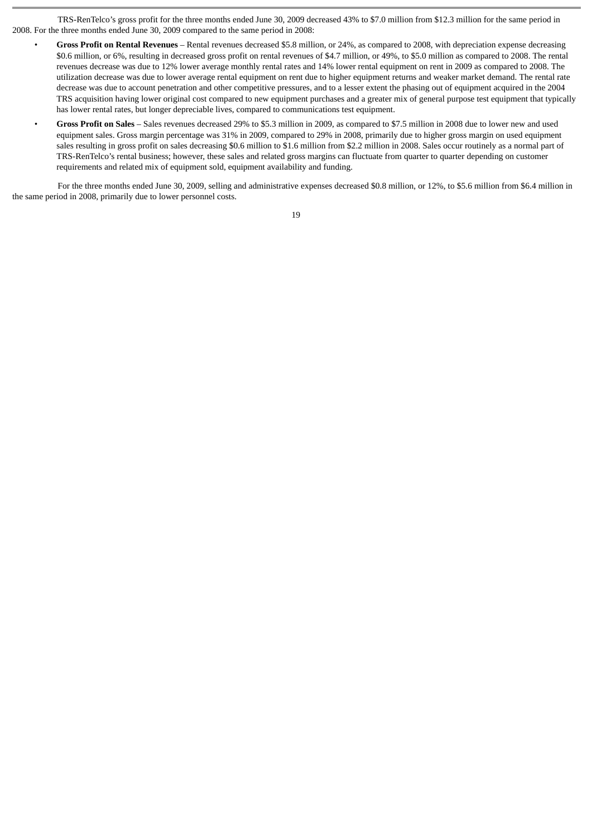TRS-RenTelco's gross profit for the three months ended June 30, 2009 decreased 43% to \$7.0 million from \$12.3 million for the same period in 2008. For the three months ended June 30, 2009 compared to the same period in 2008:

- **Gross Profit on Rental Revenues**  Rental revenues decreased \$5.8 million, or 24%, as compared to 2008, with depreciation expense decreasing \$0.6 million, or 6%, resulting in decreased gross profit on rental revenues of \$4.7 million, or 49%, to \$5.0 million as compared to 2008. The rental revenues decrease was due to 12% lower average monthly rental rates and 14% lower rental equipment on rent in 2009 as compared to 2008. The utilization decrease was due to lower average rental equipment on rent due to higher equipment returns and weaker market demand. The rental rate decrease was due to account penetration and other competitive pressures, and to a lesser extent the phasing out of equipment acquired in the 2004 TRS acquisition having lower original cost compared to new equipment purchases and a greater mix of general purpose test equipment that typically has lower rental rates, but longer depreciable lives, compared to communications test equipment.
- **Gross Profit on Sales**  Sales revenues decreased 29% to \$5.3 million in 2009, as compared to \$7.5 million in 2008 due to lower new and used equipment sales. Gross margin percentage was 31% in 2009, compared to 29% in 2008, primarily due to higher gross margin on used equipment sales resulting in gross profit on sales decreasing \$0.6 million to \$1.6 million from \$2.2 million in 2008. Sales occur routinely as a normal part of TRS-RenTelco's rental business; however, these sales and related gross margins can fluctuate from quarter to quarter depending on customer requirements and related mix of equipment sold, equipment availability and funding.

For the three months ended June 30, 2009, selling and administrative expenses decreased \$0.8 million, or 12%, to \$5.6 million from \$6.4 million in the same period in 2008, primarily due to lower personnel costs.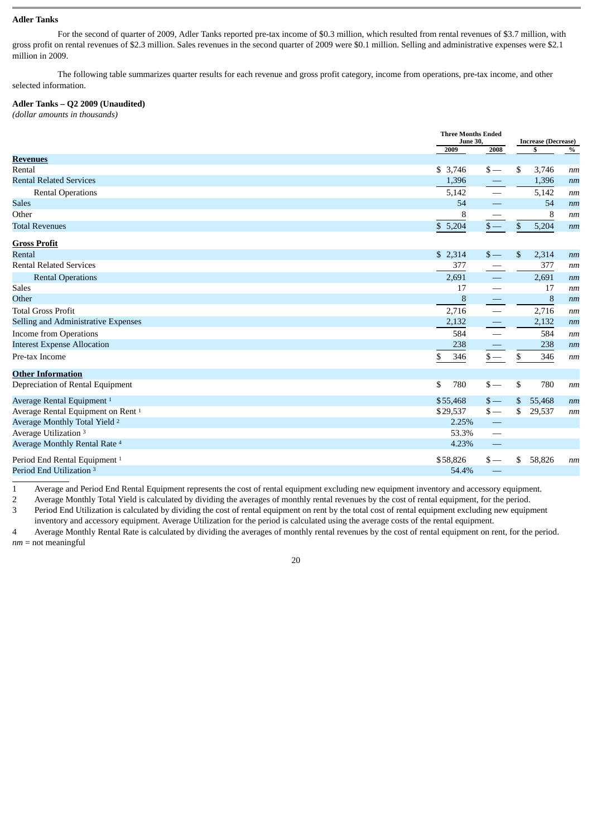# **Adler Tanks**

For the second of quarter of 2009, Adler Tanks reported pre-tax income of \$0.3 million, which resulted from rental revenues of \$3.7 million, with gross profit on rental revenues of \$2.3 million. Sales revenues in the second quarter of 2009 were \$0.1 million. Selling and administrative expenses were \$2.1 million in 2009.

The following table summarizes quarter results for each revenue and gross profit category, income from operations, pre-tax income, and other selected information.

# **Adler Tanks – Q2 2009 (Unaudited)**

*(dollar amounts in thousands)*

|                                               |           | <b>Three Months Ended</b><br><b>June 30,</b> |    |        | <b>Increase (Decrease)</b> |
|-----------------------------------------------|-----------|----------------------------------------------|----|--------|----------------------------|
|                                               | 2009      | 2008                                         |    | S      | $\%$                       |
| <b>Revenues</b>                               |           |                                              |    |        |                            |
| Rental                                        | \$3,746   | $s-$                                         | \$ | 3,746  | nm                         |
| <b>Rental Related Services</b>                | 1,396     |                                              |    | 1,396  | nm                         |
| <b>Rental Operations</b>                      | 5,142     |                                              |    | 5,142  | nm                         |
| <b>Sales</b>                                  | 54        |                                              |    | 54     | nm                         |
| Other                                         | 8         |                                              |    | 8      | nm                         |
| <b>Total Revenues</b>                         | \$5,204   | $$-$                                         | \$ | 5,204  | nm                         |
| <b>Gross Profit</b>                           |           |                                              |    |        |                            |
| Rental                                        | \$2,314   | $s-$                                         | \$ | 2,314  | nm                         |
| <b>Rental Related Services</b>                | 377       |                                              |    | 377    | nm                         |
| <b>Rental Operations</b>                      | 2,691     |                                              |    | 2,691  | nm                         |
| <b>Sales</b>                                  | 17        |                                              |    | 17     | nm                         |
| Other                                         | 8         |                                              |    | 8      | nm                         |
| <b>Total Gross Profit</b>                     | 2,716     |                                              |    | 2,716  | nm                         |
| Selling and Administrative Expenses           | 2,132     |                                              |    | 2,132  | nm                         |
| <b>Income from Operations</b>                 | 584       |                                              |    | 584    | nm                         |
| <b>Interest Expense Allocation</b>            | 238       |                                              |    | 238    | nm                         |
| Pre-tax Income                                | 346<br>\$ | $\frac{\epsilon}{2}$                         | \$ | 346    | nm                         |
| <b>Other Information</b>                      |           |                                              |    |        |                            |
| Depreciation of Rental Equipment              | \$<br>780 | $S -$                                        | \$ | 780    | nm                         |
| Average Rental Equipment <sup>1</sup>         | \$55,468  | $$-$                                         | \$ | 55,468 | nm                         |
| Average Rental Equipment on Rent <sup>1</sup> | \$29,537  | $s-$                                         | \$ | 29,537 | nm                         |
| Average Monthly Total Yield <sup>2</sup>      | 2.25%     |                                              |    |        |                            |
| Average Utilization <sup>3</sup>              | 53.3%     |                                              |    |        |                            |
| Average Monthly Rental Rate <sup>4</sup>      | 4.23%     |                                              |    |        |                            |
| Period End Rental Equipment <sup>1</sup>      | \$58,826  | $s-$                                         | \$ | 58,826 | nm                         |
| Period End Utilization <sup>3</sup>           | 54.4%     |                                              |    |        |                            |

1 Average and Period End Rental Equipment represents the cost of rental equipment excluding new equipment inventory and accessory equipment.

2 Average Monthly Total Yield is calculated by dividing the averages of monthly rental revenues by the cost of rental equipment, for the period.<br>2 Period End Utilization is calculated by dividing the cost of rental equipme

3 Period End Utilization is calculated by dividing the cost of rental equipment on rent by the total cost of rental equipment excluding new equipment

inventory and accessory equipment. Average Utilization for the period is calculated using the average costs of the rental equipment.

4 Average Monthly Rental Rate is calculated by dividing the averages of monthly rental revenues by the cost of rental equipment on rent, for the period. *nm* = not meaningful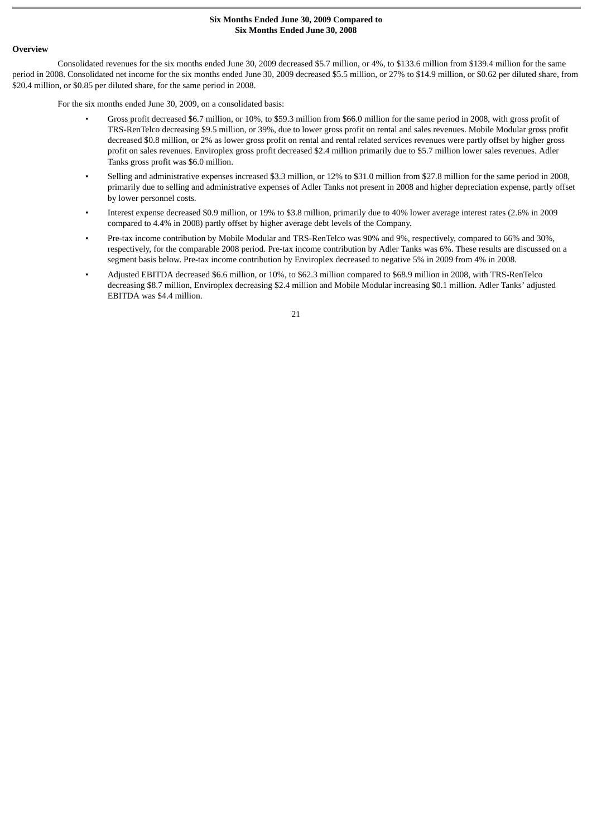#### **Six Months Ended June 30, 2009 Compared to Six Months Ended June 30, 2008**

#### **Overview**

Consolidated revenues for the six months ended June 30, 2009 decreased \$5.7 million, or 4%, to \$133.6 million from \$139.4 million for the same period in 2008. Consolidated net income for the six months ended June 30, 2009 decreased \$5.5 million, or 27% to \$14.9 million, or \$0.62 per diluted share, from \$20.4 million, or \$0.85 per diluted share, for the same period in 2008.

For the six months ended June 30, 2009, on a consolidated basis:

- Gross profit decreased \$6.7 million, or 10%, to \$59.3 million from \$66.0 million for the same period in 2008, with gross profit of TRS-RenTelco decreasing \$9.5 million, or 39%, due to lower gross profit on rental and sales revenues. Mobile Modular gross profit decreased \$0.8 million, or 2% as lower gross profit on rental and rental related services revenues were partly offset by higher gross profit on sales revenues. Enviroplex gross profit decreased \$2.4 million primarily due to \$5.7 million lower sales revenues. Adler Tanks gross profit was \$6.0 million.
- Selling and administrative expenses increased \$3.3 million, or 12% to \$31.0 million from \$27.8 million for the same period in 2008, primarily due to selling and administrative expenses of Adler Tanks not present in 2008 and higher depreciation expense, partly offset by lower personnel costs.
- Interest expense decreased \$0.9 million, or 19% to \$3.8 million, primarily due to 40% lower average interest rates (2.6% in 2009 compared to 4.4% in 2008) partly offset by higher average debt levels of the Company.
- Pre-tax income contribution by Mobile Modular and TRS-RenTelco was 90% and 9%, respectively, compared to 66% and 30%, respectively, for the comparable 2008 period. Pre-tax income contribution by Adler Tanks was 6%. These results are discussed on a segment basis below. Pre-tax income contribution by Enviroplex decreased to negative 5% in 2009 from 4% in 2008.
- Adjusted EBITDA decreased \$6.6 million, or 10%, to \$62.3 million compared to \$68.9 million in 2008, with TRS-RenTelco decreasing \$8.7 million, Enviroplex decreasing \$2.4 million and Mobile Modular increasing \$0.1 million. Adler Tanks' adjusted EBITDA was \$4.4 million.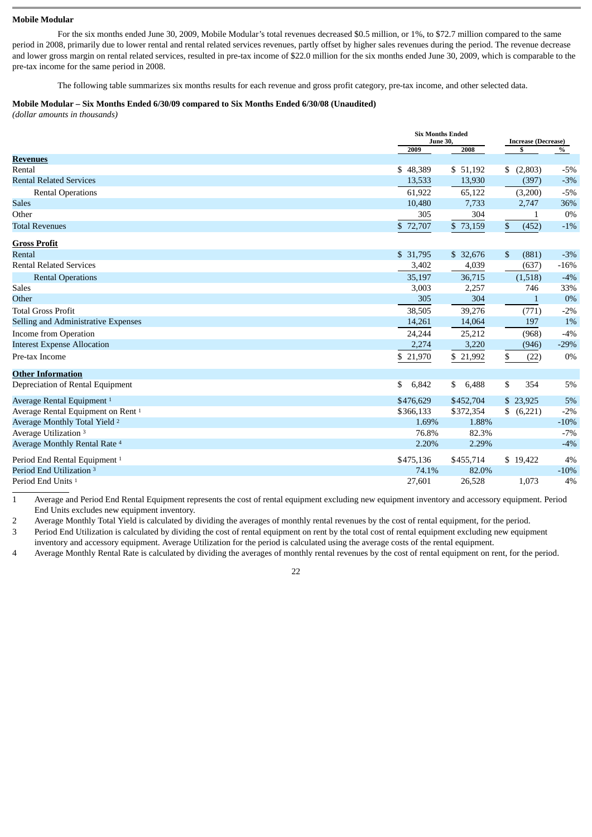# **Mobile Modular**

For the six months ended June 30, 2009, Mobile Modular's total revenues decreased \$0.5 million, or 1%, to \$72.7 million compared to the same period in 2008, primarily due to lower rental and rental related services revenues, partly offset by higher sales revenues during the period. The revenue decrease and lower gross margin on rental related services, resulted in pre-tax income of \$22.0 million for the six months ended June 30, 2009, which is comparable to the pre-tax income for the same period in 2008.

The following table summarizes six months results for each revenue and gross profit category, pre-tax income, and other selected data.

# **Mobile Modular – Six Months Ended 6/30/09 compared to Six Months Ended 6/30/08 (Unaudited)** *(dollar amounts in thousands)*

|                                               |             | <b>Six Months Ended</b><br><b>June 30,</b> |               | <b>Increase (Decrease)</b> |  |
|-----------------------------------------------|-------------|--------------------------------------------|---------------|----------------------------|--|
|                                               | 2009        | 2008                                       | S             | %                          |  |
| <b>Revenues</b>                               |             |                                            |               |                            |  |
| Rental                                        | \$48,389    | \$51,192                                   | (2,803)<br>\$ | $-5%$                      |  |
| <b>Rental Related Services</b>                | 13,533      | 13,930                                     | (397)         | $-3%$                      |  |
| <b>Rental Operations</b>                      | 61,922      | 65,122                                     | (3,200)       | $-5%$                      |  |
| <b>Sales</b>                                  | 10,480      | 7,733                                      | 2,747         | 36%                        |  |
| Other                                         | 305         | 304                                        | 1             | 0%                         |  |
| <b>Total Revenues</b>                         | \$72,707    | \$73,159                                   | \$<br>(452)   | $-1%$                      |  |
| <b>Gross Profit</b>                           |             |                                            |               |                            |  |
| Rental                                        | \$ 31,795   | \$ 32,676                                  | \$<br>(881)   | $-3%$                      |  |
| <b>Rental Related Services</b>                | 3,402       | 4,039                                      | (637)         | $-16%$                     |  |
| <b>Rental Operations</b>                      | 35,197      | 36,715                                     | (1,518)       | $-4%$                      |  |
| <b>Sales</b>                                  | 3,003       | 2,257                                      | 746           | 33%                        |  |
| Other                                         | 305         | 304                                        | $\mathbf{1}$  | 0%                         |  |
| <b>Total Gross Profit</b>                     | 38,505      | 39,276                                     | (771)         | $-2%$                      |  |
| Selling and Administrative Expenses           | 14,261      | 14,064                                     | 197           | 1%                         |  |
| Income from Operation                         | 24,244      | 25,212                                     | (968)         | $-4%$                      |  |
| <b>Interest Expense Allocation</b>            | 2,274       | 3,220                                      | (946)         | $-29%$                     |  |
| Pre-tax Income                                | \$21,970    | \$21,992                                   | \$<br>(22)    | 0%                         |  |
| <b>Other Information</b>                      |             |                                            |               |                            |  |
| Depreciation of Rental Equipment              | 6,842<br>\$ | 6,488<br>\$                                | \$<br>354     | 5%                         |  |
| Average Rental Equipment <sup>1</sup>         | \$476,629   | \$452,704                                  | \$23,925      | 5%                         |  |
| Average Rental Equipment on Rent <sup>1</sup> | \$366,133   | \$372,354                                  | \$ (6,221)    | $-2%$                      |  |
| Average Monthly Total Yield <sup>2</sup>      | 1.69%       | 1.88%                                      |               | $-10%$                     |  |
| Average Utilization <sup>3</sup>              | 76.8%       | 82.3%                                      |               | $-7%$                      |  |
| Average Monthly Rental Rate <sup>4</sup>      | 2.20%       | 2.29%                                      |               | $-4%$                      |  |
| Period End Rental Equipment <sup>1</sup>      | \$475,136   | \$455,714                                  | \$19,422      | 4%                         |  |
| Period End Utilization <sup>3</sup>           | 74.1%       | 82.0%                                      |               | $-10%$                     |  |
| Period End Units <sup>1</sup>                 | 27,601      | 26,528                                     | 1,073         | 4%                         |  |

1 Average and Period End Rental Equipment represents the cost of rental equipment excluding new equipment inventory and accessory equipment. Period End Units excludes new equipment inventory.

2 Average Monthly Total Yield is calculated by dividing the averages of monthly rental revenues by the cost of rental equipment, for the period.

3 Period End Utilization is calculated by dividing the cost of rental equipment on rent by the total cost of rental equipment excluding new equipment inventory and accessory equipment. Average Utilization for the period is calculated using the average costs of the rental equipment.

4 Average Monthly Rental Rate is calculated by dividing the averages of monthly rental revenues by the cost of rental equipment on rent, for the period.

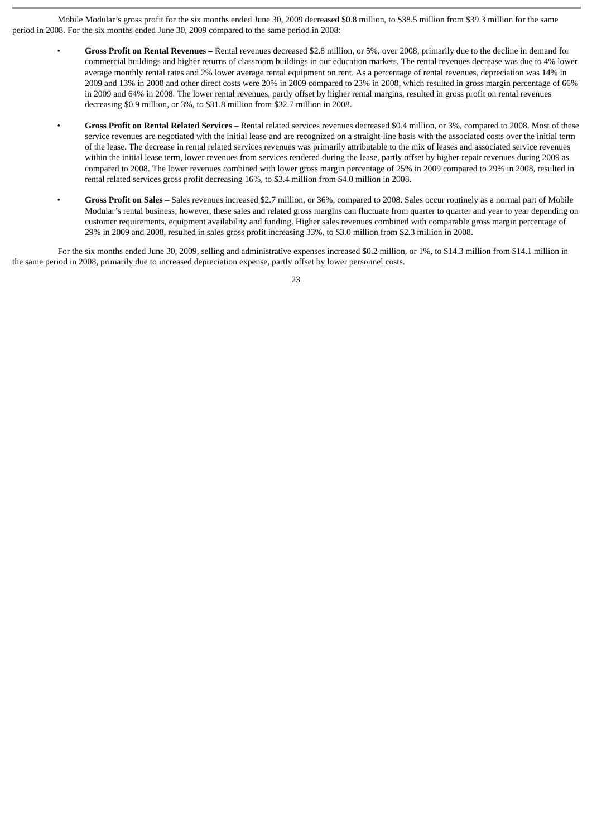Mobile Modular's gross profit for the six months ended June 30, 2009 decreased \$0.8 million, to \$38.5 million from \$39.3 million for the same period in 2008. For the six months ended June 30, 2009 compared to the same period in 2008:

- **Gross Profit on Rental Revenues** Rental revenues decreased \$2.8 million, or 5%, over 2008, primarily due to the decline in demand for commercial buildings and higher returns of classroom buildings in our education markets. The rental revenues decrease was due to 4% lower average monthly rental rates and 2% lower average rental equipment on rent. As a percentage of rental revenues, depreciation was 14% in 2009 and 13% in 2008 and other direct costs were 20% in 2009 compared to 23% in 2008, which resulted in gross margin percentage of 66% in 2009 and 64% in 2008. The lower rental revenues, partly offset by higher rental margins, resulted in gross profit on rental revenues decreasing \$0.9 million, or 3%, to \$31.8 million from \$32.7 million in 2008.
- **Gross Profit on Rental Related Services**  Rental related services revenues decreased \$0.4 million, or 3%, compared to 2008. Most of these service revenues are negotiated with the initial lease and are recognized on a straight-line basis with the associated costs over the initial term of the lease. The decrease in rental related services revenues was primarily attributable to the mix of leases and associated service revenues within the initial lease term, lower revenues from services rendered during the lease, partly offset by higher repair revenues during 2009 as compared to 2008. The lower revenues combined with lower gross margin percentage of 25% in 2009 compared to 29% in 2008, resulted in rental related services gross profit decreasing 16%, to \$3.4 million from \$4.0 million in 2008.
- **Gross Profit on Sales**  Sales revenues increased \$2.7 million, or 36%, compared to 2008. Sales occur routinely as a normal part of Mobile Modular's rental business; however, these sales and related gross margins can fluctuate from quarter to quarter and year to year depending on customer requirements, equipment availability and funding. Higher sales revenues combined with comparable gross margin percentage of 29% in 2009 and 2008, resulted in sales gross profit increasing 33%, to \$3.0 million from \$2.3 million in 2008.

For the six months ended June 30, 2009, selling and administrative expenses increased \$0.2 million, or 1%, to \$14.3 million from \$14.1 million in the same period in 2008, primarily due to increased depreciation expense, partly offset by lower personnel costs.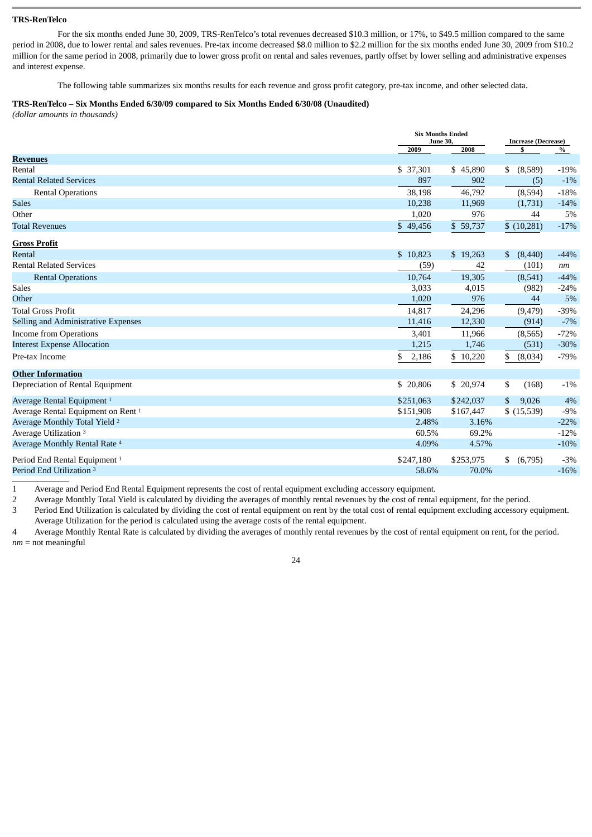# **TRS-RenTelco**

For the six months ended June 30, 2009, TRS-RenTelco's total revenues decreased \$10.3 million, or 17%, to \$49.5 million compared to the same period in 2008, due to lower rental and sales revenues. Pre-tax income decreased \$8.0 million to \$2.2 million for the six months ended June 30, 2009 from \$10.2 million for the same period in 2008, primarily due to lower gross profit on rental and sales revenues, partly offset by lower selling and administrative expenses and interest expense.

The following table summarizes six months results for each revenue and gross profit category, pre-tax income, and other selected data.

# **TRS-RenTelco – Six Months Ended 6/30/09 compared to Six Months Ended 6/30/08 (Unaudited)**

*(dollar amounts in thousands)*

|                                               |             | <b>Six Months Ended</b><br><b>June 30,</b> |                | <b>Increase (Decrease)</b> |  |
|-----------------------------------------------|-------------|--------------------------------------------|----------------|----------------------------|--|
|                                               | 2009        | 2008                                       | S              | $\%$                       |  |
| <b>Revenues</b>                               |             |                                            |                |                            |  |
| Rental                                        | \$ 37,301   | \$45,890                                   | (8,589)<br>\$  | $-19%$                     |  |
| <b>Rental Related Services</b>                | 897         | 902                                        | (5)            | $-1%$                      |  |
| <b>Rental Operations</b>                      | 38,198      | 46,792                                     | (8,594)        | $-18%$                     |  |
| <b>Sales</b>                                  | 10,238      | 11,969                                     | (1,731)        | $-14%$                     |  |
| Other                                         | 1,020       | 976                                        | 44             | 5%                         |  |
| <b>Total Revenues</b>                         | \$49,456    | \$59,737                                   | \$(10,281)     | $-17%$                     |  |
| <b>Gross Profit</b>                           |             |                                            |                |                            |  |
| Rental                                        | \$10,823    | \$19,263                                   | \$<br>(8, 440) | $-44%$                     |  |
| <b>Rental Related Services</b>                | (59)        | 42                                         | (101)          | nm                         |  |
| <b>Rental Operations</b>                      | 10,764      | 19,305                                     | (8,541)        | $-44%$                     |  |
| <b>Sales</b>                                  | 3,033       | 4,015                                      | (982)          | $-24%$                     |  |
| Other                                         | 1,020       | 976                                        | 44             | 5%                         |  |
| <b>Total Gross Profit</b>                     | 14,817      | 24,296                                     | (9, 479)       | $-39%$                     |  |
| Selling and Administrative Expenses           | 11,416      | 12,330                                     | (914)          | $-7%$                      |  |
| <b>Income from Operations</b>                 | 3,401       | 11,966                                     | (8, 565)       | $-72%$                     |  |
| <b>Interest Expense Allocation</b>            | 1,215       | 1,746                                      | (531)          | $-30%$                     |  |
| Pre-tax Income                                | 2,186<br>\$ | \$10,220                                   | \$<br>(8,034)  | $-79%$                     |  |
| <b>Other Information</b>                      |             |                                            |                |                            |  |
| Depreciation of Rental Equipment              | \$ 20,806   | \$ 20,974                                  | \$<br>(168)    | $-1%$                      |  |
| Average Rental Equipment <sup>1</sup>         | \$251,063   | \$242,037                                  | \$<br>9,026    | 4%                         |  |
| Average Rental Equipment on Rent <sup>1</sup> | \$151,908   | \$167,447                                  | \$(15,539)     | $-9%$                      |  |
| Average Monthly Total Yield <sup>2</sup>      | 2.48%       | 3.16%                                      |                | $-22%$                     |  |
| Average Utilization <sup>3</sup>              | 60.5%       | 69.2%                                      |                | $-12%$                     |  |
| Average Monthly Rental Rate <sup>4</sup>      | 4.09%       | 4.57%                                      |                | $-10%$                     |  |
| Period End Rental Equipment <sup>1</sup>      | \$247,180   | \$253,975                                  | (6,795)<br>\$  | $-3%$                      |  |
| Period End Utilization <sup>3</sup>           | 58.6%       | 70.0%                                      |                | $-16%$                     |  |

1 Average and Period End Rental Equipment represents the cost of rental equipment excluding accessory equipment.

2 Average Monthly Total Yield is calculated by dividing the averages of monthly rental revenues by the cost of rental equipment, for the period.

3 Period End Utilization is calculated by dividing the cost of rental equipment on rent by the total cost of rental equipment excluding accessory equipment. Average Utilization for the period is calculated using the average costs of the rental equipment.

4 Average Monthly Rental Rate is calculated by dividing the averages of monthly rental revenues by the cost of rental equipment on rent, for the period. *nm* = not meaningful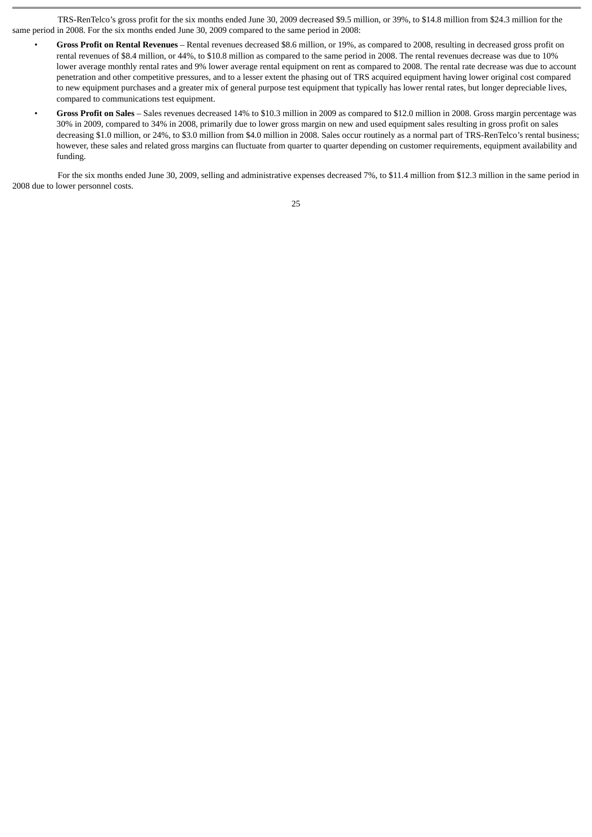TRS-RenTelco's gross profit for the six months ended June 30, 2009 decreased \$9.5 million, or 39%, to \$14.8 million from \$24.3 million for the same period in 2008. For the six months ended June 30, 2009 compared to the same period in 2008:

- **Gross Profit on Rental Revenues**  Rental revenues decreased \$8.6 million, or 19%, as compared to 2008, resulting in decreased gross profit on rental revenues of \$8.4 million, or 44%, to \$10.8 million as compared to the same period in 2008. The rental revenues decrease was due to 10% lower average monthly rental rates and 9% lower average rental equipment on rent as compared to 2008. The rental rate decrease was due to account penetration and other competitive pressures, and to a lesser extent the phasing out of TRS acquired equipment having lower original cost compared to new equipment purchases and a greater mix of general purpose test equipment that typically has lower rental rates, but longer depreciable lives, compared to communications test equipment.
	- **Gross Profit on Sales**  Sales revenues decreased 14% to \$10.3 million in 2009 as compared to \$12.0 million in 2008. Gross margin percentage was 30% in 2009, compared to 34% in 2008, primarily due to lower gross margin on new and used equipment sales resulting in gross profit on sales decreasing \$1.0 million, or 24%, to \$3.0 million from \$4.0 million in 2008. Sales occur routinely as a normal part of TRS-RenTelco's rental business; however, these sales and related gross margins can fluctuate from quarter to quarter depending on customer requirements, equipment availability and funding.

For the six months ended June 30, 2009, selling and administrative expenses decreased 7%, to \$11.4 million from \$12.3 million in the same period in 2008 due to lower personnel costs.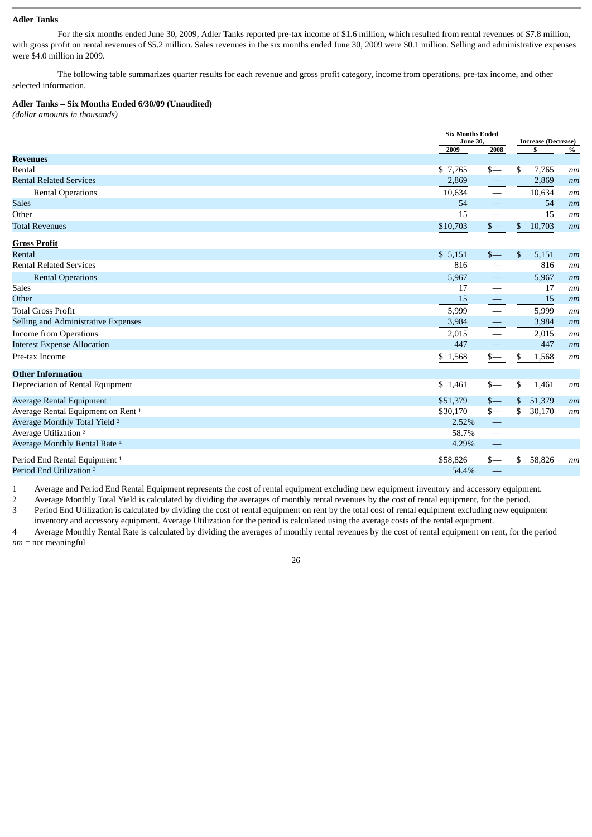# **Adler Tanks**

For the six months ended June 30, 2009, Adler Tanks reported pre-tax income of \$1.6 million, which resulted from rental revenues of \$7.8 million, with gross profit on rental revenues of \$5.2 million. Sales revenues in the six months ended June 30, 2009 were \$0.1 million. Selling and administrative expenses were \$4.0 million in 2009.

The following table summarizes quarter results for each revenue and gross profit category, income from operations, pre-tax income, and other selected information.

# **Adler Tanks – Six Months Ended 6/30/09 (Unaudited)**

*(dollar amounts in thousands)*

|                                               |                         | <b>Six Months Ended</b>  |              |                                 |      |  |
|-----------------------------------------------|-------------------------|--------------------------|--------------|---------------------------------|------|--|
|                                               | <b>June 30,</b><br>2009 | 2008                     |              | <b>Increase (Decrease)</b><br>S | $\%$ |  |
| <b>Revenues</b>                               |                         |                          |              |                                 |      |  |
| Rental                                        | \$7,765                 | $S-$                     | \$           | 7,765                           | nm   |  |
| <b>Rental Related Services</b>                | 2,869                   |                          |              | 2,869                           | nm   |  |
| <b>Rental Operations</b>                      | 10,634                  | $\hspace{0.05cm}$        |              | 10,634                          | nm   |  |
| <b>Sales</b>                                  | 54                      | $\overline{\phantom{0}}$ |              | 54                              | nm   |  |
| Other                                         | 15                      |                          |              | 15                              | nm   |  |
| <b>Total Revenues</b>                         | \$10,703                | $s-$                     | $\mathbb{S}$ | 10,703                          | nm   |  |
| <b>Gross Profit</b>                           |                         |                          |              |                                 |      |  |
| Rental                                        | \$5,151                 | $s-$                     | \$           | 5,151                           | nm   |  |
| <b>Rental Related Services</b>                | 816                     |                          |              | 816                             | nm   |  |
| <b>Rental Operations</b>                      | 5,967                   |                          |              | 5,967                           | nm   |  |
| <b>Sales</b>                                  | 17                      |                          |              | 17                              | nm   |  |
| Other                                         | 15                      |                          |              | 15                              | nm   |  |
| <b>Total Gross Profit</b>                     | 5,999                   |                          |              | 5,999                           | nm   |  |
| Selling and Administrative Expenses           | 3,984                   | —                        |              | 3,984                           | nm   |  |
| <b>Income from Operations</b>                 | 2,015                   | $\equiv$                 |              | 2,015                           | nm   |  |
| <b>Interest Expense Allocation</b>            | 447                     |                          |              | 447                             | nm   |  |
| Pre-tax Income                                | \$1,568                 | $s-$                     | \$           | 1,568                           | nm   |  |
| <b>Other Information</b>                      |                         |                          |              |                                 |      |  |
| Depreciation of Rental Equipment              | \$1,461                 | $s-$                     | \$           | 1,461                           | nm   |  |
| Average Rental Equipment <sup>1</sup>         | \$51,379                | $s-$                     | \$           | 51,379                          | nm   |  |
| Average Rental Equipment on Rent <sup>1</sup> | \$30,170                | $s-$                     | \$           | 30,170                          | nm   |  |
| Average Monthly Total Yield <sup>2</sup>      | 2.52%                   |                          |              |                                 |      |  |
| Average Utilization <sup>3</sup>              | 58.7%                   |                          |              |                                 |      |  |
| Average Monthly Rental Rate <sup>4</sup>      | 4.29%                   |                          |              |                                 |      |  |
| Period End Rental Equipment <sup>1</sup>      | \$58,826                | $s-$                     | \$           | 58,826                          | nm   |  |
| Period End Utilization <sup>3</sup>           | 54.4%                   |                          |              |                                 |      |  |

1 Average and Period End Rental Equipment represents the cost of rental equipment excluding new equipment inventory and accessory equipment.

2 Average Monthly Total Yield is calculated by dividing the averages of monthly rental revenues by the cost of rental equipment, for the period.<br>2 Period End Utilization is calculated by dividing the cost of rental equipme

3 Period End Utilization is calculated by dividing the cost of rental equipment on rent by the total cost of rental equipment excluding new equipment

inventory and accessory equipment. Average Utilization for the period is calculated using the average costs of the rental equipment.

4 Average Monthly Rental Rate is calculated by dividing the averages of monthly rental revenues by the cost of rental equipment on rent, for the period *nm* = not meaningful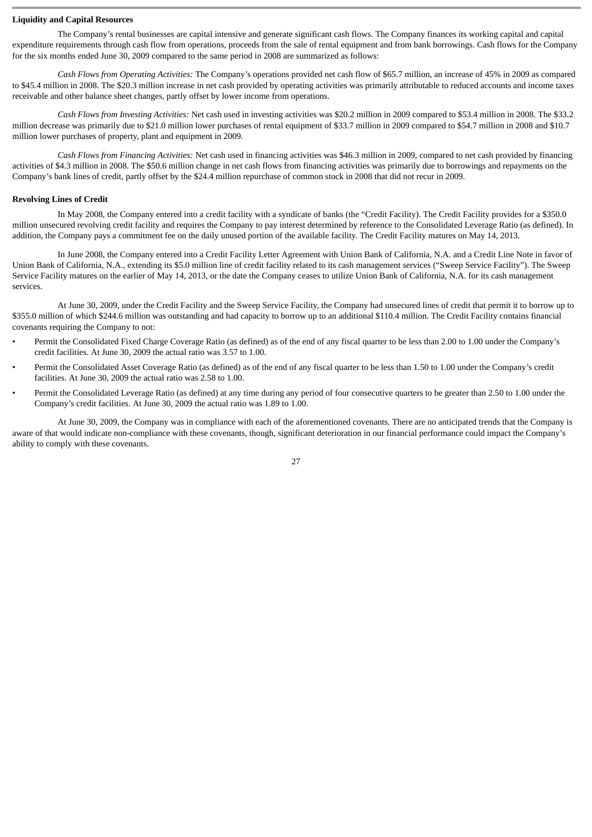# **Liquidity and Capital Resources**

The Company's rental businesses are capital intensive and generate significant cash flows. The Company finances its working capital and capital expenditure requirements through cash flow from operations, proceeds from the sale of rental equipment and from bank borrowings. Cash flows for the Company for the six months ended June 30, 2009 compared to the same period in 2008 are summarized as follows:

*Cash Flows from Operating Activities:* The Company's operations provided net cash flow of \$65.7 million, an increase of 45% in 2009 as compared to \$45.4 million in 2008. The \$20.3 million increase in net cash provided by operating activities was primarily attributable to reduced accounts and income taxes receivable and other balance sheet changes, partly offset by lower income from operations.

*Cash Flows from Investing Activities:* Net cash used in investing activities was \$20.2 million in 2009 compared to \$53.4 million in 2008. The \$33.2 million decrease was primarily due to \$21.0 million lower purchases of rental equipment of \$33.7 million in 2009 compared to \$54.7 million in 2008 and \$10.7 million lower purchases of property, plant and equipment in 2009.

*Cash Flows from Financing Activities:* Net cash used in financing activities was \$46.3 million in 2009, compared to net cash provided by financing activities of \$4.3 million in 2008. The \$50.6 million change in net cash flows from financing activities was primarily due to borrowings and repayments on the Company's bank lines of credit, partly offset by the \$24.4 million repurchase of common stock in 2008 that did not recur in 2009.

#### **Revolving Lines of Credit**

In May 2008, the Company entered into a credit facility with a syndicate of banks (the "Credit Facility). The Credit Facility provides for a \$350.0 million unsecured revolving credit facility and requires the Company to pay interest determined by reference to the Consolidated Leverage Ratio (as defined). In addition, the Company pays a commitment fee on the daily unused portion of the available facility. The Credit Facility matures on May 14, 2013.

In June 2008, the Company entered into a Credit Facility Letter Agreement with Union Bank of California, N.A. and a Credit Line Note in favor of Union Bank of California, N.A., extending its \$5.0 million line of credit facility related to its cash management services ("Sweep Service Facility"). The Sweep Service Facility matures on the earlier of May 14, 2013, or the date the Company ceases to utilize Union Bank of California, N.A. for its cash management services.

At June 30, 2009, under the Credit Facility and the Sweep Service Facility, the Company had unsecured lines of credit that permit it to borrow up to \$355.0 million of which \$244.6 million was outstanding and had capacity to borrow up to an additional \$110.4 million. The Credit Facility contains financial covenants requiring the Company to not:

- Permit the Consolidated Fixed Charge Coverage Ratio (as defined) as of the end of any fiscal quarter to be less than 2.00 to 1.00 under the Company's credit facilities. At June 30, 2009 the actual ratio was 3.57 to 1.00.
- Permit the Consolidated Asset Coverage Ratio (as defined) as of the end of any fiscal quarter to be less than 1.50 to 1.00 under the Company's credit facilities. At June 30, 2009 the actual ratio was 2.58 to 1.00.
- Permit the Consolidated Leverage Ratio (as defined) at any time during any period of four consecutive quarters to be greater than 2.50 to 1.00 under the Company's credit facilities. At June 30, 2009 the actual ratio was 1.89 to 1.00.

At June 30, 2009, the Company was in compliance with each of the aforementioned covenants. There are no anticipated trends that the Company is aware of that would indicate non-compliance with these covenants, though, significant deterioration in our financial performance could impact the Company's ability to comply with these covenants.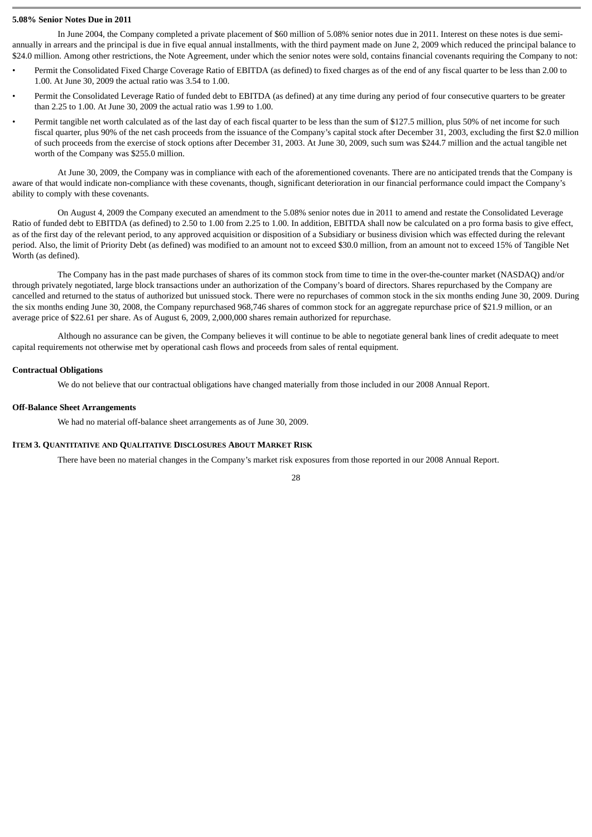#### **5.08% Senior Notes Due in 2011**

In June 2004, the Company completed a private placement of \$60 million of 5.08% senior notes due in 2011. Interest on these notes is due semiannually in arrears and the principal is due in five equal annual installments, with the third payment made on June 2, 2009 which reduced the principal balance to \$24.0 million. Among other restrictions, the Note Agreement, under which the senior notes were sold, contains financial covenants requiring the Company to not:

- Permit the Consolidated Fixed Charge Coverage Ratio of EBITDA (as defined) to fixed charges as of the end of any fiscal quarter to be less than 2.00 to 1.00. At June 30, 2009 the actual ratio was 3.54 to 1.00.
- Permit the Consolidated Leverage Ratio of funded debt to EBITDA (as defined) at any time during any period of four consecutive quarters to be greater than 2.25 to 1.00. At June 30, 2009 the actual ratio was 1.99 to 1.00.
- Permit tangible net worth calculated as of the last day of each fiscal quarter to be less than the sum of \$127.5 million, plus 50% of net income for such fiscal quarter, plus 90% of the net cash proceeds from the issuance of the Company's capital stock after December 31, 2003, excluding the first \$2.0 million of such proceeds from the exercise of stock options after December 31, 2003. At June 30, 2009, such sum was \$244.7 million and the actual tangible net worth of the Company was \$255.0 million.

At June 30, 2009, the Company was in compliance with each of the aforementioned covenants. There are no anticipated trends that the Company is aware of that would indicate non-compliance with these covenants, though, significant deterioration in our financial performance could impact the Company's ability to comply with these covenants.

On August 4, 2009 the Company executed an amendment to the 5.08% senior notes due in 2011 to amend and restate the Consolidated Leverage Ratio of funded debt to EBITDA (as defined) to 2.50 to 1.00 from 2.25 to 1.00. In addition, EBITDA shall now be calculated on a pro forma basis to give effect, as of the first day of the relevant period, to any approved acquisition or disposition of a Subsidiary or business division which was effected during the relevant period. Also, the limit of Priority Debt (as defined) was modified to an amount not to exceed \$30.0 million, from an amount not to exceed 15% of Tangible Net Worth (as defined).

The Company has in the past made purchases of shares of its common stock from time to time in the over-the-counter market (NASDAQ) and/or through privately negotiated, large block transactions under an authorization of the Company's board of directors. Shares repurchased by the Company are cancelled and returned to the status of authorized but unissued stock. There were no repurchases of common stock in the six months ending June 30, 2009. During the six months ending June 30, 2008, the Company repurchased 968,746 shares of common stock for an aggregate repurchase price of \$21.9 million, or an average price of \$22.61 per share. As of August 6, 2009, 2,000,000 shares remain authorized for repurchase.

Although no assurance can be given, the Company believes it will continue to be able to negotiate general bank lines of credit adequate to meet capital requirements not otherwise met by operational cash flows and proceeds from sales of rental equipment.

#### **Contractual Obligations**

We do not believe that our contractual obligations have changed materially from those included in our 2008 Annual Report.

### **Off-Balance Sheet Arrangements**

We had no material off-balance sheet arrangements as of June 30, 2009.

#### **ITEM 3. QUANTITATIVE AND QUALITATIVE DISCLOSURES ABOUT MARKET RISK**

There have been no material changes in the Company's market risk exposures from those reported in our 2008 Annual Report.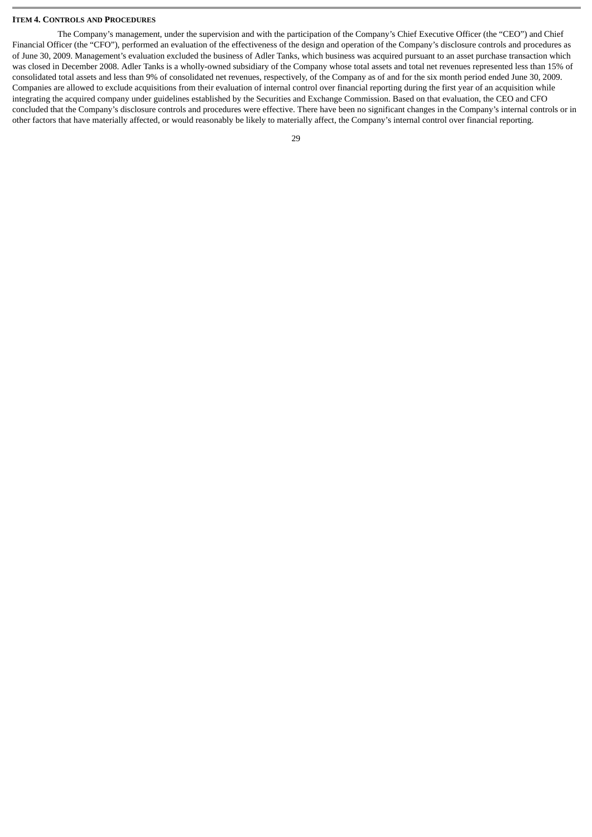#### **ITEM 4. CONTROLS AND PROCEDURES**

The Company's management, under the supervision and with the participation of the Company's Chief Executive Officer (the "CEO") and Chief Financial Officer (the "CFO"), performed an evaluation of the effectiveness of the design and operation of the Company's disclosure controls and procedures as of June 30, 2009. Management's evaluation excluded the business of Adler Tanks, which business was acquired pursuant to an asset purchase transaction which was closed in December 2008. Adler Tanks is a wholly-owned subsidiary of the Company whose total assets and total net revenues represented less than 15% of consolidated total assets and less than 9% of consolidated net revenues, respectively, of the Company as of and for the six month period ended June 30, 2009. Companies are allowed to exclude acquisitions from their evaluation of internal control over financial reporting during the first year of an acquisition while integrating the acquired company under guidelines established by the Securities and Exchange Commission. Based on that evaluation, the CEO and CFO concluded that the Company's disclosure controls and procedures were effective. There have been no significant changes in the Company's internal controls or in other factors that have materially affected, or would reasonably be likely to materially affect, the Company's internal control over financial reporting.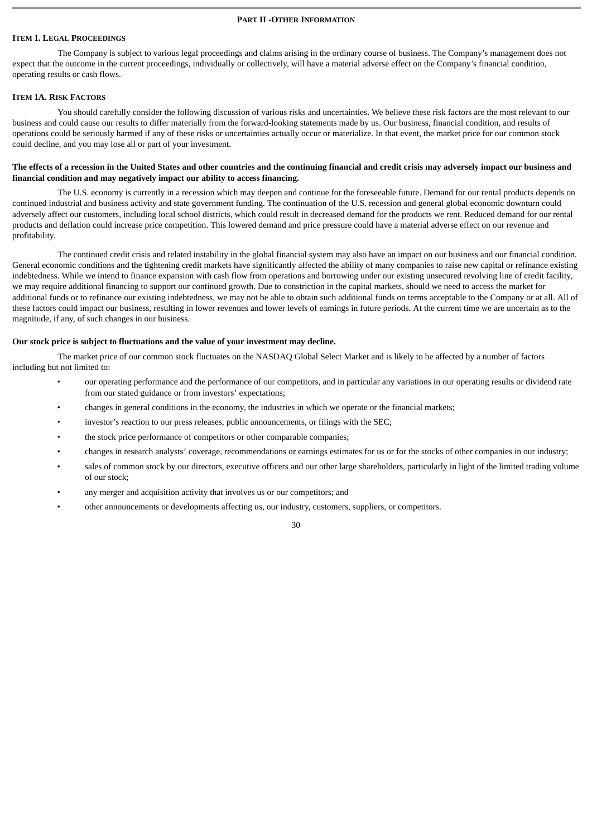# **PART II -OTHER INFORMATION**

# **ITEM 1. LEGAL PROCEEDINGS**

The Company is subject to various legal proceedings and claims arising in the ordinary course of business. The Company's management does not expect that the outcome in the current proceedings, individually or collectively, will have a material adverse effect on the Company's financial condition, operating results or cash flows.

#### **ITEM 1A. RISK FACTORS**

You should carefully consider the following discussion of various risks and uncertainties. We believe these risk factors are the most relevant to our business and could cause our results to differ materially from the forward-looking statements made by us. Our business, financial condition, and results of operations could be seriously harmed if any of these risks or uncertainties actually occur or materialize. In that event, the market price for our common stock could decline, and you may lose all or part of your investment.

# **The effects of a recession in the United States and other countries and the continuing financial and credit crisis may adversely impact our business and financial condition and may negatively impact our ability to access financing.**

The U.S. economy is currently in a recession which may deepen and continue for the foreseeable future. Demand for our rental products depends on continued industrial and business activity and state government funding. The continuation of the U.S. recession and general global economic downturn could adversely affect our customers, including local school districts, which could result in decreased demand for the products we rent. Reduced demand for our rental products and deflation could increase price competition. This lowered demand and price pressure could have a material adverse effect on our revenue and profitability.

The continued credit crisis and related instability in the global financial system may also have an impact on our business and our financial condition. General economic conditions and the tightening credit markets have significantly affected the ability of many companies to raise new capital or refinance existing indebtedness. While we intend to finance expansion with cash flow from operations and borrowing under our existing unsecured revolving line of credit facility, we may require additional financing to support our continued growth. Due to constriction in the capital markets, should we need to access the market for additional funds or to refinance our existing indebtedness, we may not be able to obtain such additional funds on terms acceptable to the Company or at all. All of these factors could impact our business, resulting in lower revenues and lower levels of earnings in future periods. At the current time we are uncertain as to the magnitude, if any, of such changes in our business.

# **Our stock price is subject to fluctuations and the value of your investment may decline.**

The market price of our common stock fluctuates on the NASDAQ Global Select Market and is likely to be affected by a number of factors including but not limited to:

- our operating performance and the performance of our competitors, and in particular any variations in our operating results or dividend rate from our stated guidance or from investors' expectations;
- changes in general conditions in the economy, the industries in which we operate or the financial markets;
- investor's reaction to our press releases, public announcements, or filings with the SEC;
- the stock price performance of competitors or other comparable companies;
- changes in research analysts' coverage, recommendations or earnings estimates for us or for the stocks of other companies in our industry;
- sales of common stock by our directors, executive officers and our other large shareholders, particularly in light of the limited trading volume of our stock;
- any merger and acquisition activity that involves us or our competitors; and
- other announcements or developments affecting us, our industry, customers, suppliers, or competitors.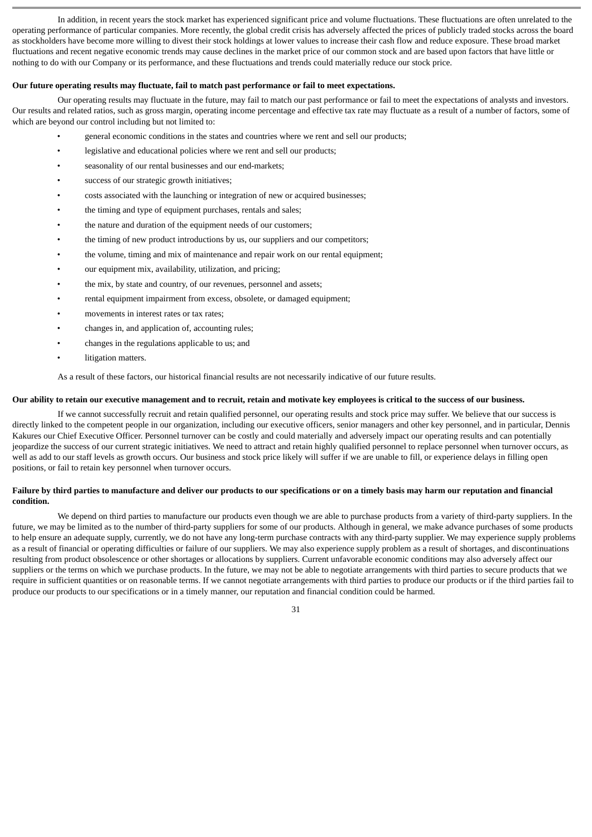In addition, in recent years the stock market has experienced significant price and volume fluctuations. These fluctuations are often unrelated to the operating performance of particular companies. More recently, the global credit crisis has adversely affected the prices of publicly traded stocks across the board as stockholders have become more willing to divest their stock holdings at lower values to increase their cash flow and reduce exposure. These broad market fluctuations and recent negative economic trends may cause declines in the market price of our common stock and are based upon factors that have little or nothing to do with our Company or its performance, and these fluctuations and trends could materially reduce our stock price.

#### **Our future operating results may fluctuate, fail to match past performance or fail to meet expectations.**

Our operating results may fluctuate in the future, may fail to match our past performance or fail to meet the expectations of analysts and investors. Our results and related ratios, such as gross margin, operating income percentage and effective tax rate may fluctuate as a result of a number of factors, some of which are beyond our control including but not limited to:

- general economic conditions in the states and countries where we rent and sell our products;
- legislative and educational policies where we rent and sell our products;
- seasonality of our rental businesses and our end-markets;
- success of our strategic growth initiatives;
- costs associated with the launching or integration of new or acquired businesses;
- the timing and type of equipment purchases, rentals and sales;
- the nature and duration of the equipment needs of our customers;
- the timing of new product introductions by us, our suppliers and our competitors;
- the volume, timing and mix of maintenance and repair work on our rental equipment;
- our equipment mix, availability, utilization, and pricing;
- the mix, by state and country, of our revenues, personnel and assets;
- rental equipment impairment from excess, obsolete, or damaged equipment;
- movements in interest rates or tax rates;
- changes in, and application of, accounting rules;
- changes in the regulations applicable to us; and
- litigation matters.

As a result of these factors, our historical financial results are not necessarily indicative of our future results.

## **Our ability to retain our executive management and to recruit, retain and motivate key employees is critical to the success of our business.**

If we cannot successfully recruit and retain qualified personnel, our operating results and stock price may suffer. We believe that our success is directly linked to the competent people in our organization, including our executive officers, senior managers and other key personnel, and in particular, Dennis Kakures our Chief Executive Officer. Personnel turnover can be costly and could materially and adversely impact our operating results and can potentially jeopardize the success of our current strategic initiatives. We need to attract and retain highly qualified personnel to replace personnel when turnover occurs, as well as add to our staff levels as growth occurs. Our business and stock price likely will suffer if we are unable to fill, or experience delays in filling open positions, or fail to retain key personnel when turnover occurs.

#### **Failure by third parties to manufacture and deliver our products to our specifications or on a timely basis may harm our reputation and financial condition.**

We depend on third parties to manufacture our products even though we are able to purchase products from a variety of third-party suppliers. In the future, we may be limited as to the number of third-party suppliers for some of our products. Although in general, we make advance purchases of some products to help ensure an adequate supply, currently, we do not have any long-term purchase contracts with any third-party supplier. We may experience supply problems as a result of financial or operating difficulties or failure of our suppliers. We may also experience supply problem as a result of shortages, and discontinuations resulting from product obsolescence or other shortages or allocations by suppliers. Current unfavorable economic conditions may also adversely affect our suppliers or the terms on which we purchase products. In the future, we may not be able to negotiate arrangements with third parties to secure products that we require in sufficient quantities or on reasonable terms. If we cannot negotiate arrangements with third parties to produce our products or if the third parties fail to produce our products to our specifications or in a timely manner, our reputation and financial condition could be harmed.

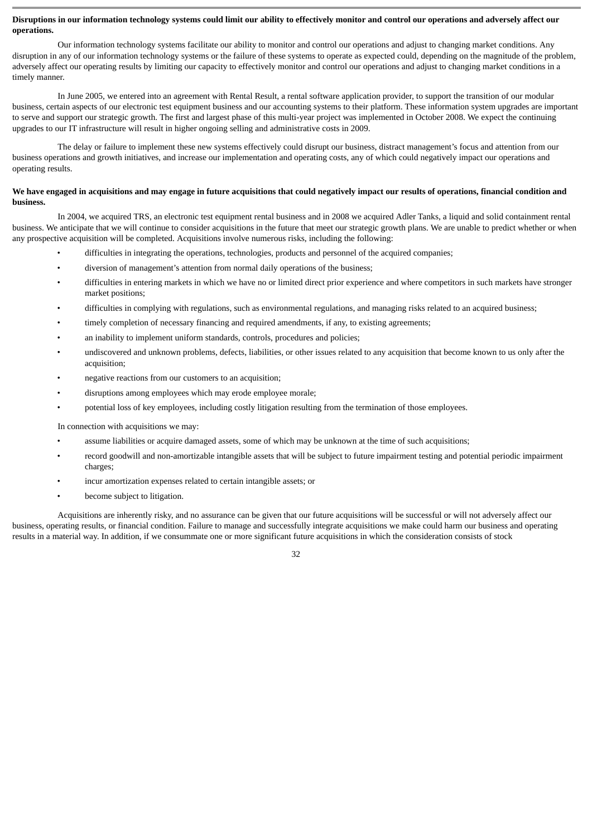# **Disruptions in our information technology systems could limit our ability to effectively monitor and control our operations and adversely affect our operations.**

Our information technology systems facilitate our ability to monitor and control our operations and adjust to changing market conditions. Any disruption in any of our information technology systems or the failure of these systems to operate as expected could, depending on the magnitude of the problem, adversely affect our operating results by limiting our capacity to effectively monitor and control our operations and adjust to changing market conditions in a timely manner.

In June 2005, we entered into an agreement with Rental Result, a rental software application provider, to support the transition of our modular business, certain aspects of our electronic test equipment business and our accounting systems to their platform. These information system upgrades are important to serve and support our strategic growth. The first and largest phase of this multi-year project was implemented in October 2008. We expect the continuing upgrades to our IT infrastructure will result in higher ongoing selling and administrative costs in 2009.

The delay or failure to implement these new systems effectively could disrupt our business, distract management's focus and attention from our business operations and growth initiatives, and increase our implementation and operating costs, any of which could negatively impact our operations and operating results.

# **We have engaged in acquisitions and may engage in future acquisitions that could negatively impact our results of operations, financial condition and business.**

In 2004, we acquired TRS, an electronic test equipment rental business and in 2008 we acquired Adler Tanks, a liquid and solid containment rental business. We anticipate that we will continue to consider acquisitions in the future that meet our strategic growth plans. We are unable to predict whether or when any prospective acquisition will be completed. Acquisitions involve numerous risks, including the following:

- difficulties in integrating the operations, technologies, products and personnel of the acquired companies;
- diversion of management's attention from normal daily operations of the business;
- difficulties in entering markets in which we have no or limited direct prior experience and where competitors in such markets have stronger market positions;
- difficulties in complying with regulations, such as environmental regulations, and managing risks related to an acquired business;
- timely completion of necessary financing and required amendments, if any, to existing agreements;
- an inability to implement uniform standards, controls, procedures and policies;
- undiscovered and unknown problems, defects, liabilities, or other issues related to any acquisition that become known to us only after the acquisition;
- negative reactions from our customers to an acquisition;
- disruptions among employees which may erode employee morale;
- potential loss of key employees, including costly litigation resulting from the termination of those employees.

In connection with acquisitions we may:

- assume liabilities or acquire damaged assets, some of which may be unknown at the time of such acquisitions;
- record goodwill and non-amortizable intangible assets that will be subject to future impairment testing and potential periodic impairment charges;
- incur amortization expenses related to certain intangible assets; or
- become subject to litigation.

Acquisitions are inherently risky, and no assurance can be given that our future acquisitions will be successful or will not adversely affect our business, operating results, or financial condition. Failure to manage and successfully integrate acquisitions we make could harm our business and operating results in a material way. In addition, if we consummate one or more significant future acquisitions in which the consideration consists of stock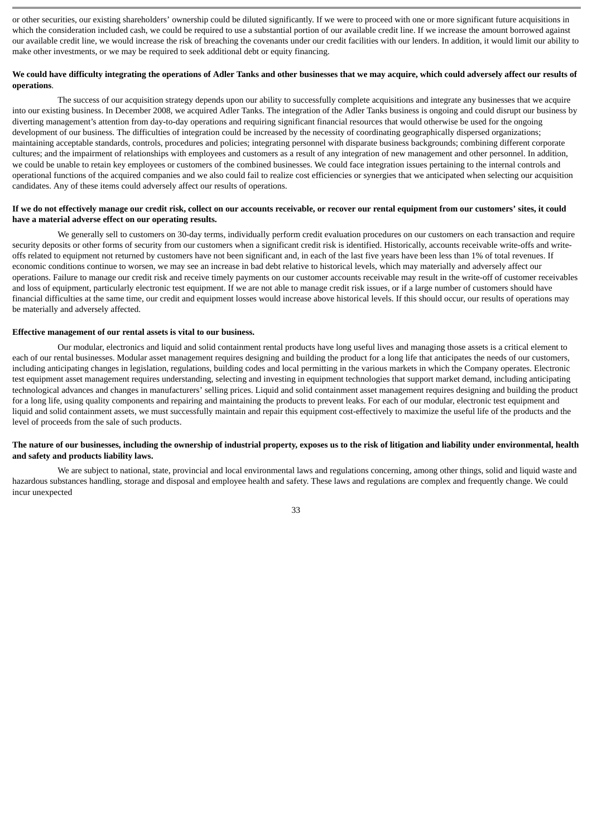or other securities, our existing shareholders' ownership could be diluted significantly. If we were to proceed with one or more significant future acquisitions in which the consideration included cash, we could be required to use a substantial portion of our available credit line. If we increase the amount borrowed against our available credit line, we would increase the risk of breaching the covenants under our credit facilities with our lenders. In addition, it would limit our ability to make other investments, or we may be required to seek additional debt or equity financing.

### **We could have difficulty integrating the operations of Adler Tanks and other businesses that we may acquire, which could adversely affect our results of operations**.

The success of our acquisition strategy depends upon our ability to successfully complete acquisitions and integrate any businesses that we acquire into our existing business. In December 2008, we acquired Adler Tanks. The integration of the Adler Tanks business is ongoing and could disrupt our business by diverting management's attention from day-to-day operations and requiring significant financial resources that would otherwise be used for the ongoing development of our business. The difficulties of integration could be increased by the necessity of coordinating geographically dispersed organizations; maintaining acceptable standards, controls, procedures and policies; integrating personnel with disparate business backgrounds; combining different corporate cultures; and the impairment of relationships with employees and customers as a result of any integration of new management and other personnel. In addition, we could be unable to retain key employees or customers of the combined businesses. We could face integration issues pertaining to the internal controls and operational functions of the acquired companies and we also could fail to realize cost efficiencies or synergies that we anticipated when selecting our acquisition candidates. Any of these items could adversely affect our results of operations.

#### **If we do not effectively manage our credit risk, collect on our accounts receivable, or recover our rental equipment from our customers' sites, it could have a material adverse effect on our operating results.**

We generally sell to customers on 30-day terms, individually perform credit evaluation procedures on our customers on each transaction and require security deposits or other forms of security from our customers when a significant credit risk is identified. Historically, accounts receivable write-offs and writeoffs related to equipment not returned by customers have not been significant and, in each of the last five years have been less than 1% of total revenues. If economic conditions continue to worsen, we may see an increase in bad debt relative to historical levels, which may materially and adversely affect our operations. Failure to manage our credit risk and receive timely payments on our customer accounts receivable may result in the write-off of customer receivables and loss of equipment, particularly electronic test equipment. If we are not able to manage credit risk issues, or if a large number of customers should have financial difficulties at the same time, our credit and equipment losses would increase above historical levels. If this should occur, our results of operations may be materially and adversely affected.

# **Effective management of our rental assets is vital to our business.**

Our modular, electronics and liquid and solid containment rental products have long useful lives and managing those assets is a critical element to each of our rental businesses. Modular asset management requires designing and building the product for a long life that anticipates the needs of our customers, including anticipating changes in legislation, regulations, building codes and local permitting in the various markets in which the Company operates. Electronic test equipment asset management requires understanding, selecting and investing in equipment technologies that support market demand, including anticipating technological advances and changes in manufacturers' selling prices. Liquid and solid containment asset management requires designing and building the product for a long life, using quality components and repairing and maintaining the products to prevent leaks. For each of our modular, electronic test equipment and liquid and solid containment assets, we must successfully maintain and repair this equipment cost-effectively to maximize the useful life of the products and the level of proceeds from the sale of such products.

# **The nature of our businesses, including the ownership of industrial property, exposes us to the risk of litigation and liability under environmental, health and safety and products liability laws.**

We are subject to national, state, provincial and local environmental laws and regulations concerning, among other things, solid and liquid waste and hazardous substances handling, storage and disposal and employee health and safety. These laws and regulations are complex and frequently change. We could incur unexpected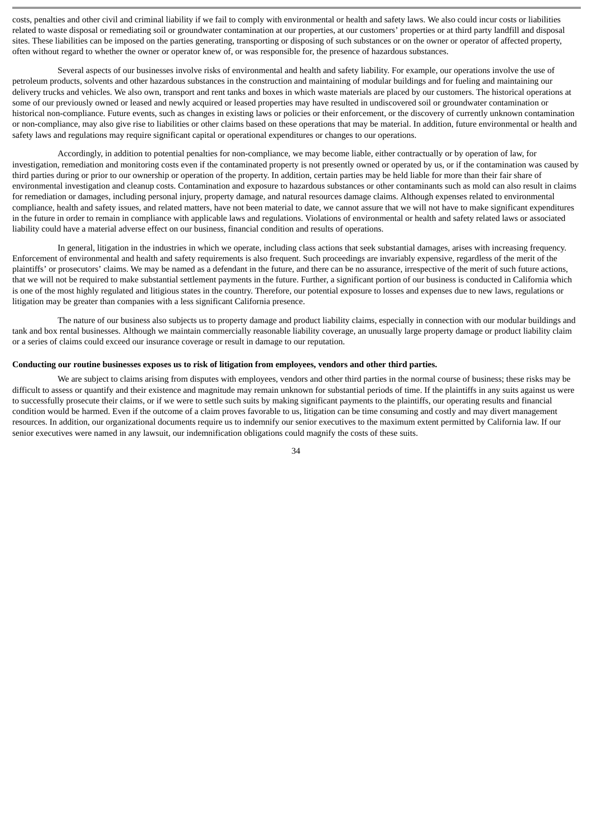costs, penalties and other civil and criminal liability if we fail to comply with environmental or health and safety laws. We also could incur costs or liabilities related to waste disposal or remediating soil or groundwater contamination at our properties, at our customers' properties or at third party landfill and disposal sites. These liabilities can be imposed on the parties generating, transporting or disposing of such substances or on the owner or operator of affected property, often without regard to whether the owner or operator knew of, or was responsible for, the presence of hazardous substances.

Several aspects of our businesses involve risks of environmental and health and safety liability. For example, our operations involve the use of petroleum products, solvents and other hazardous substances in the construction and maintaining of modular buildings and for fueling and maintaining our delivery trucks and vehicles. We also own, transport and rent tanks and boxes in which waste materials are placed by our customers. The historical operations at some of our previously owned or leased and newly acquired or leased properties may have resulted in undiscovered soil or groundwater contamination or historical non-compliance. Future events, such as changes in existing laws or policies or their enforcement, or the discovery of currently unknown contamination or non-compliance, may also give rise to liabilities or other claims based on these operations that may be material. In addition, future environmental or health and safety laws and regulations may require significant capital or operational expenditures or changes to our operations.

Accordingly, in addition to potential penalties for non-compliance, we may become liable, either contractually or by operation of law, for investigation, remediation and monitoring costs even if the contaminated property is not presently owned or operated by us, or if the contamination was caused by third parties during or prior to our ownership or operation of the property. In addition, certain parties may be held liable for more than their fair share of environmental investigation and cleanup costs. Contamination and exposure to hazardous substances or other contaminants such as mold can also result in claims for remediation or damages, including personal injury, property damage, and natural resources damage claims. Although expenses related to environmental compliance, health and safety issues, and related matters, have not been material to date, we cannot assure that we will not have to make significant expenditures in the future in order to remain in compliance with applicable laws and regulations. Violations of environmental or health and safety related laws or associated liability could have a material adverse effect on our business, financial condition and results of operations.

In general, litigation in the industries in which we operate, including class actions that seek substantial damages, arises with increasing frequency. Enforcement of environmental and health and safety requirements is also frequent. Such proceedings are invariably expensive, regardless of the merit of the plaintiffs' or prosecutors' claims. We may be named as a defendant in the future, and there can be no assurance, irrespective of the merit of such future actions, that we will not be required to make substantial settlement payments in the future. Further, a significant portion of our business is conducted in California which is one of the most highly regulated and litigious states in the country. Therefore, our potential exposure to losses and expenses due to new laws, regulations or litigation may be greater than companies with a less significant California presence.

The nature of our business also subjects us to property damage and product liability claims, especially in connection with our modular buildings and tank and box rental businesses. Although we maintain commercially reasonable liability coverage, an unusually large property damage or product liability claim or a series of claims could exceed our insurance coverage or result in damage to our reputation.

#### **Conducting our routine businesses exposes us to risk of litigation from employees, vendors and other third parties.**

We are subject to claims arising from disputes with employees, vendors and other third parties in the normal course of business; these risks may be difficult to assess or quantify and their existence and magnitude may remain unknown for substantial periods of time. If the plaintiffs in any suits against us were to successfully prosecute their claims, or if we were to settle such suits by making significant payments to the plaintiffs, our operating results and financial condition would be harmed. Even if the outcome of a claim proves favorable to us, litigation can be time consuming and costly and may divert management resources. In addition, our organizational documents require us to indemnify our senior executives to the maximum extent permitted by California law. If our senior executives were named in any lawsuit, our indemnification obligations could magnify the costs of these suits.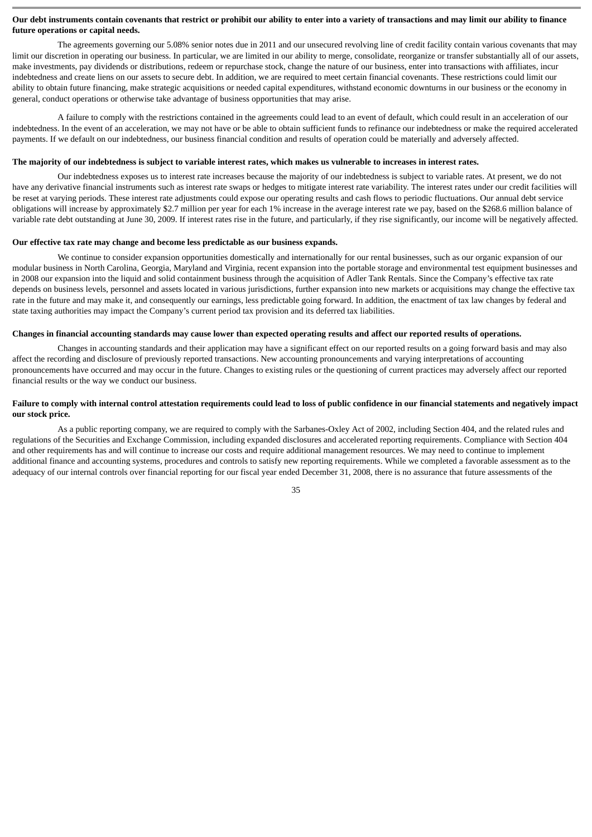#### **Our debt instruments contain covenants that restrict or prohibit our ability to enter into a variety of transactions and may limit our ability to finance future operations or capital needs.**

The agreements governing our 5.08% senior notes due in 2011 and our unsecured revolving line of credit facility contain various covenants that may limit our discretion in operating our business. In particular, we are limited in our ability to merge, consolidate, reorganize or transfer substantially all of our assets, make investments, pay dividends or distributions, redeem or repurchase stock, change the nature of our business, enter into transactions with affiliates, incur indebtedness and create liens on our assets to secure debt. In addition, we are required to meet certain financial covenants. These restrictions could limit our ability to obtain future financing, make strategic acquisitions or needed capital expenditures, withstand economic downturns in our business or the economy in general, conduct operations or otherwise take advantage of business opportunities that may arise.

A failure to comply with the restrictions contained in the agreements could lead to an event of default, which could result in an acceleration of our indebtedness. In the event of an acceleration, we may not have or be able to obtain sufficient funds to refinance our indebtedness or make the required accelerated payments. If we default on our indebtedness, our business financial condition and results of operation could be materially and adversely affected.

#### **The majority of our indebtedness is subject to variable interest rates, which makes us vulnerable to increases in interest rates.**

Our indebtedness exposes us to interest rate increases because the majority of our indebtedness is subject to variable rates. At present, we do not have any derivative financial instruments such as interest rate swaps or hedges to mitigate interest rate variability. The interest rates under our credit facilities will be reset at varying periods. These interest rate adjustments could expose our operating results and cash flows to periodic fluctuations. Our annual debt service obligations will increase by approximately \$2.7 million per year for each 1% increase in the average interest rate we pay, based on the \$268.6 million balance of variable rate debt outstanding at June 30, 2009. If interest rates rise in the future, and particularly, if they rise significantly, our income will be negatively affected.

#### **Our effective tax rate may change and become less predictable as our business expands.**

We continue to consider expansion opportunities domestically and internationally for our rental businesses, such as our organic expansion of our modular business in North Carolina, Georgia, Maryland and Virginia, recent expansion into the portable storage and environmental test equipment businesses and in 2008 our expansion into the liquid and solid containment business through the acquisition of Adler Tank Rentals. Since the Company's effective tax rate depends on business levels, personnel and assets located in various jurisdictions, further expansion into new markets or acquisitions may change the effective tax rate in the future and may make it, and consequently our earnings, less predictable going forward. In addition, the enactment of tax law changes by federal and state taxing authorities may impact the Company's current period tax provision and its deferred tax liabilities.

# **Changes in financial accounting standards may cause lower than expected operating results and affect our reported results of operations.**

Changes in accounting standards and their application may have a significant effect on our reported results on a going forward basis and may also affect the recording and disclosure of previously reported transactions. New accounting pronouncements and varying interpretations of accounting pronouncements have occurred and may occur in the future. Changes to existing rules or the questioning of current practices may adversely affect our reported financial results or the way we conduct our business.

# **Failure to comply with internal control attestation requirements could lead to loss of public confidence in our financial statements and negatively impact our stock price.**

As a public reporting company, we are required to comply with the Sarbanes-Oxley Act of 2002, including Section 404, and the related rules and regulations of the Securities and Exchange Commission, including expanded disclosures and accelerated reporting requirements. Compliance with Section 404 and other requirements has and will continue to increase our costs and require additional management resources. We may need to continue to implement additional finance and accounting systems, procedures and controls to satisfy new reporting requirements. While we completed a favorable assessment as to the adequacy of our internal controls over financial reporting for our fiscal year ended December 31, 2008, there is no assurance that future assessments of the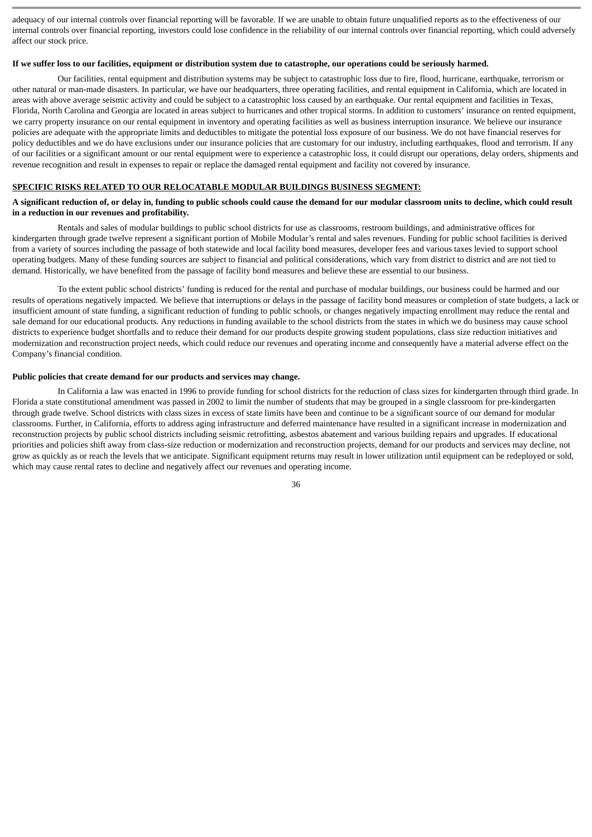adequacy of our internal controls over financial reporting will be favorable. If we are unable to obtain future unqualified reports as to the effectiveness of our internal controls over financial reporting, investors could lose confidence in the reliability of our internal controls over financial reporting, which could adversely affect our stock price.

### **If we suffer loss to our facilities, equipment or distribution system due to catastrophe, our operations could be seriously harmed.**

Our facilities, rental equipment and distribution systems may be subject to catastrophic loss due to fire, flood, hurricane, earthquake, terrorism or other natural or man-made disasters. In particular, we have our headquarters, three operating facilities, and rental equipment in California, which are located in areas with above average seismic activity and could be subject to a catastrophic loss caused by an earthquake. Our rental equipment and facilities in Texas, Florida, North Carolina and Georgia are located in areas subject to hurricanes and other tropical storms. In addition to customers' insurance on rented equipment, we carry property insurance on our rental equipment in inventory and operating facilities as well as business interruption insurance. We believe our insurance policies are adequate with the appropriate limits and deductibles to mitigate the potential loss exposure of our business. We do not have financial reserves for policy deductibles and we do have exclusions under our insurance policies that are customary for our industry, including earthquakes, flood and terrorism. If any of our facilities or a significant amount or our rental equipment were to experience a catastrophic loss, it could disrupt our operations, delay orders, shipments and revenue recognition and result in expenses to repair or replace the damaged rental equipment and facility not covered by insurance.

#### **SPECIFIC RISKS RELATED TO OUR RELOCATABLE MODULAR BUILDINGS BUSINESS SEGMENT:**

# **A significant reduction of, or delay in, funding to public schools could cause the demand for our modular classroom units to decline, which could result in a reduction in our revenues and profitability.**

Rentals and sales of modular buildings to public school districts for use as classrooms, restroom buildings, and administrative offices for kindergarten through grade twelve represent a significant portion of Mobile Modular's rental and sales revenues. Funding for public school facilities is derived from a variety of sources including the passage of both statewide and local facility bond measures, developer fees and various taxes levied to support school operating budgets. Many of these funding sources are subject to financial and political considerations, which vary from district to district and are not tied to demand. Historically, we have benefited from the passage of facility bond measures and believe these are essential to our business.

To the extent public school districts' funding is reduced for the rental and purchase of modular buildings, our business could be harmed and our results of operations negatively impacted. We believe that interruptions or delays in the passage of facility bond measures or completion of state budgets, a lack or insufficient amount of state funding, a significant reduction of funding to public schools, or changes negatively impacting enrollment may reduce the rental and sale demand for our educational products. Any reductions in funding available to the school districts from the states in which we do business may cause school districts to experience budget shortfalls and to reduce their demand for our products despite growing student populations, class size reduction initiatives and modernization and reconstruction project needs, which could reduce our revenues and operating income and consequently have a material adverse effect on the Company's financial condition.

# **Public policies that create demand for our products and services may change.**

In California a law was enacted in 1996 to provide funding for school districts for the reduction of class sizes for kindergarten through third grade. In Florida a state constitutional amendment was passed in 2002 to limit the number of students that may be grouped in a single classroom for pre-kindergarten through grade twelve. School districts with class sizes in excess of state limits have been and continue to be a significant source of our demand for modular classrooms. Further, in California, efforts to address aging infrastructure and deferred maintenance have resulted in a significant increase in modernization and reconstruction projects by public school districts including seismic retrofitting, asbestos abatement and various building repairs and upgrades. If educational priorities and policies shift away from class-size reduction or modernization and reconstruction projects, demand for our products and services may decline, not grow as quickly as or reach the levels that we anticipate. Significant equipment returns may result in lower utilization until equipment can be redeployed or sold, which may cause rental rates to decline and negatively affect our revenues and operating income.

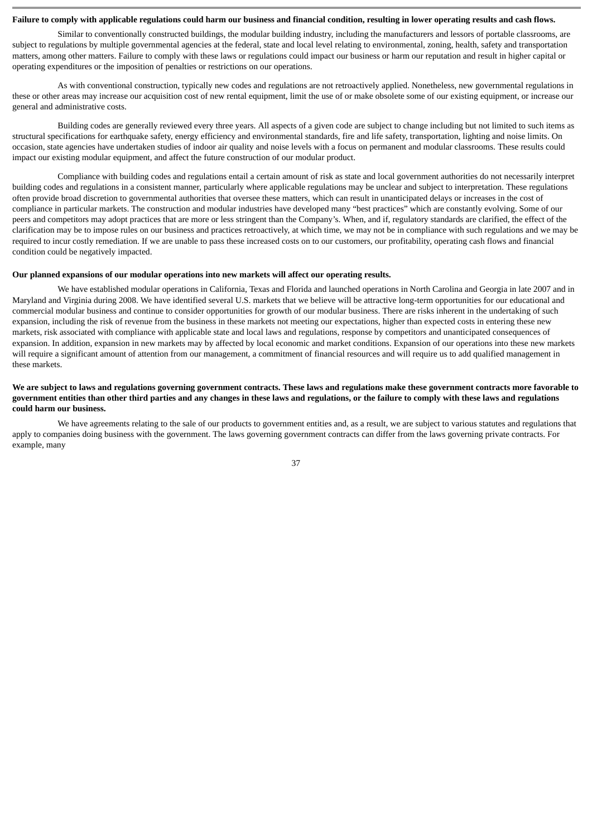#### **Failure to comply with applicable regulations could harm our business and financial condition, resulting in lower operating results and cash flows.**

Similar to conventionally constructed buildings, the modular building industry, including the manufacturers and lessors of portable classrooms, are subject to regulations by multiple governmental agencies at the federal, state and local level relating to environmental, zoning, health, safety and transportation matters, among other matters. Failure to comply with these laws or regulations could impact our business or harm our reputation and result in higher capital or operating expenditures or the imposition of penalties or restrictions on our operations.

As with conventional construction, typically new codes and regulations are not retroactively applied. Nonetheless, new governmental regulations in these or other areas may increase our acquisition cost of new rental equipment, limit the use of or make obsolete some of our existing equipment, or increase our general and administrative costs.

Building codes are generally reviewed every three years. All aspects of a given code are subject to change including but not limited to such items as structural specifications for earthquake safety, energy efficiency and environmental standards, fire and life safety, transportation, lighting and noise limits. On occasion, state agencies have undertaken studies of indoor air quality and noise levels with a focus on permanent and modular classrooms. These results could impact our existing modular equipment, and affect the future construction of our modular product.

Compliance with building codes and regulations entail a certain amount of risk as state and local government authorities do not necessarily interpret building codes and regulations in a consistent manner, particularly where applicable regulations may be unclear and subject to interpretation. These regulations often provide broad discretion to governmental authorities that oversee these matters, which can result in unanticipated delays or increases in the cost of compliance in particular markets. The construction and modular industries have developed many "best practices" which are constantly evolving. Some of our peers and competitors may adopt practices that are more or less stringent than the Company's. When, and if, regulatory standards are clarified, the effect of the clarification may be to impose rules on our business and practices retroactively, at which time, we may not be in compliance with such regulations and we may be required to incur costly remediation. If we are unable to pass these increased costs on to our customers, our profitability, operating cash flows and financial condition could be negatively impacted.

#### **Our planned expansions of our modular operations into new markets will affect our operating results.**

We have established modular operations in California, Texas and Florida and launched operations in North Carolina and Georgia in late 2007 and in Maryland and Virginia during 2008. We have identified several U.S. markets that we believe will be attractive long-term opportunities for our educational and commercial modular business and continue to consider opportunities for growth of our modular business. There are risks inherent in the undertaking of such expansion, including the risk of revenue from the business in these markets not meeting our expectations, higher than expected costs in entering these new markets, risk associated with compliance with applicable state and local laws and regulations, response by competitors and unanticipated consequences of expansion. In addition, expansion in new markets may by affected by local economic and market conditions. Expansion of our operations into these new markets will require a significant amount of attention from our management, a commitment of financial resources and will require us to add qualified management in these markets.

# **We are subject to laws and regulations governing government contracts. These laws and regulations make these government contracts more favorable to government entities than other third parties and any changes in these laws and regulations, or the failure to comply with these laws and regulations could harm our business.**

We have agreements relating to the sale of our products to government entities and, as a result, we are subject to various statutes and regulations that apply to companies doing business with the government. The laws governing government contracts can differ from the laws governing private contracts. For example, many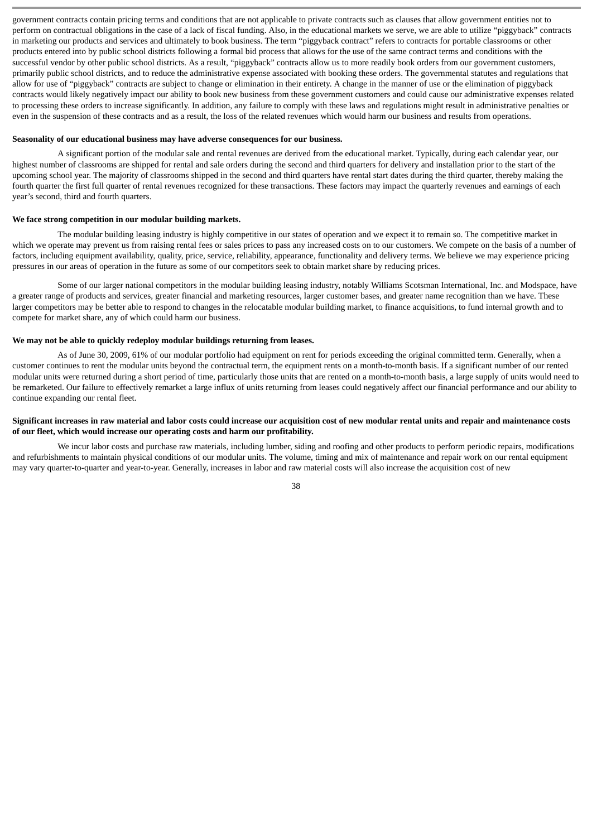government contracts contain pricing terms and conditions that are not applicable to private contracts such as clauses that allow government entities not to perform on contractual obligations in the case of a lack of fiscal funding. Also, in the educational markets we serve, we are able to utilize "piggyback" contracts in marketing our products and services and ultimately to book business. The term "piggyback contract" refers to contracts for portable classrooms or other products entered into by public school districts following a formal bid process that allows for the use of the same contract terms and conditions with the successful vendor by other public school districts. As a result, "piggyback" contracts allow us to more readily book orders from our government customers, primarily public school districts, and to reduce the administrative expense associated with booking these orders. The governmental statutes and regulations that allow for use of "piggyback" contracts are subject to change or elimination in their entirety. A change in the manner of use or the elimination of piggyback contracts would likely negatively impact our ability to book new business from these government customers and could cause our administrative expenses related to processing these orders to increase significantly. In addition, any failure to comply with these laws and regulations might result in administrative penalties or even in the suspension of these contracts and as a result, the loss of the related revenues which would harm our business and results from operations.

#### **Seasonality of our educational business may have adverse consequences for our business.**

A significant portion of the modular sale and rental revenues are derived from the educational market. Typically, during each calendar year, our highest number of classrooms are shipped for rental and sale orders during the second and third quarters for delivery and installation prior to the start of the upcoming school year. The majority of classrooms shipped in the second and third quarters have rental start dates during the third quarter, thereby making the fourth quarter the first full quarter of rental revenues recognized for these transactions. These factors may impact the quarterly revenues and earnings of each year's second, third and fourth quarters.

#### **We face strong competition in our modular building markets.**

The modular building leasing industry is highly competitive in our states of operation and we expect it to remain so. The competitive market in which we operate may prevent us from raising rental fees or sales prices to pass any increased costs on to our customers. We compete on the basis of a number of factors, including equipment availability, quality, price, service, reliability, appearance, functionality and delivery terms. We believe we may experience pricing pressures in our areas of operation in the future as some of our competitors seek to obtain market share by reducing prices.

Some of our larger national competitors in the modular building leasing industry, notably Williams Scotsman International, Inc. and Modspace, have a greater range of products and services, greater financial and marketing resources, larger customer bases, and greater name recognition than we have. These larger competitors may be better able to respond to changes in the relocatable modular building market, to finance acquisitions, to fund internal growth and to compete for market share, any of which could harm our business.

#### **We may not be able to quickly redeploy modular buildings returning from leases.**

As of June 30, 2009, 61% of our modular portfolio had equipment on rent for periods exceeding the original committed term. Generally, when a customer continues to rent the modular units beyond the contractual term, the equipment rents on a month-to-month basis. If a significant number of our rented modular units were returned during a short period of time, particularly those units that are rented on a month-to-month basis, a large supply of units would need to be remarketed. Our failure to effectively remarket a large influx of units returning from leases could negatively affect our financial performance and our ability to continue expanding our rental fleet.

# **Significant increases in raw material and labor costs could increase our acquisition cost of new modular rental units and repair and maintenance costs of our fleet, which would increase our operating costs and harm our profitability.**

We incur labor costs and purchase raw materials, including lumber, siding and roofing and other products to perform periodic repairs, modifications and refurbishments to maintain physical conditions of our modular units. The volume, timing and mix of maintenance and repair work on our rental equipment may vary quarter-to-quarter and year-to-year. Generally, increases in labor and raw material costs will also increase the acquisition cost of new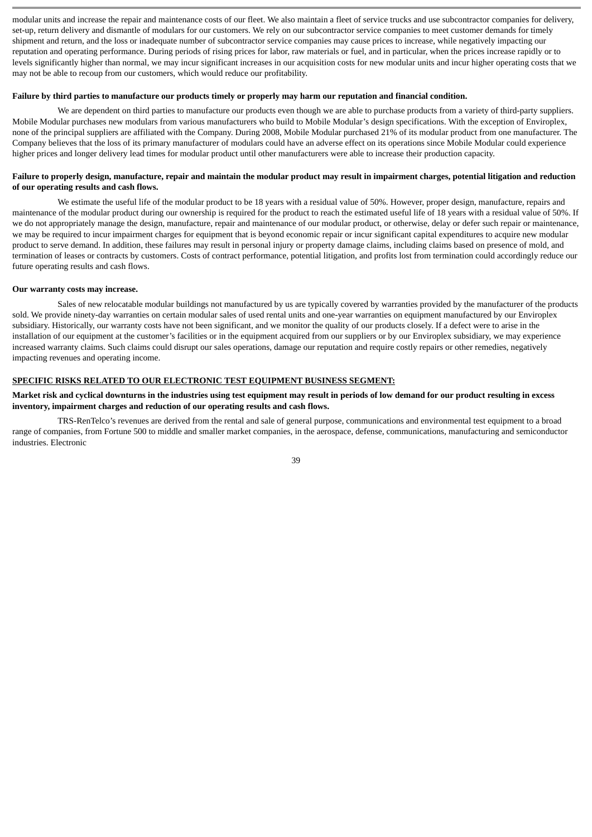modular units and increase the repair and maintenance costs of our fleet. We also maintain a fleet of service trucks and use subcontractor companies for delivery, set-up, return delivery and dismantle of modulars for our customers. We rely on our subcontractor service companies to meet customer demands for timely shipment and return, and the loss or inadequate number of subcontractor service companies may cause prices to increase, while negatively impacting our reputation and operating performance. During periods of rising prices for labor, raw materials or fuel, and in particular, when the prices increase rapidly or to levels significantly higher than normal, we may incur significant increases in our acquisition costs for new modular units and incur higher operating costs that we may not be able to recoup from our customers, which would reduce our profitability.

# **Failure by third parties to manufacture our products timely or properly may harm our reputation and financial condition.**

We are dependent on third parties to manufacture our products even though we are able to purchase products from a variety of third-party suppliers. Mobile Modular purchases new modulars from various manufacturers who build to Mobile Modular's design specifications. With the exception of Enviroplex, none of the principal suppliers are affiliated with the Company. During 2008, Mobile Modular purchased 21% of its modular product from one manufacturer. The Company believes that the loss of its primary manufacturer of modulars could have an adverse effect on its operations since Mobile Modular could experience higher prices and longer delivery lead times for modular product until other manufacturers were able to increase their production capacity.

# **Failure to properly design, manufacture, repair and maintain the modular product may result in impairment charges, potential litigation and reduction of our operating results and cash flows.**

We estimate the useful life of the modular product to be 18 years with a residual value of 50%. However, proper design, manufacture, repairs and maintenance of the modular product during our ownership is required for the product to reach the estimated useful life of 18 years with a residual value of 50%. If we do not appropriately manage the design, manufacture, repair and maintenance of our modular product, or otherwise, delay or defer such repair or maintenance, we may be required to incur impairment charges for equipment that is beyond economic repair or incur significant capital expenditures to acquire new modular product to serve demand. In addition, these failures may result in personal injury or property damage claims, including claims based on presence of mold, and termination of leases or contracts by customers. Costs of contract performance, potential litigation, and profits lost from termination could accordingly reduce our future operating results and cash flows.

#### **Our warranty costs may increase.**

Sales of new relocatable modular buildings not manufactured by us are typically covered by warranties provided by the manufacturer of the products sold. We provide ninety-day warranties on certain modular sales of used rental units and one-year warranties on equipment manufactured by our Enviroplex subsidiary. Historically, our warranty costs have not been significant, and we monitor the quality of our products closely. If a defect were to arise in the installation of our equipment at the customer's facilities or in the equipment acquired from our suppliers or by our Enviroplex subsidiary, we may experience increased warranty claims. Such claims could disrupt our sales operations, damage our reputation and require costly repairs or other remedies, negatively impacting revenues and operating income.

# **SPECIFIC RISKS RELATED TO OUR ELECTRONIC TEST EQUIPMENT BUSINESS SEGMENT:**

# **Market risk and cyclical downturns in the industries using test equipment may result in periods of low demand for our product resulting in excess inventory, impairment charges and reduction of our operating results and cash flows.**

TRS-RenTelco's revenues are derived from the rental and sale of general purpose, communications and environmental test equipment to a broad range of companies, from Fortune 500 to middle and smaller market companies, in the aerospace, defense, communications, manufacturing and semiconductor industries. Electronic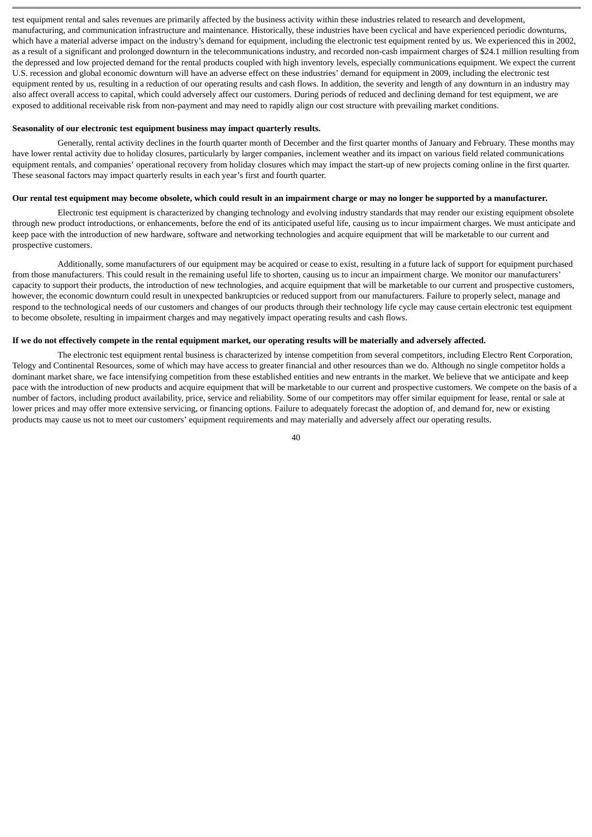test equipment rental and sales revenues are primarily affected by the business activity within these industries related to research and development, manufacturing, and communication infrastructure and maintenance. Historically, these industries have been cyclical and have experienced periodic downturns, which have a material adverse impact on the industry's demand for equipment, including the electronic test equipment rented by us. We experienced this in 2002, as a result of a significant and prolonged downturn in the telecommunications industry, and recorded non-cash impairment charges of \$24.1 million resulting from the depressed and low projected demand for the rental products coupled with high inventory levels, especially communications equipment. We expect the current U.S. recession and global economic downturn will have an adverse effect on these industries' demand for equipment in 2009, including the electronic test equipment rented by us, resulting in a reduction of our operating results and cash flows. In addition, the severity and length of any downturn in an industry may also affect overall access to capital, which could adversely affect our customers. During periods of reduced and declining demand for test equipment, we are exposed to additional receivable risk from non-payment and may need to rapidly align our cost structure with prevailing market conditions.

# **Seasonality of our electronic test equipment business may impact quarterly results.**

Generally, rental activity declines in the fourth quarter month of December and the first quarter months of January and February. These months may have lower rental activity due to holiday closures, particularly by larger companies, inclement weather and its impact on various field related communications equipment rentals, and companies' operational recovery from holiday closures which may impact the start-up of new projects coming online in the first quarter. These seasonal factors may impact quarterly results in each year's first and fourth quarter.

#### **Our rental test equipment may become obsolete, which could result in an impairment charge or may no longer be supported by a manufacturer***.*

Electronic test equipment is characterized by changing technology and evolving industry standards that may render our existing equipment obsolete through new product introductions, or enhancements, before the end of its anticipated useful life, causing us to incur impairment charges. We must anticipate and keep pace with the introduction of new hardware, software and networking technologies and acquire equipment that will be marketable to our current and prospective customers.

Additionally, some manufacturers of our equipment may be acquired or cease to exist, resulting in a future lack of support for equipment purchased from those manufacturers. This could result in the remaining useful life to shorten, causing us to incur an impairment charge. We monitor our manufacturers' capacity to support their products, the introduction of new technologies, and acquire equipment that will be marketable to our current and prospective customers, however, the economic downturn could result in unexpected bankruptcies or reduced support from our manufacturers. Failure to properly select, manage and respond to the technological needs of our customers and changes of our products through their technology life cycle may cause certain electronic test equipment to become obsolete, resulting in impairment charges and may negatively impact operating results and cash flows.

#### **If we do not effectively compete in the rental equipment market, our operating results will be materially and adversely affected.**

The electronic test equipment rental business is characterized by intense competition from several competitors, including Electro Rent Corporation, Telogy and Continental Resources, some of which may have access to greater financial and other resources than we do. Although no single competitor holds a dominant market share, we face intensifying competition from these established entities and new entrants in the market. We believe that we anticipate and keep pace with the introduction of new products and acquire equipment that will be marketable to our current and prospective customers. We compete on the basis of a number of factors, including product availability, price, service and reliability. Some of our competitors may offer similar equipment for lease, rental or sale at lower prices and may offer more extensive servicing, or financing options. Failure to adequately forecast the adoption of, and demand for, new or existing products may cause us not to meet our customers' equipment requirements and may materially and adversely affect our operating results.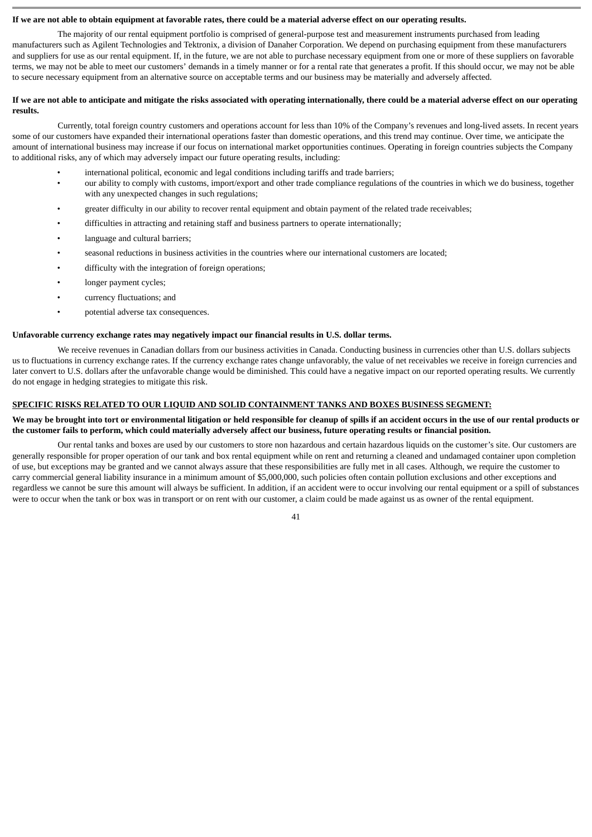#### **If we are not able to obtain equipment at favorable rates, there could be a material adverse effect on our operating results.**

The majority of our rental equipment portfolio is comprised of general-purpose test and measurement instruments purchased from leading manufacturers such as Agilent Technologies and Tektronix, a division of Danaher Corporation. We depend on purchasing equipment from these manufacturers and suppliers for use as our rental equipment. If, in the future, we are not able to purchase necessary equipment from one or more of these suppliers on favorable terms, we may not be able to meet our customers' demands in a timely manner or for a rental rate that generates a profit. If this should occur, we may not be able to secure necessary equipment from an alternative source on acceptable terms and our business may be materially and adversely affected.

# **If we are not able to anticipate and mitigate the risks associated with operating internationally, there could be a material adverse effect on our operating results.**

Currently, total foreign country customers and operations account for less than 10% of the Company's revenues and long-lived assets. In recent years some of our customers have expanded their international operations faster than domestic operations, and this trend may continue. Over time, we anticipate the amount of international business may increase if our focus on international market opportunities continues. Operating in foreign countries subjects the Company to additional risks, any of which may adversely impact our future operating results, including:

- international political, economic and legal conditions including tariffs and trade barriers;
- our ability to comply with customs, import/export and other trade compliance regulations of the countries in which we do business, together with any unexpected changes in such regulations;
- greater difficulty in our ability to recover rental equipment and obtain payment of the related trade receivables;
- difficulties in attracting and retaining staff and business partners to operate internationally;
- language and cultural barriers;
- seasonal reductions in business activities in the countries where our international customers are located;
- difficulty with the integration of foreign operations:
- longer payment cycles;
- currency fluctuations; and
- potential adverse tax consequences.

# **Unfavorable currency exchange rates may negatively impact our financial results in U.S. dollar terms.**

We receive revenues in Canadian dollars from our business activities in Canada. Conducting business in currencies other than U.S. dollars subjects us to fluctuations in currency exchange rates. If the currency exchange rates change unfavorably, the value of net receivables we receive in foreign currencies and later convert to U.S. dollars after the unfavorable change would be diminished. This could have a negative impact on our reported operating results. We currently do not engage in hedging strategies to mitigate this risk.

# **SPECIFIC RISKS RELATED TO OUR LIQUID AND SOLID CONTAINMENT TANKS AND BOXES BUSINESS SEGMENT:**

### **We may be brought into tort or environmental litigation or held responsible for cleanup of spills if an accident occurs in the use of our rental products or the customer fails to perform, which could materially adversely affect our business, future operating results or financial position.**

Our rental tanks and boxes are used by our customers to store non hazardous and certain hazardous liquids on the customer's site. Our customers are generally responsible for proper operation of our tank and box rental equipment while on rent and returning a cleaned and undamaged container upon completion of use, but exceptions may be granted and we cannot always assure that these responsibilities are fully met in all cases. Although, we require the customer to carry commercial general liability insurance in a minimum amount of \$5,000,000, such policies often contain pollution exclusions and other exceptions and regardless we cannot be sure this amount will always be sufficient. In addition, if an accident were to occur involving our rental equipment or a spill of substances were to occur when the tank or box was in transport or on rent with our customer, a claim could be made against us as owner of the rental equipment.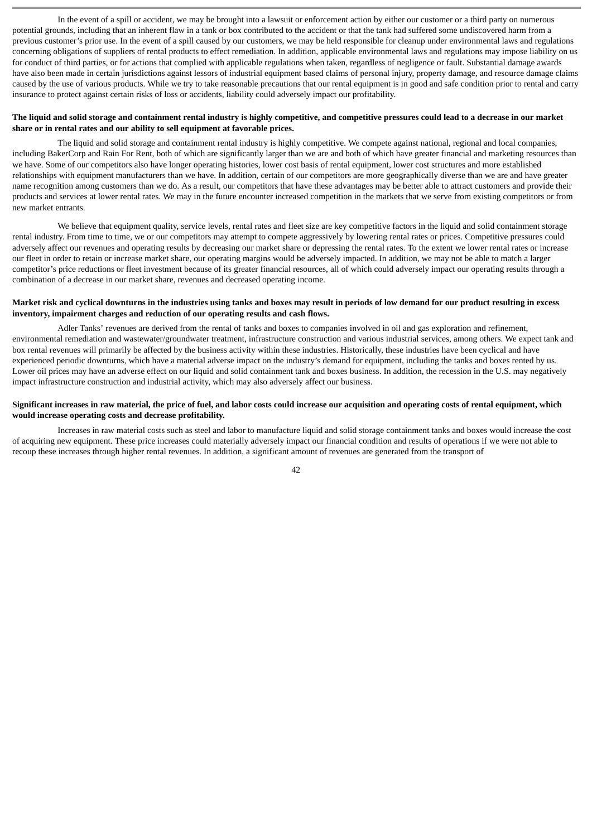In the event of a spill or accident, we may be brought into a lawsuit or enforcement action by either our customer or a third party on numerous potential grounds, including that an inherent flaw in a tank or box contributed to the accident or that the tank had suffered some undiscovered harm from a previous customer's prior use. In the event of a spill caused by our customers, we may be held responsible for cleanup under environmental laws and regulations concerning obligations of suppliers of rental products to effect remediation. In addition, applicable environmental laws and regulations may impose liability on us for conduct of third parties, or for actions that complied with applicable regulations when taken, regardless of negligence or fault. Substantial damage awards have also been made in certain jurisdictions against lessors of industrial equipment based claims of personal injury, property damage, and resource damage claims caused by the use of various products. While we try to take reasonable precautions that our rental equipment is in good and safe condition prior to rental and carry insurance to protect against certain risks of loss or accidents, liability could adversely impact our profitability.

#### **The liquid and solid storage and containment rental industry is highly competitive, and competitive pressures could lead to a decrease in our market share or in rental rates and our ability to sell equipment at favorable prices.**

The liquid and solid storage and containment rental industry is highly competitive. We compete against national, regional and local companies, including BakerCorp and Rain For Rent, both of which are significantly larger than we are and both of which have greater financial and marketing resources than we have. Some of our competitors also have longer operating histories, lower cost basis of rental equipment, lower cost structures and more established relationships with equipment manufacturers than we have. In addition, certain of our competitors are more geographically diverse than we are and have greater name recognition among customers than we do. As a result, our competitors that have these advantages may be better able to attract customers and provide their products and services at lower rental rates. We may in the future encounter increased competition in the markets that we serve from existing competitors or from new market entrants.

We believe that equipment quality, service levels, rental rates and fleet size are key competitive factors in the liquid and solid containment storage rental industry. From time to time, we or our competitors may attempt to compete aggressively by lowering rental rates or prices. Competitive pressures could adversely affect our revenues and operating results by decreasing our market share or depressing the rental rates. To the extent we lower rental rates or increase our fleet in order to retain or increase market share, our operating margins would be adversely impacted. In addition, we may not be able to match a larger competitor's price reductions or fleet investment because of its greater financial resources, all of which could adversely impact our operating results through a combination of a decrease in our market share, revenues and decreased operating income.

# **Market risk and cyclical downturns in the industries using tanks and boxes may result in periods of low demand for our product resulting in excess inventory, impairment charges and reduction of our operating results and cash flows.**

Adler Tanks' revenues are derived from the rental of tanks and boxes to companies involved in oil and gas exploration and refinement, environmental remediation and wastewater/groundwater treatment, infrastructure construction and various industrial services, among others. We expect tank and box rental revenues will primarily be affected by the business activity within these industries. Historically, these industries have been cyclical and have experienced periodic downturns, which have a material adverse impact on the industry's demand for equipment, including the tanks and boxes rented by us. Lower oil prices may have an adverse effect on our liquid and solid containment tank and boxes business. In addition, the recession in the U.S. may negatively impact infrastructure construction and industrial activity, which may also adversely affect our business.

# **Significant increases in raw material, the price of fuel, and labor costs could increase our acquisition and operating costs of rental equipment, which would increase operating costs and decrease profitability.**

Increases in raw material costs such as steel and labor to manufacture liquid and solid storage containment tanks and boxes would increase the cost of acquiring new equipment. These price increases could materially adversely impact our financial condition and results of operations if we were not able to recoup these increases through higher rental revenues. In addition, a significant amount of revenues are generated from the transport of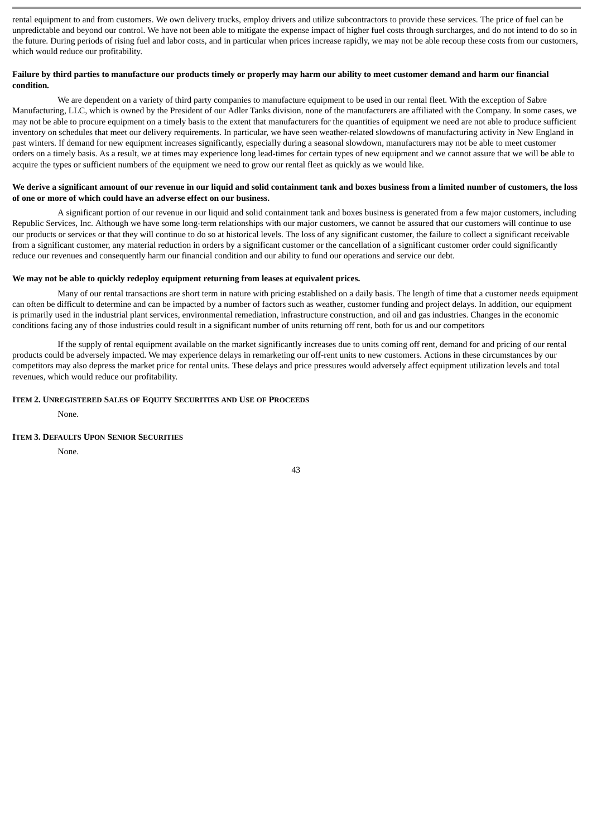rental equipment to and from customers. We own delivery trucks, employ drivers and utilize subcontractors to provide these services. The price of fuel can be unpredictable and beyond our control. We have not been able to mitigate the expense impact of higher fuel costs through surcharges, and do not intend to do so in the future. During periods of rising fuel and labor costs, and in particular when prices increase rapidly, we may not be able recoup these costs from our customers, which would reduce our profitability.

# **Failure by third parties to manufacture our products timely or properly may harm our ability to meet customer demand and harm our financial condition***.*

We are dependent on a variety of third party companies to manufacture equipment to be used in our rental fleet. With the exception of Sabre Manufacturing, LLC, which is owned by the President of our Adler Tanks division, none of the manufacturers are affiliated with the Company. In some cases, we may not be able to procure equipment on a timely basis to the extent that manufacturers for the quantities of equipment we need are not able to produce sufficient inventory on schedules that meet our delivery requirements. In particular, we have seen weather-related slowdowns of manufacturing activity in New England in past winters. If demand for new equipment increases significantly, especially during a seasonal slowdown, manufacturers may not be able to meet customer orders on a timely basis. As a result, we at times may experience long lead-times for certain types of new equipment and we cannot assure that we will be able to acquire the types or sufficient numbers of the equipment we need to grow our rental fleet as quickly as we would like.

# **We derive a significant amount of our revenue in our liquid and solid containment tank and boxes business from a limited number of customers, the loss of one or more of which could have an adverse effect on our business.**

A significant portion of our revenue in our liquid and solid containment tank and boxes business is generated from a few major customers, including Republic Services, Inc. Although we have some long-term relationships with our major customers, we cannot be assured that our customers will continue to use our products or services or that they will continue to do so at historical levels. The loss of any significant customer, the failure to collect a significant receivable from a significant customer, any material reduction in orders by a significant customer or the cancellation of a significant customer order could significantly reduce our revenues and consequently harm our financial condition and our ability to fund our operations and service our debt.

# **We may not be able to quickly redeploy equipment returning from leases at equivalent prices.**

Many of our rental transactions are short term in nature with pricing established on a daily basis. The length of time that a customer needs equipment can often be difficult to determine and can be impacted by a number of factors such as weather, customer funding and project delays. In addition, our equipment is primarily used in the industrial plant services, environmental remediation, infrastructure construction, and oil and gas industries. Changes in the economic conditions facing any of those industries could result in a significant number of units returning off rent, both for us and our competitors

If the supply of rental equipment available on the market significantly increases due to units coming off rent, demand for and pricing of our rental products could be adversely impacted. We may experience delays in remarketing our off-rent units to new customers. Actions in these circumstances by our competitors may also depress the market price for rental units. These delays and price pressures would adversely affect equipment utilization levels and total revenues, which would reduce our profitability.

# **ITEM 2. UNREGISTERED SALES OF EQUITY SECURITIES AND USE OF PROCEEDS**

None.

# **ITEM 3. DEFAULTS UPON SENIOR SECURITIES**

None.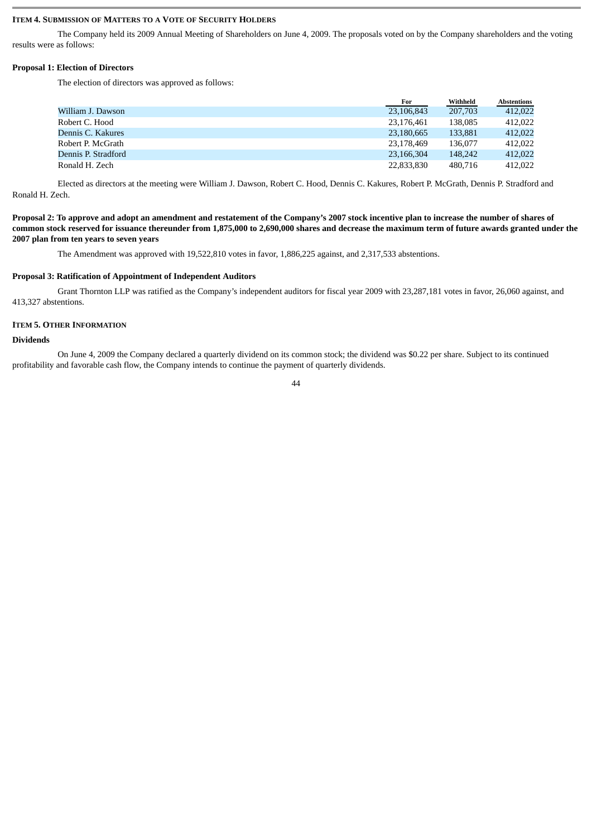# **ITEM 4. SUBMISSION OF MATTERS TO A VOTE OF SECURITY HOLDERS**

The Company held its 2009 Annual Meeting of Shareholders on June 4, 2009. The proposals voted on by the Company shareholders and the voting results were as follows:

# **Proposal 1: Election of Directors**

The election of directors was approved as follows:

|                     | For        | Withheld | <b>Abstentions</b> |
|---------------------|------------|----------|--------------------|
| William J. Dawson   | 23,106,843 | 207,703  | 412,022            |
| Robert C. Hood      | 23,176,461 | 138.085  | 412.022            |
| Dennis C. Kakures   | 23,180,665 | 133.881  | 412,022            |
| Robert P. McGrath   | 23,178,469 | 136.077  | 412.022            |
| Dennis P. Stradford | 23.166.304 | 148,242  | 412,022            |
| Ronald H. Zech      | 22.833.830 | 480.716  | 412,022            |

Elected as directors at the meeting were William J. Dawson, Robert C. Hood, Dennis C. Kakures, Robert P. McGrath, Dennis P. Stradford and Ronald H. Zech.

**Proposal 2: To approve and adopt an amendment and restatement of the Company's 2007 stock incentive plan to increase the number of shares of common stock reserved for issuance thereunder from 1,875,000 to 2,690,000 shares and decrease the maximum term of future awards granted under the 2007 plan from ten years to seven years**

The Amendment was approved with 19,522,810 votes in favor, 1,886,225 against, and 2,317,533 abstentions.

# **Proposal 3: Ratification of Appointment of Independent Auditors**

Grant Thornton LLP was ratified as the Company's independent auditors for fiscal year 2009 with 23,287,181 votes in favor, 26,060 against, and 413,327 abstentions.

# **ITEM 5. OTHER INFORMATION**

#### **Dividends**

On June 4, 2009 the Company declared a quarterly dividend on its common stock; the dividend was \$0.22 per share. Subject to its continued profitability and favorable cash flow, the Company intends to continue the payment of quarterly dividends.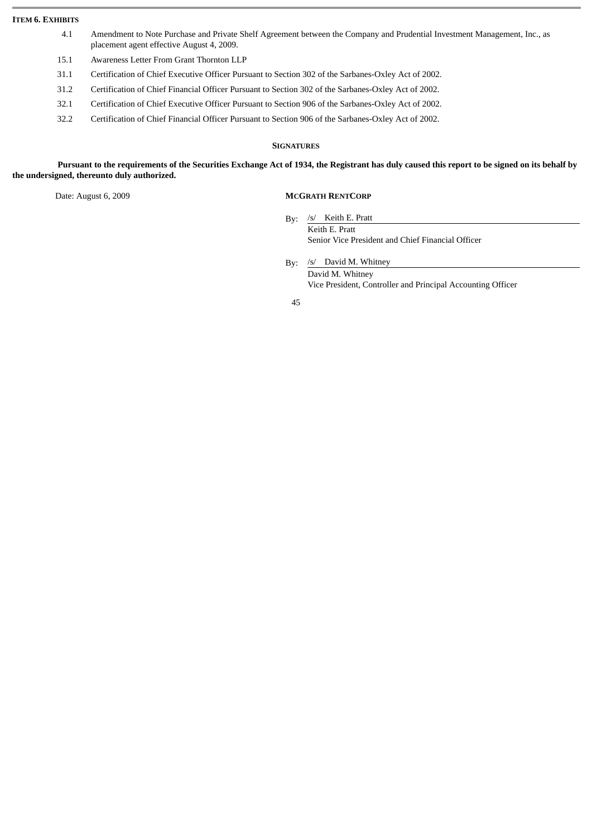# **ITEM 6. EXHIBITS**

- 4.1 Amendment to Note Purchase and Private Shelf Agreement between the Company and Prudential Investment Management, Inc., as placement agent effective August 4, 2009.
- 15.1 Awareness Letter From Grant Thornton LLP
- 31.1 Certification of Chief Executive Officer Pursuant to Section 302 of the Sarbanes-Oxley Act of 2002.
- 31.2 Certification of Chief Financial Officer Pursuant to Section 302 of the Sarbanes-Oxley Act of 2002.
- 32.1 Certification of Chief Executive Officer Pursuant to Section 906 of the Sarbanes-Oxley Act of 2002.
- 32.2 Certification of Chief Financial Officer Pursuant to Section 906 of the Sarbanes-Oxley Act of 2002.

#### **SIGNATURES**

**Pursuant to the requirements of the Securities Exchange Act of 1934, the Registrant has duly caused this report to be signed on its behalf by the undersigned, thereunto duly authorized.**

# Date: August 6, 2009 **MCGRATH RENTCORP**

By: /s/ Keith E. Pratt Keith E. Pratt Senior Vice President and Chief Financial Officer

By: /s/ David M. Whitney David M. Whitney Vice President, Controller and Principal Accounting Officer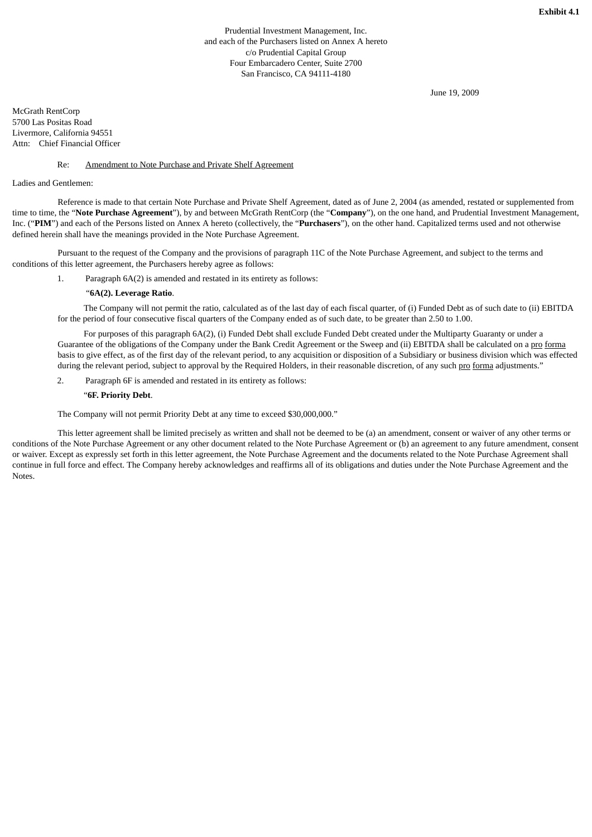Prudential Investment Management, Inc. and each of the Purchasers listed on Annex A hereto c/o Prudential Capital Group Four Embarcadero Center, Suite 2700 San Francisco, CA 94111-4180

June 19, 2009

McGrath RentCorp 5700 Las Positas Road Livermore, California 94551 Attn: Chief Financial Officer

#### Re: Amendment to Note Purchase and Private Shelf Agreement

Ladies and Gentlemen:

Reference is made to that certain Note Purchase and Private Shelf Agreement, dated as of June 2, 2004 (as amended, restated or supplemented from time to time, the "**Note Purchase Agreement**"), by and between McGrath RentCorp (the "**Company**"), on the one hand, and Prudential Investment Management, Inc. ("**PIM**") and each of the Persons listed on Annex A hereto (collectively, the "**Purchasers**"), on the other hand. Capitalized terms used and not otherwise defined herein shall have the meanings provided in the Note Purchase Agreement.

Pursuant to the request of the Company and the provisions of paragraph 11C of the Note Purchase Agreement, and subject to the terms and conditions of this letter agreement, the Purchasers hereby agree as follows:

1. Paragraph 6A(2) is amended and restated in its entirety as follows:

# "**6A(2). Leverage Ratio**.

The Company will not permit the ratio, calculated as of the last day of each fiscal quarter, of (i) Funded Debt as of such date to (ii) EBITDA for the period of four consecutive fiscal quarters of the Company ended as of such date, to be greater than 2.50 to 1.00.

For purposes of this paragraph 6A(2), (i) Funded Debt shall exclude Funded Debt created under the Multiparty Guaranty or under a Guarantee of the obligations of the Company under the Bank Credit Agreement or the Sweep and (ii) EBITDA shall be calculated on a pro forma basis to give effect, as of the first day of the relevant period, to any acquisition or disposition of a Subsidiary or business division which was effected during the relevant period, subject to approval by the Required Holders, in their reasonable discretion, of any such pro forma adjustments."

2. Paragraph 6F is amended and restated in its entirety as follows:

# "**6F. Priority Debt**.

The Company will not permit Priority Debt at any time to exceed \$30,000,000."

This letter agreement shall be limited precisely as written and shall not be deemed to be (a) an amendment, consent or waiver of any other terms or conditions of the Note Purchase Agreement or any other document related to the Note Purchase Agreement or (b) an agreement to any future amendment, consent or waiver. Except as expressly set forth in this letter agreement, the Note Purchase Agreement and the documents related to the Note Purchase Agreement shall continue in full force and effect. The Company hereby acknowledges and reaffirms all of its obligations and duties under the Note Purchase Agreement and the Notes.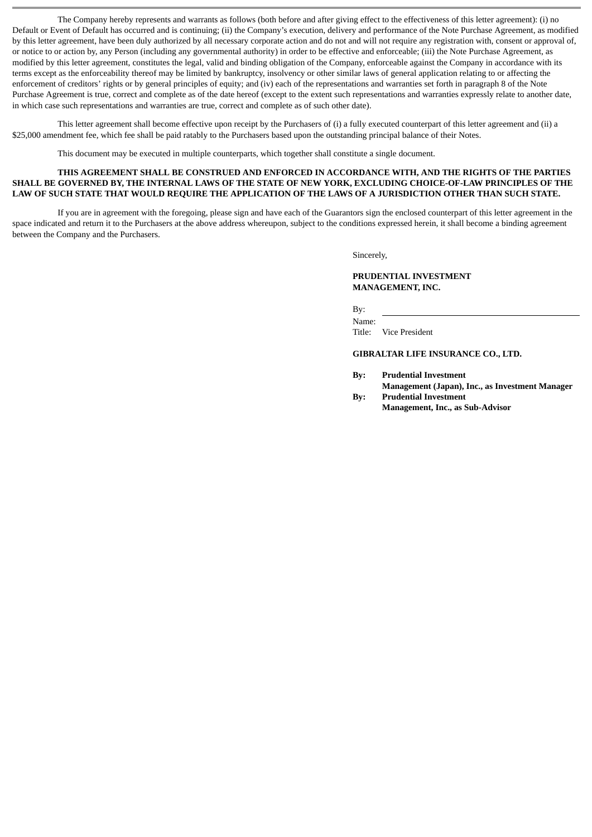The Company hereby represents and warrants as follows (both before and after giving effect to the effectiveness of this letter agreement): (i) no Default or Event of Default has occurred and is continuing; (ii) the Company's execution, delivery and performance of the Note Purchase Agreement, as modified by this letter agreement, have been duly authorized by all necessary corporate action and do not and will not require any registration with, consent or approval of, or notice to or action by, any Person (including any governmental authority) in order to be effective and enforceable; (iii) the Note Purchase Agreement, as modified by this letter agreement, constitutes the legal, valid and binding obligation of the Company, enforceable against the Company in accordance with its terms except as the enforceability thereof may be limited by bankruptcy, insolvency or other similar laws of general application relating to or affecting the enforcement of creditors' rights or by general principles of equity; and (iv) each of the representations and warranties set forth in paragraph 8 of the Note Purchase Agreement is true, correct and complete as of the date hereof (except to the extent such representations and warranties expressly relate to another date, in which case such representations and warranties are true, correct and complete as of such other date).

This letter agreement shall become effective upon receipt by the Purchasers of (i) a fully executed counterpart of this letter agreement and (ii) a \$25,000 amendment fee, which fee shall be paid ratably to the Purchasers based upon the outstanding principal balance of their Notes.

This document may be executed in multiple counterparts, which together shall constitute a single document.

# **THIS AGREEMENT SHALL BE CONSTRUED AND ENFORCED IN ACCORDANCE WITH, AND THE RIGHTS OF THE PARTIES SHALL BE GOVERNED BY, THE INTERNAL LAWS OF THE STATE OF NEW YORK, EXCLUDING CHOICE-OF-LAW PRINCIPLES OF THE LAW OF SUCH STATE THAT WOULD REQUIRE THE APPLICATION OF THE LAWS OF A JURISDICTION OTHER THAN SUCH STATE.**

If you are in agreement with the foregoing, please sign and have each of the Guarantors sign the enclosed counterpart of this letter agreement in the space indicated and return it to the Purchasers at the above address whereupon, subject to the conditions expressed herein, it shall become a binding agreement between the Company and the Purchasers.

Sincerely,

### **PRUDENTIAL INVESTMENT MANAGEMENT, INC.**

By:

Name: Title: Vice President

# **GIBRALTAR LIFE INSURANCE CO., LTD.**

- **By: Prudential Investment Management (Japan), Inc., as Investment Manager By: Prudential Investment**
	- **Management, Inc., as Sub-Advisor**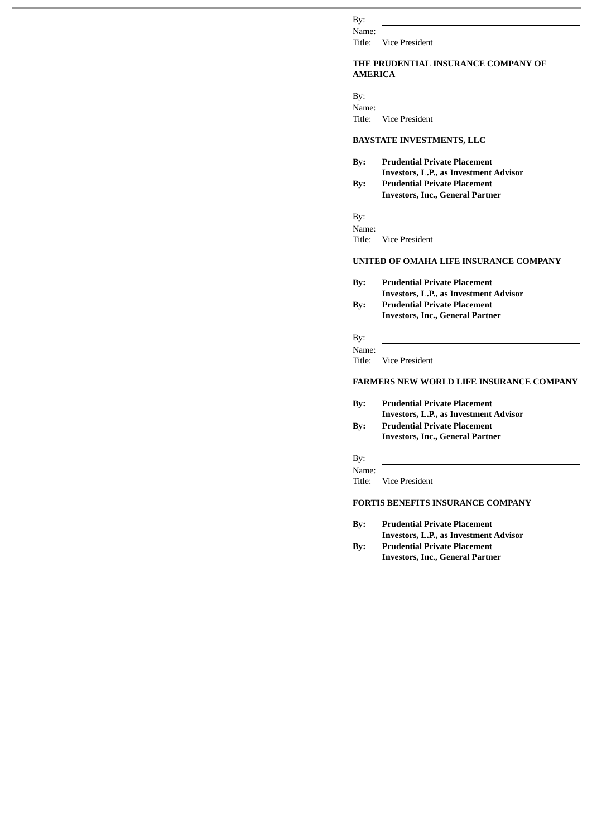By: Name:

Title: Vice President

# **THE PRUDENTIAL INSURANCE COMPANY OF AMERICA**

# By:

Name: Title: Vice President

# **BAYSTATE INVESTMENTS, LLC**

| Bv: | <b>Prudential Private Placement</b>    |
|-----|----------------------------------------|
|     | Investors, L.P., as Investment Advisor |
| Bv: | <b>Prudential Private Placement</b>    |
|     | Investors, Inc., General Partner       |
|     |                                        |

By:

Name: Title: Vice President

# **UNITED OF OMAHA LIFE INSURANCE COMPANY**

| Bv: | <b>Prudential Private Placement</b>    |
|-----|----------------------------------------|
|     | Investors, L.P., as Investment Advisor |
| By: | <b>Prudential Private Placement</b>    |

**Investors, Inc., General Partner**

By:

Name: Title: Vice President

#### **FARMERS NEW WORLD LIFE INSURANCE COMPANY**

| By: | <b>Prudential Private Placement</b>           |
|-----|-----------------------------------------------|
|     | <b>Investors, L.P., as Investment Advisor</b> |
| By: | <b>Prudential Private Placement</b>           |
|     | Investors, Inc., General Partner              |

By:

Name: Title: Vice President

# **FORTIS BENEFITS INSURANCE COMPANY**

| Bv: | <b>Prudential Private Placement</b>     |
|-----|-----------------------------------------|
|     | Investors, L.P., as Investment Advisor  |
| Bv: | <b>Prudential Private Placement</b>     |
|     | <b>Investors, Inc., General Partner</b> |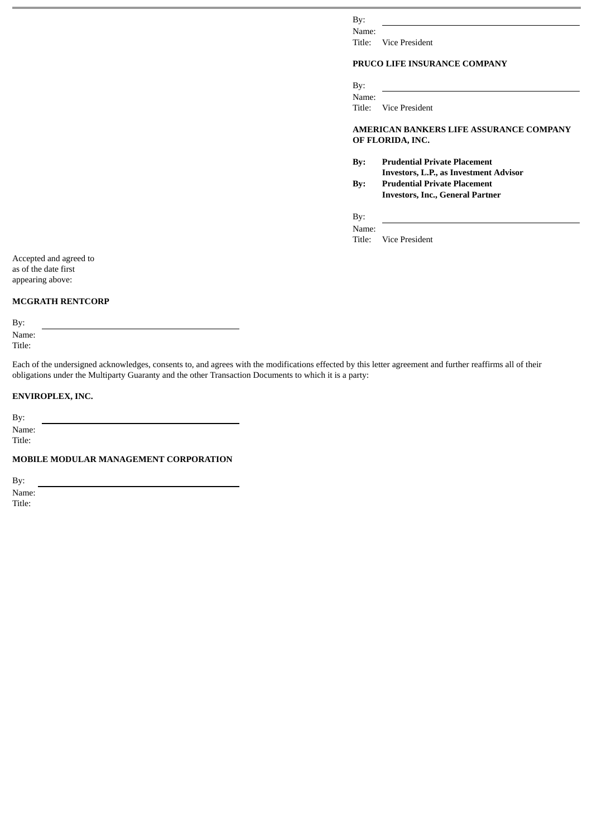By: Name:

Title: Vice President

# **PRUCO LIFE INSURANCE COMPANY**

| ۰.<br>-<br>I<br>controllers. |  |
|------------------------------|--|
|                              |  |

Name:

Title: Vice President

# **AMERICAN BANKERS LIFE ASSURANCE COMPANY OF FLORIDA, INC.**

| By: | <b>Prudential Private Placement</b>    |
|-----|----------------------------------------|
|     | Investors, L.P., as Investment Advisor |

**By: Prudential Private Placement Investors, Inc., General Partner**

By:

Name: Title: Vice President

Accepted and agreed to as of the date first appearing above:

# **MCGRATH RENTCORP**

By: Name: Title:

Each of the undersigned acknowledges, consents to, and agrees with the modifications effected by this letter agreement and further reaffirms all of their obligations under the Multiparty Guaranty and the other Transaction Documents to which it is a party:

#### **ENVIROPLEX, INC.**

By: Name:

Title:

# **MOBILE MODULAR MANAGEMENT CORPORATION**

By: Name: Title: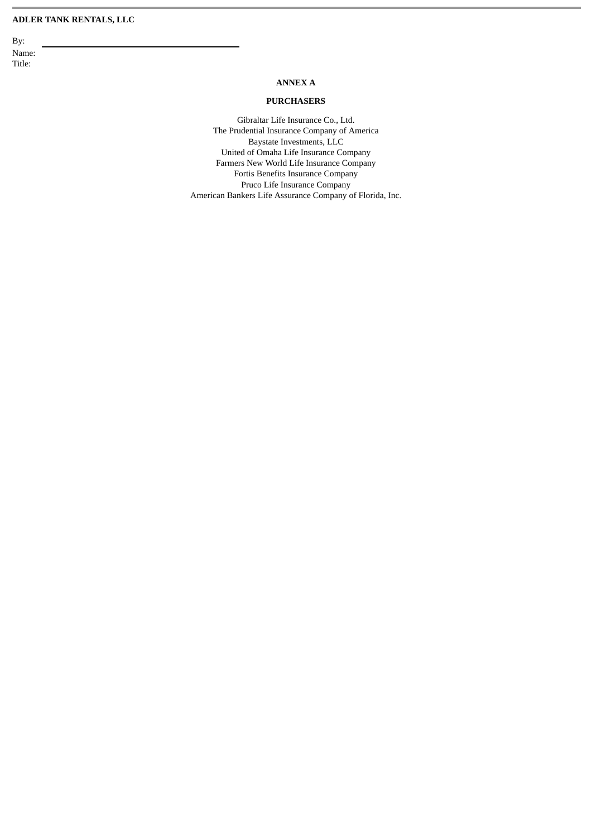# **ADLER TANK RENTALS, LLC**

By: Name: Title:

# **ANNEX A**

# **PURCHASERS**

Gibraltar Life Insurance Co., Ltd. The Prudential Insurance Company of America Baystate Investments, LLC United of Omaha Life Insurance Company Farmers New World Life Insurance Company Fortis Benefits Insurance Company Pruco Life Insurance Company American Bankers Life Assurance Company of Florida, Inc.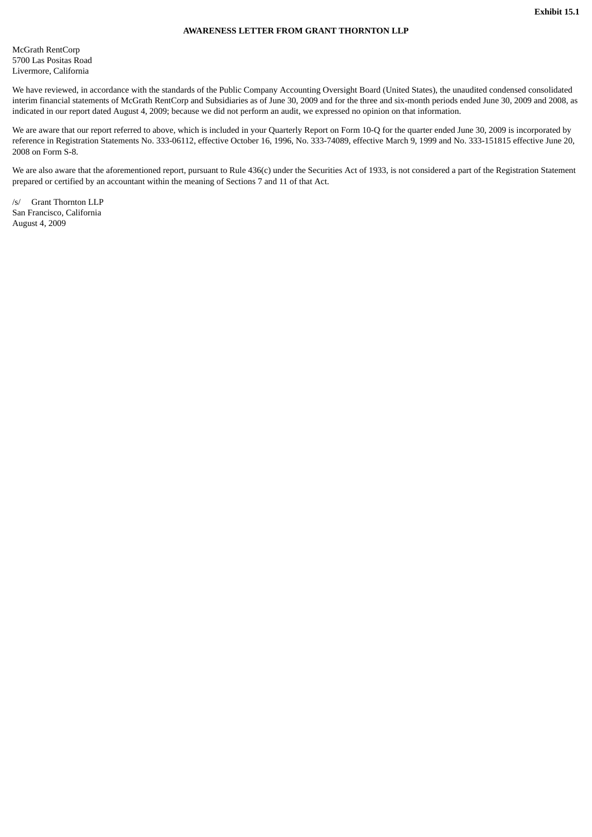# **AWARENESS LETTER FROM GRANT THORNTON LLP**

McGrath RentCorp 5700 Las Positas Road Livermore, California

We have reviewed, in accordance with the standards of the Public Company Accounting Oversight Board (United States), the unaudited condensed consolidated interim financial statements of McGrath RentCorp and Subsidiaries as of June 30, 2009 and for the three and six-month periods ended June 30, 2009 and 2008, as indicated in our report dated August 4, 2009; because we did not perform an audit, we expressed no opinion on that information.

We are aware that our report referred to above, which is included in your Quarterly Report on Form 10-Q for the quarter ended June 30, 2009 is incorporated by reference in Registration Statements No. 333-06112, effective October 16, 1996, No. 333-74089, effective March 9, 1999 and No. 333-151815 effective June 20, 2008 on Form S-8.

We are also aware that the aforementioned report, pursuant to Rule 436(c) under the Securities Act of 1933, is not considered a part of the Registration Statement prepared or certified by an accountant within the meaning of Sections 7 and 11 of that Act.

/s/ Grant Thornton LLP San Francisco, California August 4, 2009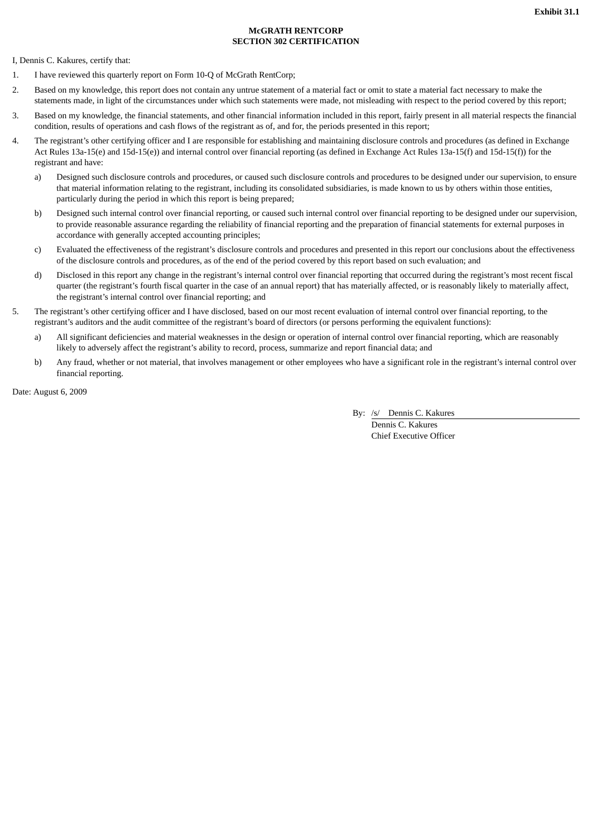# **McGRATH RENTCORP SECTION 302 CERTIFICATION**

I, Dennis C. Kakures, certify that:

- 1. I have reviewed this quarterly report on Form 10-Q of McGrath RentCorp;
- 2. Based on my knowledge, this report does not contain any untrue statement of a material fact or omit to state a material fact necessary to make the statements made, in light of the circumstances under which such statements were made, not misleading with respect to the period covered by this report;
- 3. Based on my knowledge, the financial statements, and other financial information included in this report, fairly present in all material respects the financial condition, results of operations and cash flows of the registrant as of, and for, the periods presented in this report;
- 4. The registrant's other certifying officer and I are responsible for establishing and maintaining disclosure controls and procedures (as defined in Exchange Act Rules 13a-15(e) and 15d-15(e)) and internal control over financial reporting (as defined in Exchange Act Rules 13a-15(f) and 15d-15(f)) for the registrant and have:
	- a) Designed such disclosure controls and procedures, or caused such disclosure controls and procedures to be designed under our supervision, to ensure that material information relating to the registrant, including its consolidated subsidiaries, is made known to us by others within those entities, particularly during the period in which this report is being prepared;
	- b) Designed such internal control over financial reporting, or caused such internal control over financial reporting to be designed under our supervision, to provide reasonable assurance regarding the reliability of financial reporting and the preparation of financial statements for external purposes in accordance with generally accepted accounting principles;
	- c) Evaluated the effectiveness of the registrant's disclosure controls and procedures and presented in this report our conclusions about the effectiveness of the disclosure controls and procedures, as of the end of the period covered by this report based on such evaluation; and
	- d) Disclosed in this report any change in the registrant's internal control over financial reporting that occurred during the registrant's most recent fiscal quarter (the registrant's fourth fiscal quarter in the case of an annual report) that has materially affected, or is reasonably likely to materially affect, the registrant's internal control over financial reporting; and
- 5. The registrant's other certifying officer and I have disclosed, based on our most recent evaluation of internal control over financial reporting, to the registrant's auditors and the audit committee of the registrant's board of directors (or persons performing the equivalent functions):
	- a) All significant deficiencies and material weaknesses in the design or operation of internal control over financial reporting, which are reasonably likely to adversely affect the registrant's ability to record, process, summarize and report financial data; and
	- b) Any fraud, whether or not material, that involves management or other employees who have a significant role in the registrant's internal control over financial reporting.

Date: August 6, 2009

By: /s/ Dennis C. Kakures

Dennis C. Kakures Chief Executive Officer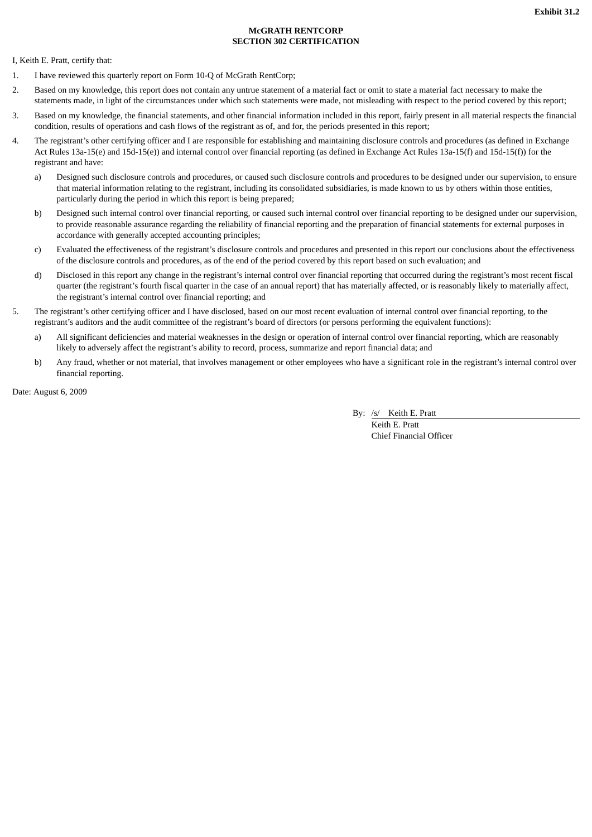# **McGRATH RENTCORP SECTION 302 CERTIFICATION**

I, Keith E. Pratt, certify that:

- 1. I have reviewed this quarterly report on Form 10-Q of McGrath RentCorp;
- 2. Based on my knowledge, this report does not contain any untrue statement of a material fact or omit to state a material fact necessary to make the statements made, in light of the circumstances under which such statements were made, not misleading with respect to the period covered by this report;
- 3. Based on my knowledge, the financial statements, and other financial information included in this report, fairly present in all material respects the financial condition, results of operations and cash flows of the registrant as of, and for, the periods presented in this report;
- 4. The registrant's other certifying officer and I are responsible for establishing and maintaining disclosure controls and procedures (as defined in Exchange Act Rules 13a-15(e) and 15d-15(e)) and internal control over financial reporting (as defined in Exchange Act Rules 13a-15(f) and 15d-15(f)) for the registrant and have:
	- a) Designed such disclosure controls and procedures, or caused such disclosure controls and procedures to be designed under our supervision, to ensure that material information relating to the registrant, including its consolidated subsidiaries, is made known to us by others within those entities, particularly during the period in which this report is being prepared;
	- b) Designed such internal control over financial reporting, or caused such internal control over financial reporting to be designed under our supervision, to provide reasonable assurance regarding the reliability of financial reporting and the preparation of financial statements for external purposes in accordance with generally accepted accounting principles;
	- c) Evaluated the effectiveness of the registrant's disclosure controls and procedures and presented in this report our conclusions about the effectiveness of the disclosure controls and procedures, as of the end of the period covered by this report based on such evaluation; and
	- d) Disclosed in this report any change in the registrant's internal control over financial reporting that occurred during the registrant's most recent fiscal quarter (the registrant's fourth fiscal quarter in the case of an annual report) that has materially affected, or is reasonably likely to materially affect, the registrant's internal control over financial reporting; and
- 5. The registrant's other certifying officer and I have disclosed, based on our most recent evaluation of internal control over financial reporting, to the registrant's auditors and the audit committee of the registrant's board of directors (or persons performing the equivalent functions):
	- a) All significant deficiencies and material weaknesses in the design or operation of internal control over financial reporting, which are reasonably likely to adversely affect the registrant's ability to record, process, summarize and report financial data; and
	- b) Any fraud, whether or not material, that involves management or other employees who have a significant role in the registrant's internal control over financial reporting.

Date: August 6, 2009

By: /s/ Keith E. Pratt

Keith E. Pratt Chief Financial Officer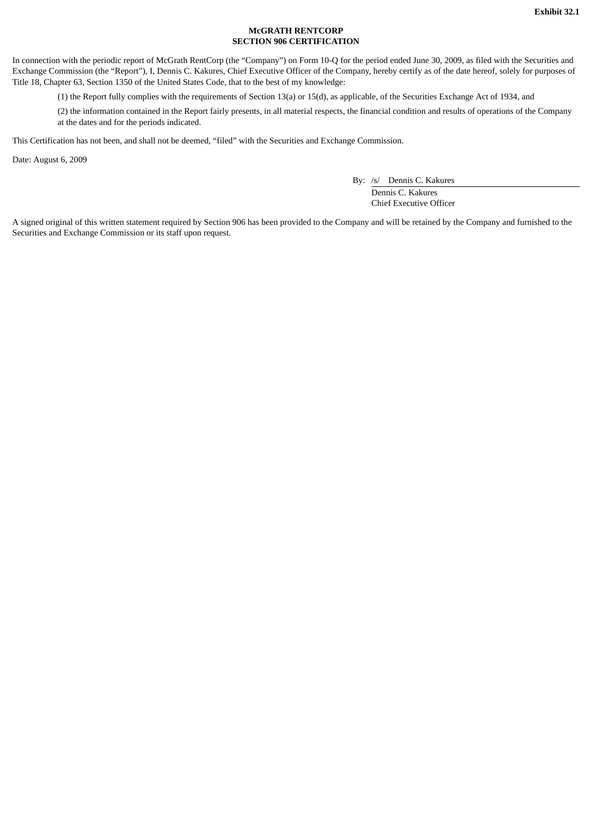# **McGRATH RENTCORP SECTION 906 CERTIFICATION**

In connection with the periodic report of McGrath RentCorp (the "Company") on Form 10-Q for the period ended June 30, 2009, as filed with the Securities and Exchange Commission (the "Report"), I, Dennis C. Kakures, Chief Executive Officer of the Company, hereby certify as of the date hereof, solely for purposes of Title 18, Chapter 63, Section 1350 of the United States Code, that to the best of my knowledge:

(1) the Report fully complies with the requirements of Section 13(a) or 15(d), as applicable, of the Securities Exchange Act of 1934, and

(2) the information contained in the Report fairly presents, in all material respects, the financial condition and results of operations of the Company at the dates and for the periods indicated.

This Certification has not been, and shall not be deemed, "filed" with the Securities and Exchange Commission.

Date: August 6, 2009

By: /s/ Dennis C. Kakures

Dennis C. Kakures Chief Executive Officer

A signed original of this written statement required by Section 906 has been provided to the Company and will be retained by the Company and furnished to the Securities and Exchange Commission or its staff upon request.